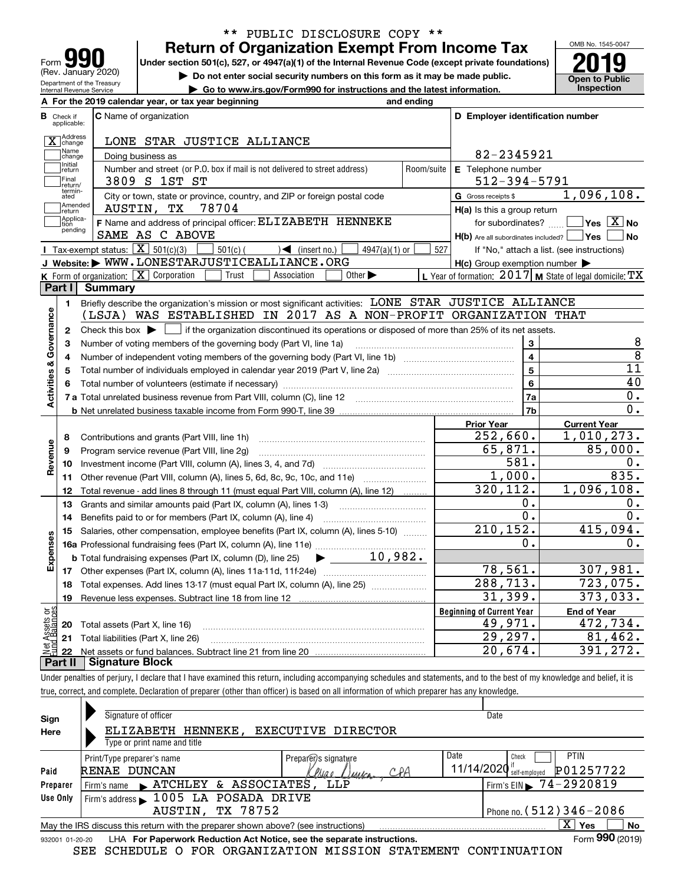| <b>AQU</b>                                             |
|--------------------------------------------------------|
| Form                                                   |
| (Rev. January 2020)                                    |
| Department of the Treasury<br>Internal Revenue Service |

**A**

# **Return of Organization Exempt From Income Tax** \*\* PUBLIC DISCLOSURE COPY \*\*

Under section 501(c), 527, or 4947(a)(1) of the Internal Revenue Code (except private foundations) **2019** 

**| Do not enter social security numbers on this form as it may be made public.**

**| Go to www.irs.gov/Form990 for instructions and the latest information. Inspection**



|                              | A For the 2019 calendar year, or tax year beginning                                                                   | and ending |                                                     |                                                           |  |  |  |  |  |  |  |  |
|------------------------------|-----------------------------------------------------------------------------------------------------------------------|------------|-----------------------------------------------------|-----------------------------------------------------------|--|--|--|--|--|--|--|--|
| В<br>Check if<br>applicable: | <b>C</b> Name of organization                                                                                         |            | D Employer identification number                    |                                                           |  |  |  |  |  |  |  |  |
| X Address                    | LONE STAR JUSTICE ALLIANCE                                                                                            |            |                                                     |                                                           |  |  |  |  |  |  |  |  |
| Name<br>change               | Doing business as                                                                                                     |            | 82-2345921                                          |                                                           |  |  |  |  |  |  |  |  |
| Initial<br>return            | Number and street (or P.O. box if mail is not delivered to street address)<br>Room/suite<br>E Telephone number        |            |                                                     |                                                           |  |  |  |  |  |  |  |  |
| Final                        | $512 - 394 - 5791$<br>3809 S 1ST ST                                                                                   |            |                                                     |                                                           |  |  |  |  |  |  |  |  |
| return/<br>termin-<br>ated   | City or town, state or province, country, and ZIP or foreign postal code                                              |            | G Gross receipts \$                                 | 1,096,108.                                                |  |  |  |  |  |  |  |  |
| Amended<br>return            | AUSTIN, TX<br>78704                                                                                                   |            | $H(a)$ is this a group return                       |                                                           |  |  |  |  |  |  |  |  |
| Applica-<br>tion             | F Name and address of principal officer: ELIZABETH HENNEKE                                                            |            | for subordinates? [116]                             | $\boxed{\phantom{1}}$ Yes $\boxed{\mathrm{X}}$ No         |  |  |  |  |  |  |  |  |
| pending                      | SAME AS C ABOVE                                                                                                       |            | H(b) Are all subordinates included?   Yes           | ∣No                                                       |  |  |  |  |  |  |  |  |
|                              | Tax-exempt status: $\boxed{\mathbf{X}}$ 501(c)(3)<br>$501(c)$ (<br>$\sqrt{\frac{1}{1}}$ (insert no.)<br>4947(a)(1) or | 527        |                                                     | If "No," attach a list. (see instructions)                |  |  |  |  |  |  |  |  |
|                              | J Website: WWW.LONESTARJUSTICEALLIANCE.ORG                                                                            |            | $H(c)$ Group exemption number $\blacktriangleright$ |                                                           |  |  |  |  |  |  |  |  |
|                              | K Form of organization: X Corporation<br>Trust<br>Other $\blacktriangleright$<br>Association                          |            |                                                     | L Year of formation: $2017$ M State of legal domicile: TX |  |  |  |  |  |  |  |  |
| Part I                       | Summary                                                                                                               |            |                                                     |                                                           |  |  |  |  |  |  |  |  |
| 1.                           | Briefly describe the organization's mission or most significant activities: LONE STAR JUSTICE ALLIANCE                |            |                                                     |                                                           |  |  |  |  |  |  |  |  |
|                              | (LSJA) WAS ESTABLISHED IN 2017 AS A NON-PROFIT ORGANIZATION THAT                                                      |            |                                                     |                                                           |  |  |  |  |  |  |  |  |
| $\mathbf{2}$                 |                                                                                                                       |            |                                                     |                                                           |  |  |  |  |  |  |  |  |
| Activities & Governance<br>3 | Number of voting members of the governing body (Part VI, line 1a)                                                     |            | 3                                                   | 8                                                         |  |  |  |  |  |  |  |  |
| 4                            |                                                                                                                       |            | $\overline{\mathbf{4}}$                             | $\overline{8}$                                            |  |  |  |  |  |  |  |  |
| 5                            |                                                                                                                       |            | 5                                                   | 11                                                        |  |  |  |  |  |  |  |  |
|                              |                                                                                                                       |            | 6                                                   | 40                                                        |  |  |  |  |  |  |  |  |
|                              |                                                                                                                       |            | 7a                                                  | 0.                                                        |  |  |  |  |  |  |  |  |
|                              |                                                                                                                       |            | 7b                                                  | 0.                                                        |  |  |  |  |  |  |  |  |
|                              |                                                                                                                       |            | <b>Prior Year</b>                                   | <b>Current Year</b>                                       |  |  |  |  |  |  |  |  |
| 8                            | Contributions and grants (Part VIII, line 1h)                                                                         |            | 252,660.                                            | 1,010,273.                                                |  |  |  |  |  |  |  |  |
| Revenue<br>9                 | Program service revenue (Part VIII, line 2g)                                                                          |            | 65,871.                                             | 85,000.                                                   |  |  |  |  |  |  |  |  |
| 10                           |                                                                                                                       |            | 581.                                                | 0.                                                        |  |  |  |  |  |  |  |  |
| 11                           | Other revenue (Part VIII, column (A), lines 5, 6d, 8c, 9c, 10c, and 11e)                                              |            | 1,000.                                              | 835.                                                      |  |  |  |  |  |  |  |  |
| 12                           | Total revenue - add lines 8 through 11 (must equal Part VIII, column (A), line 12)                                    |            | 320, 112.                                           | 1,096,108.                                                |  |  |  |  |  |  |  |  |
| 13                           | Grants and similar amounts paid (Part IX, column (A), lines 1-3)                                                      |            | 0.                                                  | Ο.                                                        |  |  |  |  |  |  |  |  |
| 14                           | Benefits paid to or for members (Part IX, column (A), line 4)                                                         |            | $\overline{0}$ .                                    | 0.                                                        |  |  |  |  |  |  |  |  |
| 15                           | Salaries, other compensation, employee benefits (Part IX, column (A), lines 5-10)                                     |            | 210, 152.                                           | 415,094.                                                  |  |  |  |  |  |  |  |  |
|                              |                                                                                                                       |            | $\overline{\mathbf{0}}$ .                           | 0.                                                        |  |  |  |  |  |  |  |  |
| Expenses                     | 10,982.<br><b>b</b> Total fundraising expenses (Part IX, column (D), line 25)                                         |            |                                                     |                                                           |  |  |  |  |  |  |  |  |
|                              |                                                                                                                       |            | 78,561.                                             | 307,981.                                                  |  |  |  |  |  |  |  |  |
| 18                           | Total expenses. Add lines 13-17 (must equal Part IX, column (A), line 25)                                             |            | 288,713.                                            | 723,075.                                                  |  |  |  |  |  |  |  |  |
| 19                           |                                                                                                                       |            | 31,399.                                             | 373,033.                                                  |  |  |  |  |  |  |  |  |
| ăğ                           |                                                                                                                       |            | <b>Beginning of Current Year</b>                    | <b>End of Year</b>                                        |  |  |  |  |  |  |  |  |
| 20                           | Total assets (Part X, line 16)                                                                                        |            | 49,971.                                             | 472,734.                                                  |  |  |  |  |  |  |  |  |
| 21                           | Total liabilities (Part X, line 26)                                                                                   |            | 29,297.                                             | 81,462.                                                   |  |  |  |  |  |  |  |  |
| 22                           |                                                                                                                       |            | 20,674.                                             | 391, 272.                                                 |  |  |  |  |  |  |  |  |
| Part II                      | <b>Signature Block</b>                                                                                                |            |                                                     |                                                           |  |  |  |  |  |  |  |  |

Under penalties of perjury, I declare that I have examined this return, including accompanying schedules and statements, and to the best of my knowledge and belief, it is true, correct, and complete. Declaration of preparer (other than officer) is based on all information of which preparer has any knowledge.

| Sign            | Signature of officer                                                              | Date                                                  |
|-----------------|-----------------------------------------------------------------------------------|-------------------------------------------------------|
| Here            | EXECUTIVE DIRECTOR<br>ELIZABETH<br>HENNEKE ,                                      |                                                       |
|                 | Type or print name and title                                                      |                                                       |
|                 | Preparer) s signature<br>Print/Type preparer's name                               | Date<br>PTIN<br>Check                                 |
| Paid            | RENAE DUNCAN<br>CPA<br><u>Inae Duyca</u>                                          | $11/14/2020$ $\frac{1}{3}$ self-employed<br>P01257722 |
| Preparer        | Firm's name ATCHLEY & ASSOCIATES,<br>LLP                                          | Firm's EIN $\triangleright$ 74-2920819                |
| Use Only        | Firm's address 1005 LA POSADA DRIVE                                               |                                                       |
|                 | AUSTIN, TX 78752                                                                  | Phone no. $(512)$ 346 - 2086                          |
|                 | May the IRS discuss this return with the preparer shown above? (see instructions) | $\overline{X}$ Yes<br>No                              |
| 932001 01-20-20 | LHA For Paperwork Reduction Act Notice, see the separate instructions.            | Form 990 (2019)                                       |
|                 | SEE SCHEDULE O FOR ORGANIZATION MISSION STATEMENT CONTINUATION                    |                                                       |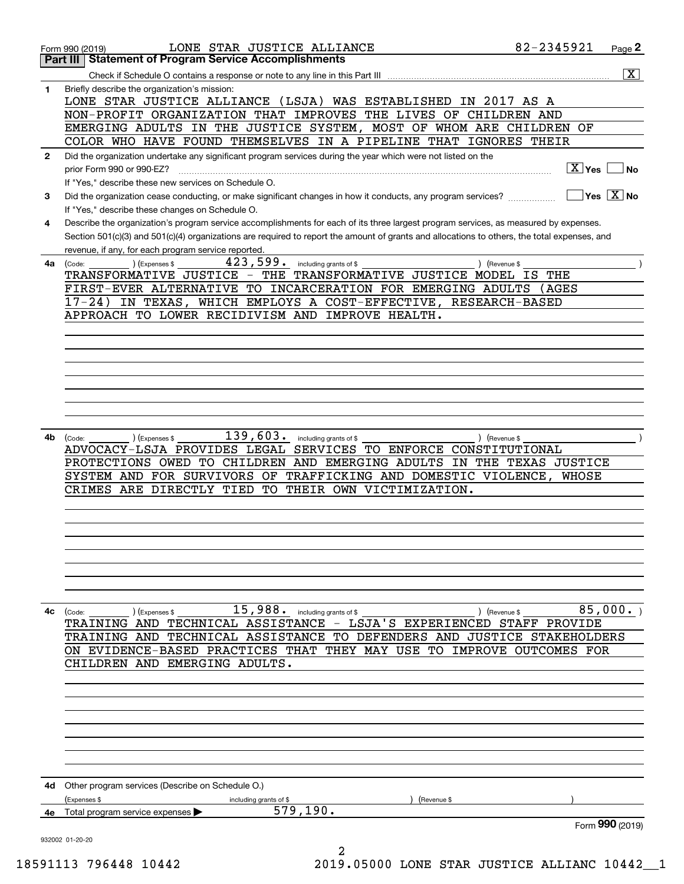|              | LONE STAR JUSTICE ALLIANCE<br>Form 990 (2019)                                                                                                | 82-2345921                              | Page 2                |
|--------------|----------------------------------------------------------------------------------------------------------------------------------------------|-----------------------------------------|-----------------------|
|              | <b>Part III   Statement of Program Service Accomplishments</b>                                                                               |                                         |                       |
|              | Check if Schedule O contains a response or note to any line in this Part III                                                                 |                                         | $\overline{\text{X}}$ |
| 1            | Briefly describe the organization's mission:<br>LONE STAR JUSTICE ALLIANCE (LSJA) WAS ESTABLISHED IN 2017 AS A                               |                                         |                       |
|              | NON-PROFIT ORGANIZATION THAT IMPROVES THE LIVES OF CHILDREN AND                                                                              |                                         |                       |
|              | EMERGING ADULTS IN THE JUSTICE SYSTEM, MOST OF WHOM ARE CHILDREN OF                                                                          |                                         |                       |
|              | COLOR WHO HAVE FOUND THEMSELVES IN A PIPELINE THAT IGNORES THEIR                                                                             |                                         |                       |
| $\mathbf{2}$ | Did the organization undertake any significant program services during the year which were not listed on the                                 |                                         |                       |
|              | prior Form 990 or 990-EZ?                                                                                                                    | $\boxed{\text{X}}$ Yes                  | ∣ No                  |
|              | If "Yes," describe these new services on Schedule O.                                                                                         |                                         |                       |
| 3            | Did the organization cease conducting, or make significant changes in how it conducts, any program services?                                 | $\overline{\mathsf{Yes} \mathbb{X}}$ No |                       |
|              | If "Yes," describe these changes on Schedule O.                                                                                              |                                         |                       |
| 4            | Describe the organization's program service accomplishments for each of its three largest program services, as measured by expenses.         |                                         |                       |
|              | Section 501(c)(3) and 501(c)(4) organizations are required to report the amount of grants and allocations to others, the total expenses, and |                                         |                       |
|              | revenue, if any, for each program service reported.<br>423, 599. including grants of \$<br>) (Revenue \$                                     |                                         |                       |
| 4a           | (Expenses \$<br>(Code:<br>TRANSFORMATIVE JUSTICE - THE TRANSFORMATIVE JUSTICE MODEL IS                                                       | THE                                     |                       |
|              | FIRST-EVER ALTERNATIVE TO INCARCERATION FOR EMERGING ADULTS                                                                                  | (AGES                                   |                       |
|              | IN TEXAS, WHICH EMPLOYS A COST-EFFECTIVE, RESEARCH-BASED<br>17-24)                                                                           |                                         |                       |
|              | APPROACH TO LOWER RECIDIVISM AND IMPROVE HEALTH.                                                                                             |                                         |                       |
|              |                                                                                                                                              |                                         |                       |
|              |                                                                                                                                              |                                         |                       |
|              |                                                                                                                                              |                                         |                       |
|              |                                                                                                                                              |                                         |                       |
|              |                                                                                                                                              |                                         |                       |
|              |                                                                                                                                              |                                         |                       |
|              |                                                                                                                                              |                                         |                       |
| 4b           | $139,603$ . including grants of \$<br>) (Expenses \$<br>) (Revenue \$<br>(Code:                                                              |                                         |                       |
|              | ADVOCACY-LSJA PROVIDES LEGAL SERVICES TO ENFORCE CONSTITUTIONAL                                                                              |                                         |                       |
|              | PROTECTIONS OWED TO CHILDREN AND EMERGING ADULTS IN THE TEXAS JUSTICE                                                                        |                                         |                       |
|              | SYSTEM AND FOR SURVIVORS OF TRAFFICKING AND DOMESTIC VIOLENCE,                                                                               | WHOSE                                   |                       |
|              | CRIMES ARE DIRECTLY TIED<br>TO THEIR OWN VICTIMIZATION.                                                                                      |                                         |                       |
|              |                                                                                                                                              |                                         |                       |
|              |                                                                                                                                              |                                         |                       |
|              |                                                                                                                                              |                                         |                       |
|              |                                                                                                                                              |                                         |                       |
|              |                                                                                                                                              |                                         |                       |
|              |                                                                                                                                              |                                         |                       |
|              |                                                                                                                                              |                                         |                       |
| 4с           | $15,988.$ including grants of \$<br>$\left(\text{Code:}\right)$<br>(Expenses \$<br>) (Revenue \$                                             | 85,000.                                 |                       |
|              | TRAINING AND TECHNICAL ASSISTANCE - LSJA'S EXPERIENCED STAFF PROVIDE                                                                         |                                         |                       |
|              | TRAINING AND TECHNICAL ASSISTANCE TO DEFENDERS AND JUSTICE STAKEHOLDERS                                                                      |                                         |                       |
|              | ON EVIDENCE-BASED PRACTICES THAT THEY MAY USE TO IMPROVE OUTCOMES FOR                                                                        |                                         |                       |
|              | CHILDREN AND EMERGING ADULTS.                                                                                                                |                                         |                       |
|              |                                                                                                                                              |                                         |                       |
|              |                                                                                                                                              |                                         |                       |
|              |                                                                                                                                              |                                         |                       |
|              |                                                                                                                                              |                                         |                       |
|              |                                                                                                                                              |                                         |                       |
|              |                                                                                                                                              |                                         |                       |
|              |                                                                                                                                              |                                         |                       |
|              | 4d Other program services (Describe on Schedule O.)                                                                                          |                                         |                       |
|              | (Expenses \$<br>including grants of \$<br>(Revenue \$                                                                                        |                                         |                       |
|              | 579,190.<br>4e Total program service expenses                                                                                                |                                         |                       |
|              |                                                                                                                                              | Form 990 (2019)                         |                       |
|              | 932002 01-20-20<br>2                                                                                                                         |                                         |                       |
|              |                                                                                                                                              |                                         |                       |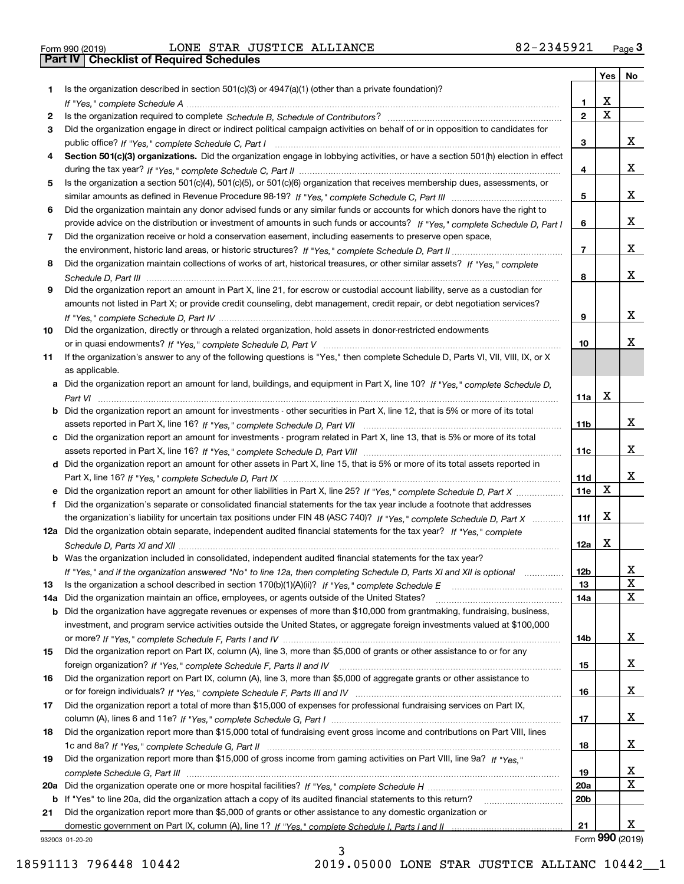| Form 990 (2019) |  |  |
|-----------------|--|--|

|     |                                                                                                                                       |                 |             | Yes   No             |
|-----|---------------------------------------------------------------------------------------------------------------------------------------|-----------------|-------------|----------------------|
| 1   | Is the organization described in section $501(c)(3)$ or $4947(a)(1)$ (other than a private foundation)?                               |                 |             |                      |
|     |                                                                                                                                       | 1.              | x           |                      |
| 2   |                                                                                                                                       | $\mathbf{2}$    | $\mathbf X$ |                      |
| 3   | Did the organization engage in direct or indirect political campaign activities on behalf of or in opposition to candidates for       |                 |             |                      |
|     |                                                                                                                                       | 3               |             | x                    |
| 4   | Section 501(c)(3) organizations. Did the organization engage in lobbying activities, or have a section 501(h) election in effect      |                 |             |                      |
|     |                                                                                                                                       | 4               |             | X                    |
| 5   | Is the organization a section 501(c)(4), 501(c)(5), or 501(c)(6) organization that receives membership dues, assessments, or          |                 |             |                      |
|     |                                                                                                                                       | 5               |             | x                    |
| 6   | Did the organization maintain any donor advised funds or any similar funds or accounts for which donors have the right to             |                 |             |                      |
|     | provide advice on the distribution or investment of amounts in such funds or accounts? If "Yes," complete Schedule D, Part I          | 6               |             | x                    |
| 7   | Did the organization receive or hold a conservation easement, including easements to preserve open space,                             |                 |             | x                    |
|     |                                                                                                                                       | $\overline{7}$  |             |                      |
| 8   | Did the organization maintain collections of works of art, historical treasures, or other similar assets? If "Yes," complete          |                 |             | x                    |
|     |                                                                                                                                       | 8               |             |                      |
| 9   | Did the organization report an amount in Part X, line 21, for escrow or custodial account liability, serve as a custodian for         |                 |             |                      |
|     | amounts not listed in Part X; or provide credit counseling, debt management, credit repair, or debt negotiation services?             |                 |             | x                    |
|     |                                                                                                                                       | 9               |             |                      |
| 10  | Did the organization, directly or through a related organization, hold assets in donor-restricted endowments                          | 10              |             | x                    |
| 11  | If the organization's answer to any of the following questions is "Yes," then complete Schedule D, Parts VI, VII, VIII, IX, or X      |                 |             |                      |
|     | as applicable.                                                                                                                        |                 |             |                      |
|     | a Did the organization report an amount for land, buildings, and equipment in Part X, line 10? If "Yes." complete Schedule D.         |                 |             |                      |
|     |                                                                                                                                       | 11a             | X           |                      |
|     | <b>b</b> Did the organization report an amount for investments - other securities in Part X, line 12, that is 5% or more of its total |                 |             |                      |
|     |                                                                                                                                       | 11 <sub>b</sub> |             | x                    |
|     | c Did the organization report an amount for investments - program related in Part X, line 13, that is 5% or more of its total         |                 |             |                      |
|     |                                                                                                                                       | 11c             |             | x                    |
|     | d Did the organization report an amount for other assets in Part X, line 15, that is 5% or more of its total assets reported in       |                 |             |                      |
|     |                                                                                                                                       | 11d             |             | x                    |
|     |                                                                                                                                       | 11e             | X           |                      |
| f   | Did the organization's separate or consolidated financial statements for the tax year include a footnote that addresses               |                 |             |                      |
|     | the organization's liability for uncertain tax positions under FIN 48 (ASC 740)? If "Yes," complete Schedule D, Part X                | 11f             | X           |                      |
|     | 12a Did the organization obtain separate, independent audited financial statements for the tax year? If "Yes," complete               |                 |             |                      |
|     |                                                                                                                                       | 12a             | X           |                      |
|     | <b>b</b> Was the organization included in consolidated, independent audited financial statements for the tax year?                    |                 |             |                      |
|     | If "Yes," and if the organization answered "No" to line 12a, then completing Schedule D, Parts XI and XII is optional                 | 12 <sub>b</sub> |             | 47                   |
| 13  |                                                                                                                                       | 13              |             | X                    |
| 14a | Did the organization maintain an office, employees, or agents outside of the United States?                                           | 14a             |             | X                    |
|     | <b>b</b> Did the organization have aggregate revenues or expenses of more than \$10,000 from grantmaking, fundraising, business,      |                 |             |                      |
|     | investment, and program service activities outside the United States, or aggregate foreign investments valued at \$100,000            |                 |             |                      |
|     |                                                                                                                                       | 14b             |             | x                    |
| 15  | Did the organization report on Part IX, column (A), line 3, more than \$5,000 of grants or other assistance to or for any             |                 |             |                      |
|     |                                                                                                                                       | 15              |             | x                    |
| 16  | Did the organization report on Part IX, column (A), line 3, more than \$5,000 of aggregate grants or other assistance to              |                 |             |                      |
|     |                                                                                                                                       | 16              |             | X                    |
| 17  | Did the organization report a total of more than \$15,000 of expenses for professional fundraising services on Part IX,               |                 |             |                      |
|     |                                                                                                                                       | 17              |             | X                    |
| 18  | Did the organization report more than \$15,000 total of fundraising event gross income and contributions on Part VIII, lines          |                 |             |                      |
|     |                                                                                                                                       | 18              |             | x                    |
| 19  | Did the organization report more than \$15,000 of gross income from gaming activities on Part VIII, line 9a? If "Yes."                |                 |             |                      |
|     |                                                                                                                                       | 19              |             | x                    |
|     |                                                                                                                                       | <b>20a</b>      |             | X                    |
|     | b If "Yes" to line 20a, did the organization attach a copy of its audited financial statements to this return?                        | 20 <sub>b</sub> |             |                      |
| 21  | Did the organization report more than \$5,000 of grants or other assistance to any domestic organization or                           |                 |             |                      |
|     |                                                                                                                                       | 21              |             | x<br>Form 990 (2019) |
|     | 932003 01-20-20                                                                                                                       |                 |             |                      |

3

932003 01-20-20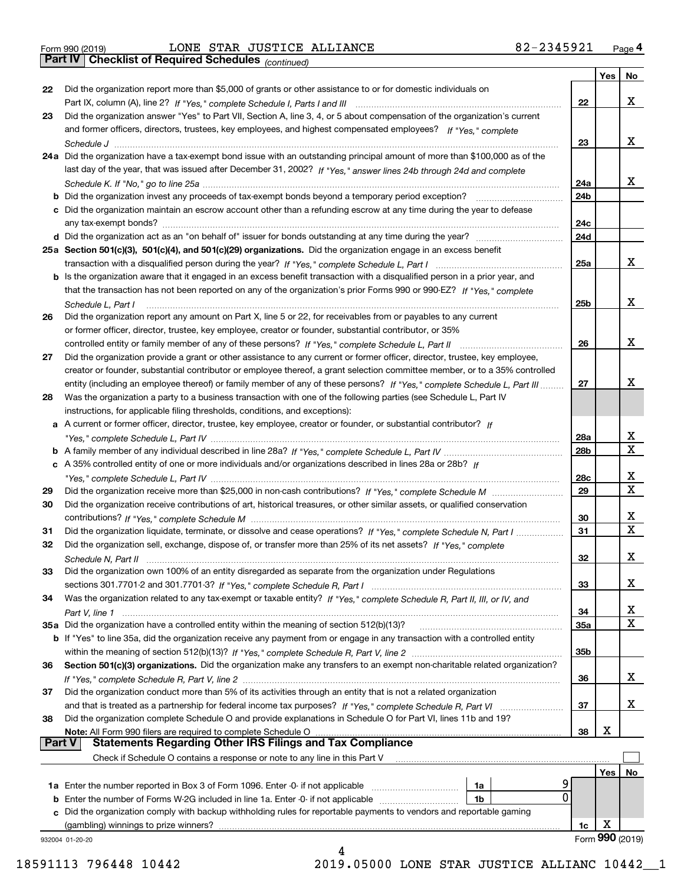*(continued)*

|               |                                                                                                                              |     | Yes | <b>No</b>       |
|---------------|------------------------------------------------------------------------------------------------------------------------------|-----|-----|-----------------|
| 22            | Did the organization report more than \$5,000 of grants or other assistance to or for domestic individuals on                |     |     |                 |
|               |                                                                                                                              | 22  |     | x               |
| 23            | Did the organization answer "Yes" to Part VII, Section A, line 3, 4, or 5 about compensation of the organization's current   |     |     |                 |
|               | and former officers, directors, trustees, key employees, and highest compensated employees? If "Yes," complete               |     |     |                 |
|               |                                                                                                                              | 23  |     | х               |
|               | 24a Did the organization have a tax-exempt bond issue with an outstanding principal amount of more than \$100,000 as of the  |     |     |                 |
|               | last day of the year, that was issued after December 31, 2002? If "Yes," answer lines 24b through 24d and complete           |     |     |                 |
|               |                                                                                                                              | 24a |     | x               |
|               | b Did the organization invest any proceeds of tax-exempt bonds beyond a temporary period exception?                          | 24b |     |                 |
|               | c Did the organization maintain an escrow account other than a refunding escrow at any time during the year to defease       |     |     |                 |
|               | any tax-exempt bonds?                                                                                                        | 24c |     |                 |
|               | d Did the organization act as an "on behalf of" issuer for bonds outstanding at any time during the year?                    | 24d |     |                 |
|               | 25a Section 501(c)(3), 501(c)(4), and 501(c)(29) organizations. Did the organization engage in an excess benefit             |     |     |                 |
|               |                                                                                                                              | 25a |     | x               |
|               | b Is the organization aware that it engaged in an excess benefit transaction with a disqualified person in a prior year, and |     |     |                 |
|               | that the transaction has not been reported on any of the organization's prior Forms 990 or 990-EZ? If "Yes," complete        |     |     |                 |
|               | Schedule L. Part I                                                                                                           | 25b |     | х               |
| 26            | Did the organization report any amount on Part X, line 5 or 22, for receivables from or payables to any current              |     |     |                 |
|               | or former officer, director, trustee, key employee, creator or founder, substantial contributor, or 35%                      |     |     |                 |
|               |                                                                                                                              | 26  |     | х               |
| 27            | Did the organization provide a grant or other assistance to any current or former officer, director, trustee, key employee,  |     |     |                 |
|               | creator or founder, substantial contributor or employee thereof, a grant selection committee member, or to a 35% controlled  |     |     |                 |
|               | entity (including an employee thereof) or family member of any of these persons? If "Yes," complete Schedule L, Part III     | 27  |     | х               |
| 28            | Was the organization a party to a business transaction with one of the following parties (see Schedule L, Part IV            |     |     |                 |
|               | instructions, for applicable filing thresholds, conditions, and exceptions):                                                 |     |     |                 |
|               | a A current or former officer, director, trustee, key employee, creator or founder, or substantial contributor? If           |     |     |                 |
|               |                                                                                                                              | 28a |     | x               |
|               |                                                                                                                              | 28b |     | $\mathbf X$     |
|               | c A 35% controlled entity of one or more individuals and/or organizations described in lines 28a or 28b? If                  |     |     |                 |
|               |                                                                                                                              | 28c |     | х               |
| 29            |                                                                                                                              | 29  |     | $\mathbf X$     |
| 30            | Did the organization receive contributions of art, historical treasures, or other similar assets, or qualified conservation  |     |     |                 |
|               |                                                                                                                              | 30  |     | x               |
| 31            | Did the organization liquidate, terminate, or dissolve and cease operations? If "Yes," complete Schedule N, Part I           | 31  |     | $\mathbf x$     |
| 32            | Did the organization sell, exchange, dispose of, or transfer more than 25% of its net assets? If "Yes," complete             |     |     |                 |
|               |                                                                                                                              | 32  |     | х               |
| 33            | Did the organization own 100% of an entity disregarded as separate from the organization under Regulations                   |     |     |                 |
|               |                                                                                                                              | 33  |     | х               |
| 34            | Was the organization related to any tax-exempt or taxable entity? If "Yes," complete Schedule R, Part II, III, or IV, and    |     |     |                 |
|               |                                                                                                                              | 34  |     | х               |
|               | 35a Did the organization have a controlled entity within the meaning of section 512(b)(13)?                                  | 35a |     | X               |
|               | b If "Yes" to line 35a, did the organization receive any payment from or engage in any transaction with a controlled entity  |     |     |                 |
|               |                                                                                                                              | 35b |     |                 |
| 36            | Section 501(c)(3) organizations. Did the organization make any transfers to an exempt non-charitable related organization?   |     |     |                 |
|               |                                                                                                                              | 36  |     | x               |
| 37            | Did the organization conduct more than 5% of its activities through an entity that is not a related organization             |     |     |                 |
|               | and that is treated as a partnership for federal income tax purposes? If "Yes," complete Schedule R, Part VI                 | 37  |     | x               |
| 38            | Did the organization complete Schedule O and provide explanations in Schedule O for Part VI, lines 11b and 19?               |     |     |                 |
|               | Note: All Form 990 filers are required to complete Schedule O                                                                | 38  | х   |                 |
| <b>Part V</b> | <b>Statements Regarding Other IRS Filings and Tax Compliance</b>                                                             |     |     |                 |
|               | Check if Schedule O contains a response or note to any line in this Part V                                                   |     |     |                 |
|               |                                                                                                                              |     | Yes | No              |
|               | <b>1a</b> Enter the number reported in Box 3 of Form 1096. Enter -0- if not applicable <i>manumumumum</i><br>1a              |     |     |                 |
|               | 0<br><b>b</b> Enter the number of Forms W-2G included in line 1a. Enter -0- if not applicable<br>1b                          |     |     |                 |
|               | c Did the organization comply with backup withholding rules for reportable payments to vendors and reportable gaming         |     |     |                 |
|               | (gambling) winnings to prize winners?                                                                                        | 1c  | х   |                 |
|               | 932004 01-20-20                                                                                                              |     |     | Form 990 (2019) |
|               |                                                                                                                              |     |     |                 |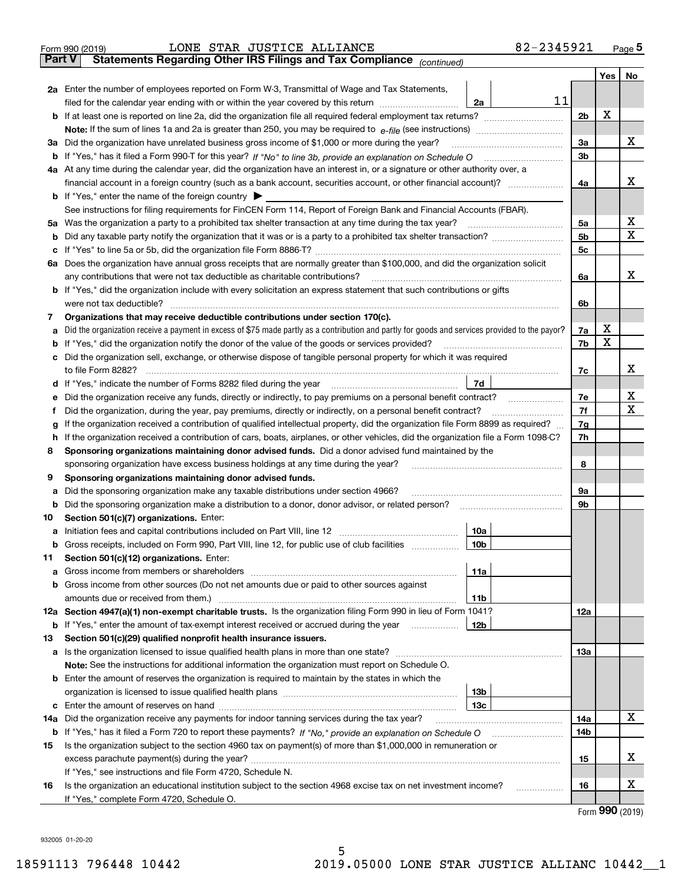|         | 82-2345921<br>LONE STAR JUSTICE ALLIANCE<br>Form 990 (2019)                                                                                                        |                |     | Page $5$ |  |  |  |  |  |  |  |
|---------|--------------------------------------------------------------------------------------------------------------------------------------------------------------------|----------------|-----|----------|--|--|--|--|--|--|--|
|         | Statements Regarding Other IRS Filings and Tax Compliance (continued)<br><b>Part V</b>                                                                             |                |     |          |  |  |  |  |  |  |  |
|         |                                                                                                                                                                    |                | Yes | No       |  |  |  |  |  |  |  |
|         | 2a Enter the number of employees reported on Form W-3, Transmittal of Wage and Tax Statements,                                                                     |                |     |          |  |  |  |  |  |  |  |
|         | 11<br>filed for the calendar year ending with or within the year covered by this return <i>[[[[[[[[[[[[[]]]]</i><br>2a                                             |                |     |          |  |  |  |  |  |  |  |
|         |                                                                                                                                                                    | 2 <sub>b</sub> | X   |          |  |  |  |  |  |  |  |
|         |                                                                                                                                                                    |                |     |          |  |  |  |  |  |  |  |
| За      | Did the organization have unrelated business gross income of \$1,000 or more during the year?                                                                      | 3a<br>3b       |     | х        |  |  |  |  |  |  |  |
|         | <b>b</b> If "Yes," has it filed a Form 990-T for this year? If "No" to line 3b, provide an explanation on Schedule O                                               |                |     |          |  |  |  |  |  |  |  |
|         | 4a At any time during the calendar year, did the organization have an interest in, or a signature or other authority over, a                                       |                |     |          |  |  |  |  |  |  |  |
|         | financial account in a foreign country (such as a bank account, securities account, or other financial account)?                                                   | 4a             |     | х        |  |  |  |  |  |  |  |
|         | <b>b</b> If "Yes," enter the name of the foreign country $\blacktriangleright$                                                                                     |                |     |          |  |  |  |  |  |  |  |
|         | See instructions for filing requirements for FinCEN Form 114, Report of Foreign Bank and Financial Accounts (FBAR).                                                |                |     | х        |  |  |  |  |  |  |  |
| 5a      | Was the organization a party to a prohibited tax shelter transaction at any time during the tax year?                                                              | 5a<br>5b       |     | X        |  |  |  |  |  |  |  |
| b       | If "Yes" to line 5a or 5b, did the organization file Form 8886-T?                                                                                                  | 5с             |     |          |  |  |  |  |  |  |  |
| с<br>6а | Does the organization have annual gross receipts that are normally greater than \$100,000, and did the organization solicit                                        |                |     |          |  |  |  |  |  |  |  |
|         | any contributions that were not tax deductible as charitable contributions?                                                                                        | 6a             |     | x        |  |  |  |  |  |  |  |
|         | <b>b</b> If "Yes," did the organization include with every solicitation an express statement that such contributions or gifts                                      |                |     |          |  |  |  |  |  |  |  |
|         | were not tax deductible?                                                                                                                                           | 6b             |     |          |  |  |  |  |  |  |  |
| 7       | Organizations that may receive deductible contributions under section 170(c).                                                                                      |                |     |          |  |  |  |  |  |  |  |
| а       | Did the organization receive a payment in excess of \$75 made partly as a contribution and partly for goods and services provided to the payor?                    | 7a             | х   |          |  |  |  |  |  |  |  |
| b       | If "Yes," did the organization notify the donor of the value of the goods or services provided?                                                                    | 7b             | X   |          |  |  |  |  |  |  |  |
| c       | Did the organization sell, exchange, or otherwise dispose of tangible personal property for which it was required                                                  |                |     |          |  |  |  |  |  |  |  |
|         | to file Form 8282?                                                                                                                                                 | 7c             |     | x        |  |  |  |  |  |  |  |
| d       | 7d<br>If "Yes," indicate the number of Forms 8282 filed during the year                                                                                            |                |     |          |  |  |  |  |  |  |  |
| е       | Did the organization receive any funds, directly or indirectly, to pay premiums on a personal benefit contract?                                                    | 7e             |     | х        |  |  |  |  |  |  |  |
| f       | Did the organization, during the year, pay premiums, directly or indirectly, on a personal benefit contract?                                                       | 7f             |     | х        |  |  |  |  |  |  |  |
| g       | If the organization received a contribution of qualified intellectual property, did the organization file Form 8899 as required?                                   | 7g             |     |          |  |  |  |  |  |  |  |
| h       | If the organization received a contribution of cars, boats, airplanes, or other vehicles, did the organization file a Form 1098-C?                                 | 7h             |     |          |  |  |  |  |  |  |  |
| 8       | Sponsoring organizations maintaining donor advised funds. Did a donor advised fund maintained by the                                                               |                |     |          |  |  |  |  |  |  |  |
|         | sponsoring organization have excess business holdings at any time during the year?                                                                                 | 8              |     |          |  |  |  |  |  |  |  |
| 9       | Sponsoring organizations maintaining donor advised funds.                                                                                                          |                |     |          |  |  |  |  |  |  |  |
| а       | Did the sponsoring organization make any taxable distributions under section 4966?                                                                                 | 9а             |     |          |  |  |  |  |  |  |  |
| b       | Did the sponsoring organization make a distribution to a donor, donor advisor, or related person?                                                                  | 9b             |     |          |  |  |  |  |  |  |  |
| 10      | Section 501(c)(7) organizations. Enter:                                                                                                                            |                |     |          |  |  |  |  |  |  |  |
| а       | 10a<br>Initiation fees and capital contributions included on Part VIII, line 12                                                                                    |                |     |          |  |  |  |  |  |  |  |
|         | 10 <sub>b</sub><br><b>b</b> Gross receipts, included on Form 990, Part VIII, line 12, for public use of club facilities                                            |                |     |          |  |  |  |  |  |  |  |
| 11      | Section 501(c)(12) organizations. Enter:                                                                                                                           |                |     |          |  |  |  |  |  |  |  |
| а       | 11a<br>Gross income from members or shareholders                                                                                                                   |                |     |          |  |  |  |  |  |  |  |
| b       | Gross income from other sources (Do not net amounts due or paid to other sources against                                                                           |                |     |          |  |  |  |  |  |  |  |
|         | 11 <sub>b</sub><br>12a Section 4947(a)(1) non-exempt charitable trusts. Is the organization filing Form 990 in lieu of Form 1041?                                  |                |     |          |  |  |  |  |  |  |  |
|         | 12 <sub>b</sub>                                                                                                                                                    | 12a            |     |          |  |  |  |  |  |  |  |
| 13      | <b>b</b> If "Yes," enter the amount of tax-exempt interest received or accrued during the year<br>Section 501(c)(29) qualified nonprofit health insurance issuers. |                |     |          |  |  |  |  |  |  |  |
| a       | Is the organization licensed to issue qualified health plans in more than one state?                                                                               | <b>13a</b>     |     |          |  |  |  |  |  |  |  |
|         | Note: See the instructions for additional information the organization must report on Schedule O.                                                                  |                |     |          |  |  |  |  |  |  |  |
| b       | Enter the amount of reserves the organization is required to maintain by the states in which the                                                                   |                |     |          |  |  |  |  |  |  |  |
|         | 13 <sub>b</sub>                                                                                                                                                    |                |     |          |  |  |  |  |  |  |  |
| с       | 13 <sub>c</sub>                                                                                                                                                    |                |     |          |  |  |  |  |  |  |  |
| 14a     | Did the organization receive any payments for indoor tanning services during the tax year?                                                                         | 14a            |     | X        |  |  |  |  |  |  |  |
|         |                                                                                                                                                                    | 14b            |     |          |  |  |  |  |  |  |  |
| 15      | Is the organization subject to the section 4960 tax on payment(s) of more than \$1,000,000 in remuneration or                                                      |                |     |          |  |  |  |  |  |  |  |
|         |                                                                                                                                                                    | 15             |     | х        |  |  |  |  |  |  |  |
|         | If "Yes," see instructions and file Form 4720, Schedule N.                                                                                                         |                |     |          |  |  |  |  |  |  |  |
| 16      | Is the organization an educational institution subject to the section 4968 excise tax on net investment income?<br>.                                               | 16             |     | х        |  |  |  |  |  |  |  |
|         | If "Yes," complete Form 4720, Schedule O.                                                                                                                          |                |     |          |  |  |  |  |  |  |  |

Form (2019) **990**

932005 01-20-20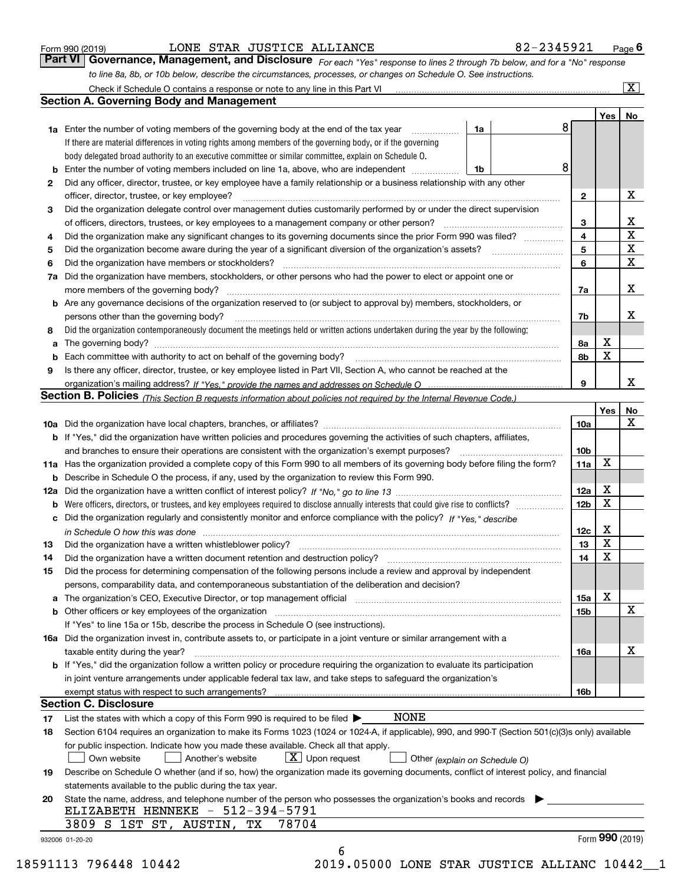# LONE STAR JUSTICE ALLIANCE 82-2345921

*For each "Yes" response to lines 2 through 7b below, and for a "No" response to line 8a, 8b, or 10b below, describe the circumstances, processes, or changes on Schedule O. See instructions.* Form 990 (2019) **CONE STAR JUSTICE ALLIANCE**<br>**Part VI Governance, Management, and Disclosure** For each "Yes" response to lines 2 through 7b below, and for a "No" response Check if Schedule O contains a response or note to any line in this Part VI

|    |                                                                                                                                                                               |                               |   |                         | Yes             | No                         |
|----|-------------------------------------------------------------------------------------------------------------------------------------------------------------------------------|-------------------------------|---|-------------------------|-----------------|----------------------------|
|    | <b>1a</b> Enter the number of voting members of the governing body at the end of the tax year                                                                                 | 1a                            | 8 |                         |                 |                            |
|    | If there are material differences in voting rights among members of the governing body, or if the governing                                                                   |                               |   |                         |                 |                            |
|    | body delegated broad authority to an executive committee or similar committee, explain on Schedule O.                                                                         |                               |   |                         |                 |                            |
|    |                                                                                                                                                                               | 1b                            | 8 |                         |                 |                            |
| 2  | Did any officer, director, trustee, or key employee have a family relationship or a business relationship with any other                                                      |                               |   |                         |                 |                            |
|    | officer, director, trustee, or key employee?                                                                                                                                  |                               |   | $\mathbf{2}$            |                 | X                          |
| 3  | Did the organization delegate control over management duties customarily performed by or under the direct supervision                                                         |                               |   |                         |                 |                            |
|    |                                                                                                                                                                               |                               |   | 3                       |                 | X                          |
| 4  | Did the organization make any significant changes to its governing documents since the prior Form 990 was filed?                                                              |                               |   | $\overline{\mathbf{4}}$ |                 | $\overline{\textbf{X}}$    |
| 5  |                                                                                                                                                                               |                               |   | 5                       |                 | $\mathbf X$<br>$\mathbf x$ |
| 6  | Did the organization have members or stockholders?                                                                                                                            |                               |   | 6                       |                 |                            |
|    | 7a Did the organization have members, stockholders, or other persons who had the power to elect or appoint one or                                                             |                               |   |                         |                 |                            |
|    |                                                                                                                                                                               |                               |   | 7a                      |                 | x                          |
|    | <b>b</b> Are any governance decisions of the organization reserved to (or subject to approval by) members, stockholders, or                                                   |                               |   |                         |                 |                            |
|    | persons other than the governing body?                                                                                                                                        |                               |   | 7b                      |                 | х                          |
| 8  | Did the organization contemporaneously document the meetings held or written actions undertaken during the year by the following:                                             |                               |   |                         |                 |                            |
| a  |                                                                                                                                                                               |                               |   | 8a                      | X               |                            |
|    |                                                                                                                                                                               |                               |   | 8b                      | X               |                            |
| 9  | Is there any officer, director, trustee, or key employee listed in Part VII, Section A, who cannot be reached at the                                                          |                               |   |                         |                 |                            |
|    |                                                                                                                                                                               |                               |   | 9                       |                 | х                          |
|    | Section B. Policies (This Section B requests information about policies not required by the Internal Revenue Code.)                                                           |                               |   |                         |                 |                            |
|    |                                                                                                                                                                               |                               |   |                         | Yes             | No                         |
|    |                                                                                                                                                                               |                               |   | 10a                     |                 | X                          |
|    | <b>b</b> If "Yes," did the organization have written policies and procedures governing the activities of such chapters, affiliates,                                           |                               |   |                         |                 |                            |
|    |                                                                                                                                                                               |                               |   | 10 <sub>b</sub>         |                 |                            |
|    | 11a Has the organization provided a complete copy of this Form 990 to all members of its governing body before filing the form?                                               |                               |   | 11a                     | X               |                            |
|    | <b>b</b> Describe in Schedule O the process, if any, used by the organization to review this Form 990.                                                                        |                               |   |                         |                 |                            |
|    |                                                                                                                                                                               |                               |   | 12a                     | X               |                            |
| b  |                                                                                                                                                                               |                               |   | 12b                     | X               |                            |
|    | c Did the organization regularly and consistently monitor and enforce compliance with the policy? If "Yes," describe                                                          |                               |   |                         |                 |                            |
|    | in Schedule O how this was done manufactured and continuum control of the Schedule O how this was done manufactured and continuum control of the Schedule O how this was done |                               |   | 12c                     | х<br>X          |                            |
| 13 |                                                                                                                                                                               |                               |   | 13                      | X               |                            |
| 14 | Did the organization have a written document retention and destruction policy? manufactured and the organization have a written document retention and destruction policy?    |                               |   | 14                      |                 |                            |
| 15 | Did the process for determining compensation of the following persons include a review and approval by independent                                                            |                               |   |                         |                 |                            |
|    | persons, comparability data, and contemporaneous substantiation of the deliberation and decision?                                                                             |                               |   |                         | X               |                            |
|    |                                                                                                                                                                               |                               |   | 15a                     |                 | $\mathbf X$                |
|    |                                                                                                                                                                               |                               |   | 15 <sub>b</sub>         |                 |                            |
|    | If "Yes" to line 15a or 15b, describe the process in Schedule O (see instructions).                                                                                           |                               |   |                         |                 |                            |
|    | 16a Did the organization invest in, contribute assets to, or participate in a joint venture or similar arrangement with a                                                     |                               |   |                         |                 | X                          |
|    | taxable entity during the year?                                                                                                                                               |                               |   | 16a                     |                 |                            |
|    | <b>b</b> If "Yes," did the organization follow a written policy or procedure requiring the organization to evaluate its participation                                         |                               |   |                         |                 |                            |
|    | in joint venture arrangements under applicable federal tax law, and take steps to safequard the organization's                                                                |                               |   |                         |                 |                            |
|    | exempt status with respect to such arrangements?<br><b>Section C. Disclosure</b>                                                                                              |                               |   | 16b                     |                 |                            |
|    | <b>NONE</b>                                                                                                                                                                   |                               |   |                         |                 |                            |
| 17 | List the states with which a copy of this Form 990 is required to be filed $\blacktriangleright$                                                                              |                               |   |                         |                 |                            |
| 18 | Section 6104 requires an organization to make its Forms 1023 (1024 or 1024-A, if applicable), 990, and 990-T (Section 501(c)(3)s only) available                              |                               |   |                         |                 |                            |
|    | for public inspection. Indicate how you made these available. Check all that apply.                                                                                           |                               |   |                         |                 |                            |
|    | $X$ Upon request<br>Own website<br>Another's website                                                                                                                          | Other (explain on Schedule O) |   |                         |                 |                            |
| 19 | Describe on Schedule O whether (and if so, how) the organization made its governing documents, conflict of interest policy, and financial                                     |                               |   |                         |                 |                            |
|    | statements available to the public during the tax year.                                                                                                                       |                               |   |                         |                 |                            |
| 20 | State the name, address, and telephone number of the person who possesses the organization's books and records<br>ELIZABETH HENNEKE - 512-394-5791                            |                               |   |                         |                 |                            |
|    | 3809 S 1ST ST, AUSTIN,<br>TХ<br>78704                                                                                                                                         |                               |   |                         |                 |                            |
|    |                                                                                                                                                                               |                               |   |                         | Form 990 (2019) |                            |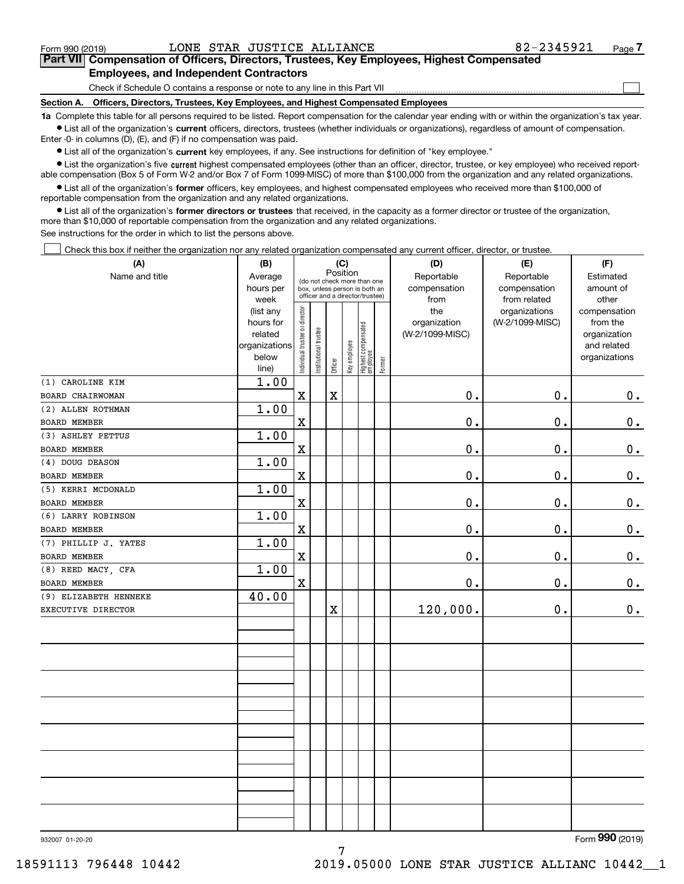$\mathcal{L}^{\text{max}}$ 

# **7Part VII Compensation of Officers, Directors, Trustees, Key Employees, Highest Compensated Employees, and Independent Contractors**

Check if Schedule O contains a response or note to any line in this Part VII

**Section A. Officers, Directors, Trustees, Key Employees, and Highest Compensated Employees**

**1a**  Complete this table for all persons required to be listed. Report compensation for the calendar year ending with or within the organization's tax year. **•** List all of the organization's current officers, directors, trustees (whether individuals or organizations), regardless of amount of compensation.

Enter -0- in columns (D), (E), and (F) if no compensation was paid.

 $\bullet$  List all of the organization's  $\,$ current key employees, if any. See instructions for definition of "key employee."

**•** List the organization's five current highest compensated employees (other than an officer, director, trustee, or key employee) who received reportable compensation (Box 5 of Form W-2 and/or Box 7 of Form 1099-MISC) of more than \$100,000 from the organization and any related organizations.

**•** List all of the organization's former officers, key employees, and highest compensated employees who received more than \$100,000 of reportable compensation from the organization and any related organizations.

**former directors or trustees**  ¥ List all of the organization's that received, in the capacity as a former director or trustee of the organization, more than \$10,000 of reportable compensation from the organization and any related organizations.

See instructions for the order in which to list the persons above.

Check this box if neither the organization nor any related organization compensated any current officer, director, or trustee.  $\mathcal{L}^{\text{max}}$ 

| (A)                   | (B)                                                |                               |                                 |         | (C)          |                                  |        |                 |                 |               | (D) | (E) | (F) |
|-----------------------|----------------------------------------------------|-------------------------------|---------------------------------|---------|--------------|----------------------------------|--------|-----------------|-----------------|---------------|-----|-----|-----|
| Name and title        | Position<br>Average<br>(do not check more than one |                               |                                 |         |              |                                  |        | Reportable      | Reportable      | Estimated     |     |     |     |
|                       | hours per                                          |                               |                                 |         |              | box, unless person is both an    |        | compensation    | compensation    | amount of     |     |     |     |
|                       | week                                               |                               | officer and a director/trustee) |         |              |                                  | from   | from related    | other           |               |     |     |     |
|                       | (list any                                          |                               |                                 |         |              |                                  |        | the             | organizations   | compensation  |     |     |     |
|                       | hours for                                          |                               |                                 |         |              |                                  |        | organization    | (W-2/1099-MISC) | from the      |     |     |     |
|                       | related                                            |                               |                                 |         |              |                                  |        | (W-2/1099-MISC) |                 | organization  |     |     |     |
|                       | organizations                                      |                               |                                 |         |              |                                  |        |                 |                 | and related   |     |     |     |
|                       | below<br>line)                                     | ndividual trustee or director | Institutional trustee           | Officer | Key employee | Highest compensated<br> employee | Former |                 |                 | organizations |     |     |     |
| (1) CAROLINE KIM      | 1.00                                               |                               |                                 |         |              |                                  |        |                 |                 |               |     |     |     |
| BOARD CHAIRWOMAN      |                                                    | $\mathbf X$                   |                                 | $\rm X$ |              |                                  |        | $\mathbf 0$ .   | 0.              | 0.            |     |     |     |
| (2) ALLEN ROTHMAN     | 1.00                                               |                               |                                 |         |              |                                  |        |                 |                 |               |     |     |     |
| BOARD MEMBER          |                                                    | $\rm X$                       |                                 |         |              |                                  |        | 0.              | $0$ .           | $0_{.}$       |     |     |     |
| (3) ASHLEY PETTUS     | 1.00                                               |                               |                                 |         |              |                                  |        |                 |                 |               |     |     |     |
| <b>BOARD MEMBER</b>   |                                                    | $\mathbf X$                   |                                 |         |              |                                  |        | 0.              | 0.              | $\mathbf 0$ . |     |     |     |
| (4) DOUG DEASON       | 1.00                                               |                               |                                 |         |              |                                  |        |                 |                 |               |     |     |     |
| BOARD MEMBER          |                                                    | $\mathbf X$                   |                                 |         |              |                                  |        | 0.              | 0.              | $\mathbf 0$ . |     |     |     |
| (5) KERRI MCDONALD    | 1.00                                               |                               |                                 |         |              |                                  |        |                 |                 |               |     |     |     |
| BOARD MEMBER          |                                                    | X                             |                                 |         |              |                                  |        | 0.              | 0.              | $\mathbf 0$ . |     |     |     |
| (6) LARRY ROBINSON    | 1.00                                               |                               |                                 |         |              |                                  |        |                 |                 |               |     |     |     |
| BOARD MEMBER          |                                                    | X                             |                                 |         |              |                                  |        | 0.              | 0.              | 0.            |     |     |     |
| (7) PHILLIP J. YATES  | 1.00                                               |                               |                                 |         |              |                                  |        |                 |                 |               |     |     |     |
| BOARD MEMBER          |                                                    | $\mathbf X$                   |                                 |         |              |                                  |        | 0.              | 0.              | $0_{.}$       |     |     |     |
| (8) REED MACY, CFA    | 1.00                                               |                               |                                 |         |              |                                  |        |                 |                 |               |     |     |     |
| BOARD MEMBER          |                                                    | X                             |                                 |         |              |                                  |        | 0.              | 0.              | 0.            |     |     |     |
| (9) ELIZABETH HENNEKE | 40.00                                              |                               |                                 |         |              |                                  |        |                 |                 |               |     |     |     |
| EXECUTIVE DIRECTOR    |                                                    |                               |                                 | $\rm X$ |              |                                  |        | 120,000.        | $0$ .           | 0.            |     |     |     |
|                       |                                                    |                               |                                 |         |              |                                  |        |                 |                 |               |     |     |     |
|                       |                                                    |                               |                                 |         |              |                                  |        |                 |                 |               |     |     |     |
|                       |                                                    |                               |                                 |         |              |                                  |        |                 |                 |               |     |     |     |
|                       |                                                    |                               |                                 |         |              |                                  |        |                 |                 |               |     |     |     |
|                       |                                                    |                               |                                 |         |              |                                  |        |                 |                 |               |     |     |     |
|                       |                                                    |                               |                                 |         |              |                                  |        |                 |                 |               |     |     |     |
|                       |                                                    |                               |                                 |         |              |                                  |        |                 |                 |               |     |     |     |
|                       |                                                    |                               |                                 |         |              |                                  |        |                 |                 |               |     |     |     |
|                       |                                                    |                               |                                 |         |              |                                  |        |                 |                 |               |     |     |     |
|                       |                                                    |                               |                                 |         |              |                                  |        |                 |                 |               |     |     |     |
|                       |                                                    |                               |                                 |         |              |                                  |        |                 |                 |               |     |     |     |
|                       |                                                    |                               |                                 |         |              |                                  |        |                 |                 |               |     |     |     |
|                       |                                                    |                               |                                 |         |              |                                  |        |                 |                 |               |     |     |     |

932007 01-20-20

Form (2019) **990**

7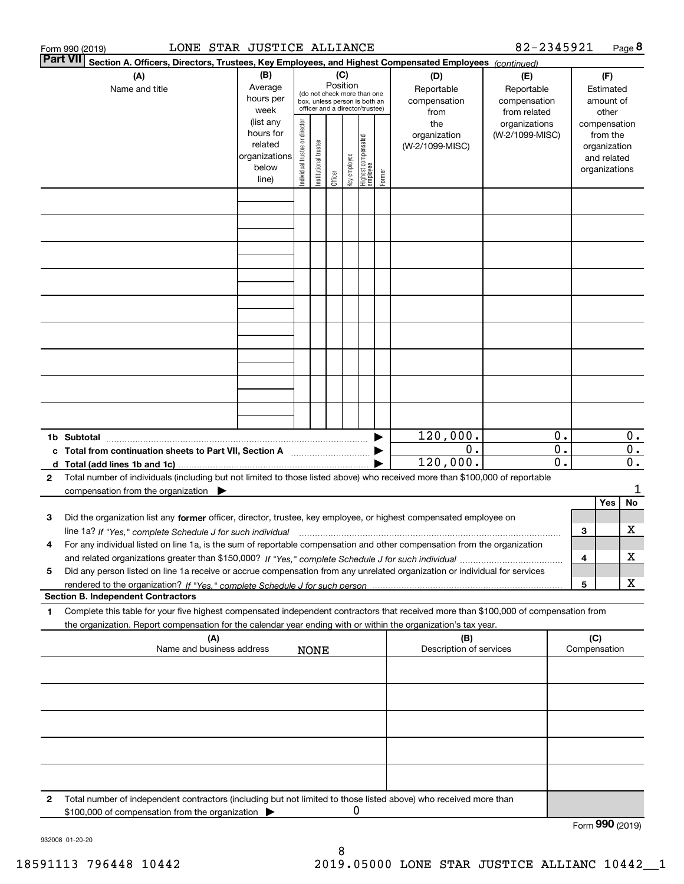|   | LONE STAR JUSTICE ALLIANCE<br>Form 990 (2019)                                                                                                                       |                                                                      |                                |                       |                 |              |                                                                                                 |        |                                           | 82-2345921                                        |                                                                          |     |                                        | Page 8                    |
|---|---------------------------------------------------------------------------------------------------------------------------------------------------------------------|----------------------------------------------------------------------|--------------------------------|-----------------------|-----------------|--------------|-------------------------------------------------------------------------------------------------|--------|-------------------------------------------|---------------------------------------------------|--------------------------------------------------------------------------|-----|----------------------------------------|---------------------------|
|   | Part VII <br>Section A. Officers, Directors, Trustees, Key Employees, and Highest Compensated Employees (continued)                                                 |                                                                      |                                |                       |                 |              |                                                                                                 |        |                                           |                                                   |                                                                          |     |                                        |                           |
|   | (A)<br>Name and title                                                                                                                                               | (B)<br>Average<br>hours per<br>week                                  |                                |                       | (C)<br>Position |              | (do not check more than one<br>box, unless person is both an<br>officer and a director/trustee) |        | (D)<br>Reportable<br>compensation<br>from | (E)<br>Reportable<br>compensation<br>from related |                                                                          |     | (F)<br>Estimated<br>amount of<br>other |                           |
|   |                                                                                                                                                                     | (list any<br>hours for<br>related<br>organizations<br>below<br>line) | Individual trustee or director | Institutional trustee | Officer         | key employee | Highest compensated<br>  employee                                                               | Former | the<br>organization<br>(W-2/1099-MISC)    | organizations<br>(W-2/1099-MISC)                  | compensation<br>from the<br>organization<br>and related<br>organizations |     |                                        |                           |
|   |                                                                                                                                                                     |                                                                      |                                |                       |                 |              |                                                                                                 |        |                                           |                                                   |                                                                          |     |                                        |                           |
|   |                                                                                                                                                                     |                                                                      |                                |                       |                 |              |                                                                                                 |        |                                           |                                                   |                                                                          |     |                                        |                           |
|   |                                                                                                                                                                     |                                                                      |                                |                       |                 |              |                                                                                                 |        |                                           |                                                   |                                                                          |     |                                        |                           |
|   |                                                                                                                                                                     |                                                                      |                                |                       |                 |              |                                                                                                 |        |                                           |                                                   |                                                                          |     |                                        |                           |
|   |                                                                                                                                                                     |                                                                      |                                |                       |                 |              |                                                                                                 |        |                                           |                                                   |                                                                          |     |                                        |                           |
|   |                                                                                                                                                                     |                                                                      |                                |                       |                 |              |                                                                                                 |        |                                           |                                                   |                                                                          |     |                                        |                           |
|   |                                                                                                                                                                     |                                                                      |                                |                       |                 |              |                                                                                                 |        |                                           |                                                   |                                                                          |     |                                        |                           |
|   |                                                                                                                                                                     |                                                                      |                                |                       |                 |              |                                                                                                 |        |                                           |                                                   |                                                                          |     |                                        |                           |
|   |                                                                                                                                                                     |                                                                      |                                |                       |                 |              |                                                                                                 |        |                                           |                                                   |                                                                          |     |                                        |                           |
|   | 1b Subtotal                                                                                                                                                         |                                                                      |                                |                       |                 |              |                                                                                                 |        | 120,000.<br>$\overline{0}$ .              |                                                   | 0.<br>$\overline{0}$ .                                                   |     |                                        | $0$ .<br>$\overline{0}$ . |
|   | c Total from continuation sheets to Part VII, Section A                                                                                                             |                                                                      |                                |                       |                 |              |                                                                                                 |        | 120,000.                                  |                                                   | $\overline{\mathfrak{0}}$ .                                              |     |                                        | $\overline{\mathbf{0}}$ . |
| 2 | Total number of individuals (including but not limited to those listed above) who received more than \$100,000 of reportable                                        |                                                                      |                                |                       |                 |              |                                                                                                 |        |                                           |                                                   |                                                                          |     |                                        | 1                         |
|   | compensation from the organization $\blacktriangleright$                                                                                                            |                                                                      |                                |                       |                 |              |                                                                                                 |        |                                           |                                                   |                                                                          |     | Yes                                    | No                        |
| з | Did the organization list any former officer, director, trustee, key employee, or highest compensated employee on                                                   |                                                                      |                                |                       |                 |              |                                                                                                 |        |                                           |                                                   |                                                                          |     |                                        |                           |
|   | line 1a? If "Yes," complete Schedule J for such individual manufactured contained and the 1a? If "Yes," complete Schedule J for such individual                     |                                                                      |                                |                       |                 |              |                                                                                                 |        |                                           |                                                   |                                                                          | 3   |                                        | х                         |
| 4 | For any individual listed on line 1a, is the sum of reportable compensation and other compensation from the organization                                            |                                                                      |                                |                       |                 |              |                                                                                                 |        |                                           |                                                   |                                                                          | 4   |                                        | х                         |
| 5 | Did any person listed on line 1a receive or accrue compensation from any unrelated organization or individual for services                                          |                                                                      |                                |                       |                 |              |                                                                                                 |        |                                           |                                                   |                                                                          | 5   |                                        | X                         |
|   | <b>Section B. Independent Contractors</b>                                                                                                                           |                                                                      |                                |                       |                 |              |                                                                                                 |        |                                           |                                                   |                                                                          |     |                                        |                           |
| 1 | Complete this table for your five highest compensated independent contractors that received more than \$100,000 of compensation from                                |                                                                      |                                |                       |                 |              |                                                                                                 |        |                                           |                                                   |                                                                          |     |                                        |                           |
|   | the organization. Report compensation for the calendar year ending with or within the organization's tax year.<br>(A)                                               |                                                                      |                                |                       |                 |              |                                                                                                 |        | (B)                                       |                                                   |                                                                          | (C) |                                        |                           |
|   | Name and business address                                                                                                                                           |                                                                      |                                | <b>NONE</b>           |                 |              |                                                                                                 |        | Description of services                   |                                                   |                                                                          |     | Compensation                           |                           |
|   |                                                                                                                                                                     |                                                                      |                                |                       |                 |              |                                                                                                 |        |                                           |                                                   |                                                                          |     |                                        |                           |
|   |                                                                                                                                                                     |                                                                      |                                |                       |                 |              |                                                                                                 |        |                                           |                                                   |                                                                          |     |                                        |                           |
|   |                                                                                                                                                                     |                                                                      |                                |                       |                 |              |                                                                                                 |        |                                           |                                                   |                                                                          |     |                                        |                           |
|   |                                                                                                                                                                     |                                                                      |                                |                       |                 |              |                                                                                                 |        |                                           |                                                   |                                                                          |     |                                        |                           |
|   |                                                                                                                                                                     |                                                                      |                                |                       |                 |              |                                                                                                 |        |                                           |                                                   |                                                                          |     |                                        |                           |
| 2 | Total number of independent contractors (including but not limited to those listed above) who received more than<br>\$100,000 of compensation from the organization |                                                                      |                                |                       |                 | 0            |                                                                                                 |        |                                           |                                                   |                                                                          |     |                                        |                           |
|   |                                                                                                                                                                     |                                                                      |                                |                       |                 |              |                                                                                                 |        |                                           |                                                   |                                                                          |     | Form 990 (2019)                        |                           |

932008 01-20-20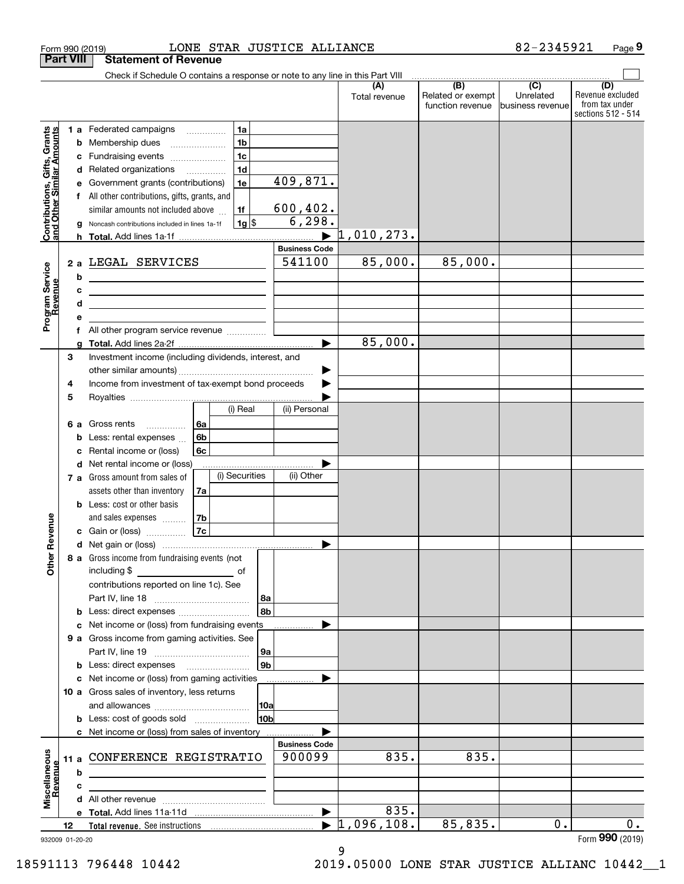|                                                           |                  | LONE STAR JUSTICE ALLIANCE<br>Form 990 (2019)                                                                         |                                                |                      |                                                                                                            | 82-2345921                    | Page 9                                                          |
|-----------------------------------------------------------|------------------|-----------------------------------------------------------------------------------------------------------------------|------------------------------------------------|----------------------|------------------------------------------------------------------------------------------------------------|-------------------------------|-----------------------------------------------------------------|
|                                                           | <b>Part VIII</b> | <b>Statement of Revenue</b>                                                                                           |                                                |                      |                                                                                                            |                               |                                                                 |
|                                                           |                  | Check if Schedule O contains a response or note to any line in this Part VIII                                         |                                                |                      | $\begin{array}{c c c c c c c} \hline \text{ } & \text{(B)} & \text{ } & \text{(C)} & \text{ } \end{array}$ |                               |                                                                 |
|                                                           |                  |                                                                                                                       |                                                | (A)<br>Total revenue | Related or exempt<br>function revenue                                                                      | Unrelated<br>business revenue | (D)<br>Revenue excluded<br>from tax under<br>sections 512 - 514 |
|                                                           |                  | 1a<br>1 a Federated campaigns                                                                                         |                                                |                      |                                                                                                            |                               |                                                                 |
|                                                           |                  | 1 <sub>b</sub><br><b>b</b> Membership dues<br>$\ldots \ldots \ldots \ldots \ldots$                                    |                                                |                      |                                                                                                            |                               |                                                                 |
| Contributions, Gifts, Grants<br>and Other Similar Amounts | с                | 1 <sub>c</sub><br>Fundraising events                                                                                  |                                                |                      |                                                                                                            |                               |                                                                 |
|                                                           |                  | 1 <sub>d</sub><br>d Related organizations                                                                             |                                                |                      |                                                                                                            |                               |                                                                 |
|                                                           | е                | 1e<br>Government grants (contributions)                                                                               | 409,871.                                       |                      |                                                                                                            |                               |                                                                 |
|                                                           |                  | f All other contributions, gifts, grants, and                                                                         |                                                |                      |                                                                                                            |                               |                                                                 |
|                                                           |                  | similar amounts not included above<br>1f                                                                              | 600, 402.<br>6, 298.                           |                      |                                                                                                            |                               |                                                                 |
|                                                           | a                | $1g$ \$<br>Noncash contributions included in lines 1a-1f                                                              |                                                | 1,010,273.           |                                                                                                            |                               |                                                                 |
|                                                           |                  |                                                                                                                       | <b>Business Code</b>                           |                      |                                                                                                            |                               |                                                                 |
|                                                           |                  | 2 a LEGAL SERVICES                                                                                                    | 541100                                         | 85,000.              | 85,000.                                                                                                    |                               |                                                                 |
| Program Service<br>Revenue                                | b                | <u> 1980 - Johann Barn, mars eta bainar eta bat erroman erroman erroman erroman erroman erroman erroman erroman e</u> |                                                |                      |                                                                                                            |                               |                                                                 |
|                                                           | c                | <u> 1980 - John Stein, Amerikaansk politiker (</u>                                                                    |                                                |                      |                                                                                                            |                               |                                                                 |
|                                                           | d                | <u> 1989 - Johann Stoff, Amerikaansk politiker († 1908)</u>                                                           |                                                |                      |                                                                                                            |                               |                                                                 |
|                                                           | е                |                                                                                                                       |                                                |                      |                                                                                                            |                               |                                                                 |
|                                                           | f                | All other program service revenue                                                                                     |                                                |                      |                                                                                                            |                               |                                                                 |
|                                                           | g                |                                                                                                                       |                                                | 85,000.              |                                                                                                            |                               |                                                                 |
|                                                           | 3                | Investment income (including dividends, interest, and                                                                 |                                                |                      |                                                                                                            |                               |                                                                 |
|                                                           |                  |                                                                                                                       | ▶                                              |                      |                                                                                                            |                               |                                                                 |
|                                                           | 4                | Income from investment of tax-exempt bond proceeds                                                                    |                                                |                      |                                                                                                            |                               |                                                                 |
|                                                           | 5                | (i) Real                                                                                                              | (ii) Personal                                  |                      |                                                                                                            |                               |                                                                 |
|                                                           |                  |                                                                                                                       |                                                |                      |                                                                                                            |                               |                                                                 |
|                                                           | 6а<br>b          | 6a<br>Gross rents<br>.<br>6b<br>Less: rental expenses                                                                 |                                                |                      |                                                                                                            |                               |                                                                 |
|                                                           | с                | Rental income or (loss)<br>6c                                                                                         |                                                |                      |                                                                                                            |                               |                                                                 |
|                                                           |                  | d Net rental income or (loss)                                                                                         |                                                |                      |                                                                                                            |                               |                                                                 |
|                                                           |                  | (i) Securities<br>7 a Gross amount from sales of                                                                      | (ii) Other                                     |                      |                                                                                                            |                               |                                                                 |
|                                                           |                  | assets other than inventory<br>7a                                                                                     |                                                |                      |                                                                                                            |                               |                                                                 |
|                                                           |                  | <b>b</b> Less: cost or other basis                                                                                    |                                                |                      |                                                                                                            |                               |                                                                 |
|                                                           |                  | 7b<br>and sales expenses                                                                                              |                                                |                      |                                                                                                            |                               |                                                                 |
| evenue                                                    |                  | 7c<br>c Gain or (loss)                                                                                                |                                                |                      |                                                                                                            |                               |                                                                 |
|                                                           |                  |                                                                                                                       |                                                |                      |                                                                                                            |                               |                                                                 |
| Other <sub>R</sub>                                        |                  | 8 a Gross income from fundraising events (not                                                                         |                                                |                      |                                                                                                            |                               |                                                                 |
|                                                           |                  | including \$                                                                                                          |                                                |                      |                                                                                                            |                               |                                                                 |
|                                                           |                  | contributions reported on line 1c). See                                                                               |                                                |                      |                                                                                                            |                               |                                                                 |
|                                                           |                  | 8a<br>8b                                                                                                              |                                                |                      |                                                                                                            |                               |                                                                 |
|                                                           |                  | <b>b</b> Less: direct expenses <i></i><br>c Net income or (loss) from fundraising events                              |                                                |                      |                                                                                                            |                               |                                                                 |
|                                                           |                  | 9 a Gross income from gaming activities. See                                                                          |                                                |                      |                                                                                                            |                               |                                                                 |
|                                                           |                  | 9a                                                                                                                    |                                                |                      |                                                                                                            |                               |                                                                 |
|                                                           |                  | 9 <sub>b</sub><br><b>b</b> Less: direct expenses <b>manually</b>                                                      |                                                |                      |                                                                                                            |                               |                                                                 |
|                                                           |                  | c Net income or (loss) from gaming activities                                                                         |                                                |                      |                                                                                                            |                               |                                                                 |
|                                                           |                  | 10 a Gross sales of inventory, less returns                                                                           |                                                |                      |                                                                                                            |                               |                                                                 |
|                                                           |                  | 10a                                                                                                                   |                                                |                      |                                                                                                            |                               |                                                                 |
|                                                           |                  | 10 <sub>b</sub><br><b>b</b> Less: cost of goods sold                                                                  |                                                |                      |                                                                                                            |                               |                                                                 |
|                                                           |                  | c Net income or (loss) from sales of inventory                                                                        |                                                |                      |                                                                                                            |                               |                                                                 |
|                                                           |                  |                                                                                                                       | <b>Business Code</b>                           |                      |                                                                                                            |                               |                                                                 |
|                                                           |                  | 11 a CONFERENCE REGISTRATIO                                                                                           | 900099                                         | 835.                 | 835.                                                                                                       |                               |                                                                 |
|                                                           | b                | <u> 1989 - Johann Stein, marwolaethau a bhann an t-Amhair an t-Amhair an t-Amhair an t-Amhair an t-Amhair an t-A</u>  |                                                |                      |                                                                                                            |                               |                                                                 |
| Miscellaneous<br>Revenue                                  | c                |                                                                                                                       |                                                |                      |                                                                                                            |                               |                                                                 |
|                                                           |                  |                                                                                                                       |                                                | 835.                 |                                                                                                            |                               |                                                                 |
|                                                           | 12               |                                                                                                                       | $\blacktriangleright$<br>$\blacktriangleright$ | 1,096,108.           | 85,835.                                                                                                    | 0.                            | 0.                                                              |
|                                                           | 932009 01-20-20  |                                                                                                                       |                                                |                      |                                                                                                            |                               | Form 990 (2019)                                                 |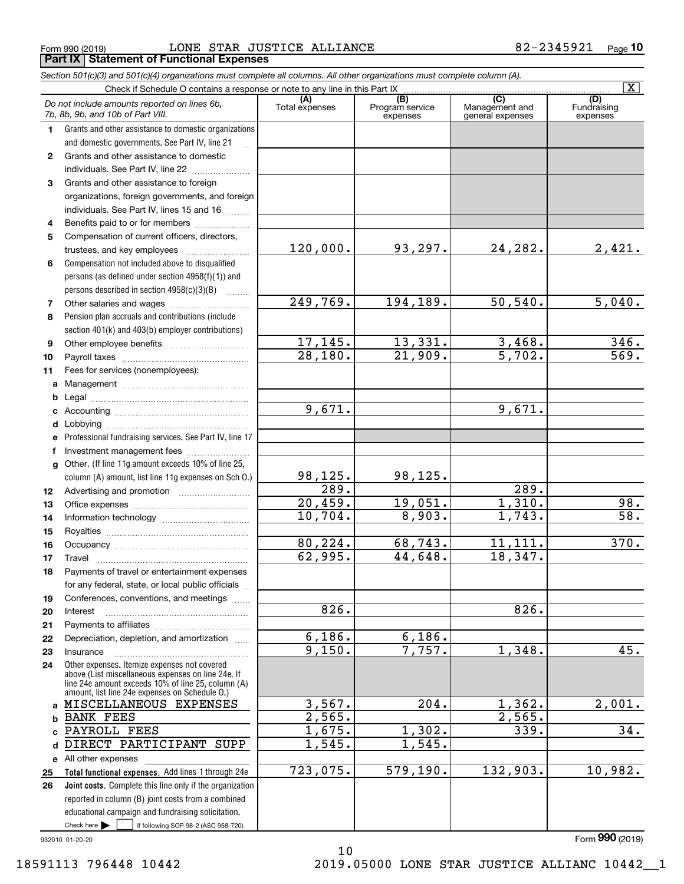$_{\rm Form}$   $_{990}$  (2019)  $_{\rm H2}$   $_{\rm LONE}$   $_{\rm STAR}$   $_{\rm JUSTICE}$   $_{\rm ALLIANCE}$   $_{\rm H2}$   $_{\rm H2}$   $_{\rm H2}$   $_{\rm H2}$   $_{\rm H2}$   $_{\rm H2}$ **Part IX Statement of Functional Expenses**

|                  | Section 501(c)(3) and 501(c)(4) organizations must complete all columns. All other organizations must complete column (A).                                                                                 |                       |                                    |                                                      |                                |
|------------------|------------------------------------------------------------------------------------------------------------------------------------------------------------------------------------------------------------|-----------------------|------------------------------------|------------------------------------------------------|--------------------------------|
|                  | Check if Schedule O contains a response or note to any line in this Part IX                                                                                                                                |                       |                                    |                                                      | $\overline{\mathbf{X}}$        |
|                  | Do not include amounts reported on lines 6b,<br>7b, 8b, 9b, and 10b of Part VIII.                                                                                                                          | (A)<br>Total expenses | (B)<br>Program service<br>expenses | $\overline{C}$<br>Management and<br>general expenses | (D)<br>Fundraising<br>expenses |
| 1.               | Grants and other assistance to domestic organizations                                                                                                                                                      |                       |                                    |                                                      |                                |
|                  | and domestic governments. See Part IV, line 21                                                                                                                                                             |                       |                                    |                                                      |                                |
| $\mathbf{2}$     | Grants and other assistance to domestic                                                                                                                                                                    |                       |                                    |                                                      |                                |
|                  | individuals. See Part IV, line 22                                                                                                                                                                          |                       |                                    |                                                      |                                |
| 3                | Grants and other assistance to foreign                                                                                                                                                                     |                       |                                    |                                                      |                                |
|                  | organizations, foreign governments, and foreign                                                                                                                                                            |                       |                                    |                                                      |                                |
|                  | individuals. See Part IV, lines 15 and 16                                                                                                                                                                  |                       |                                    |                                                      |                                |
| 4                | Benefits paid to or for members                                                                                                                                                                            |                       |                                    |                                                      |                                |
| 5                | Compensation of current officers, directors,                                                                                                                                                               |                       |                                    |                                                      |                                |
|                  |                                                                                                                                                                                                            | 120,000.              | 93,297.                            | 24,282.                                              | 2,421.                         |
| 6                | Compensation not included above to disqualified                                                                                                                                                            |                       |                                    |                                                      |                                |
|                  | persons (as defined under section 4958(f)(1)) and                                                                                                                                                          |                       |                                    |                                                      |                                |
|                  | persons described in section 4958(c)(3)(B)                                                                                                                                                                 |                       |                                    |                                                      |                                |
| 7                |                                                                                                                                                                                                            | 249,769.              | 194,189.                           | 50, 540.                                             | 5,040.                         |
| 8                | Pension plan accruals and contributions (include                                                                                                                                                           |                       |                                    |                                                      |                                |
|                  | section 401(k) and 403(b) employer contributions)                                                                                                                                                          |                       |                                    |                                                      |                                |
| 9                |                                                                                                                                                                                                            | 17, 145.              | 13,331.                            | 3,468.                                               | 346.                           |
| 10               |                                                                                                                                                                                                            | 28,180.               | 21,909.                            | 5,702.                                               | $\overline{569}$ .             |
| 11               | Fees for services (nonemployees):                                                                                                                                                                          |                       |                                    |                                                      |                                |
| а                |                                                                                                                                                                                                            |                       |                                    |                                                      |                                |
| b                |                                                                                                                                                                                                            |                       |                                    |                                                      |                                |
| c                |                                                                                                                                                                                                            | 9,671.                |                                    | 9,671.                                               |                                |
| d                |                                                                                                                                                                                                            |                       |                                    |                                                      |                                |
| е                | Professional fundraising services. See Part IV, line 17                                                                                                                                                    |                       |                                    |                                                      |                                |
| f                | Investment management fees                                                                                                                                                                                 |                       |                                    |                                                      |                                |
| g                | Other. (If line 11g amount exceeds 10% of line 25,                                                                                                                                                         |                       |                                    |                                                      |                                |
|                  | column (A) amount, list line 11g expenses on Sch O.)                                                                                                                                                       | 98,125.               | 98,125.                            |                                                      |                                |
| 12 <sup>12</sup> |                                                                                                                                                                                                            | 289.                  |                                    | 289.                                                 |                                |
| 13               |                                                                                                                                                                                                            | 20,459.               | 19,051.                            | 1,310.                                               | 98.                            |
| 14               |                                                                                                                                                                                                            | 10,704.               | 8,903.                             | 1,743.                                               | $\overline{58}$ .              |
| 15               |                                                                                                                                                                                                            |                       |                                    |                                                      |                                |
| 16               |                                                                                                                                                                                                            | 80,224.               | 68,743.                            | 11,111.                                              | 370.                           |
| 17               |                                                                                                                                                                                                            | 62,995.               | 44,648.                            | 18,347.                                              |                                |
| 18               | Payments of travel or entertainment expenses                                                                                                                                                               |                       |                                    |                                                      |                                |
|                  | for any federal, state, or local public officials                                                                                                                                                          |                       |                                    |                                                      |                                |
| 19               | Conferences, conventions, and meetings                                                                                                                                                                     |                       |                                    |                                                      |                                |
| 20               | Interest                                                                                                                                                                                                   | 826.                  |                                    | 826.                                                 |                                |
| 21               |                                                                                                                                                                                                            |                       |                                    |                                                      |                                |
| 22               | Depreciation, depletion, and amortization                                                                                                                                                                  | 6,186.                | 6,186.                             |                                                      |                                |
| 23               | Insurance                                                                                                                                                                                                  | 9,150.                | 7,757.                             | 1,348.                                               | 45.                            |
| 24               | Other expenses. Itemize expenses not covered<br>above (List miscellaneous expenses on line 24e. If<br>line 24e amount exceeds 10% of line 25, column (A)<br>amount, list line 24e expenses on Schedule O.) |                       |                                    |                                                      |                                |
|                  | a MISCELLANEOUS EXPENSES                                                                                                                                                                                   | 3,567.                | 204.                               | 1,362.                                               | 2,001.                         |
| b                | <b>BANK FEES</b>                                                                                                                                                                                           | 2,565.                |                                    | 2,565.                                               |                                |
|                  | PAYROLL FEES                                                                                                                                                                                               | 1,675.                | 1,302.                             | 339.                                                 | 34.                            |
| d                | DIRECT PARTICIPANT SUPP                                                                                                                                                                                    | 1,545.                | 1,545.                             |                                                      |                                |
|                  | e All other expenses                                                                                                                                                                                       |                       |                                    |                                                      |                                |
| 25               | Total functional expenses. Add lines 1 through 24e                                                                                                                                                         | 723,075.              | 579, 190.                          | 132,903.                                             | 10,982.                        |
| 26               | <b>Joint costs.</b> Complete this line only if the organization                                                                                                                                            |                       |                                    |                                                      |                                |
|                  | reported in column (B) joint costs from a combined                                                                                                                                                         |                       |                                    |                                                      |                                |
|                  | educational campaign and fundraising solicitation.                                                                                                                                                         |                       |                                    |                                                      |                                |
|                  | Check here $\blacktriangleright$<br>if following SOP 98-2 (ASC 958-720)                                                                                                                                    |                       |                                    |                                                      |                                |

10

932010 01-20-20

Form (2019) **990**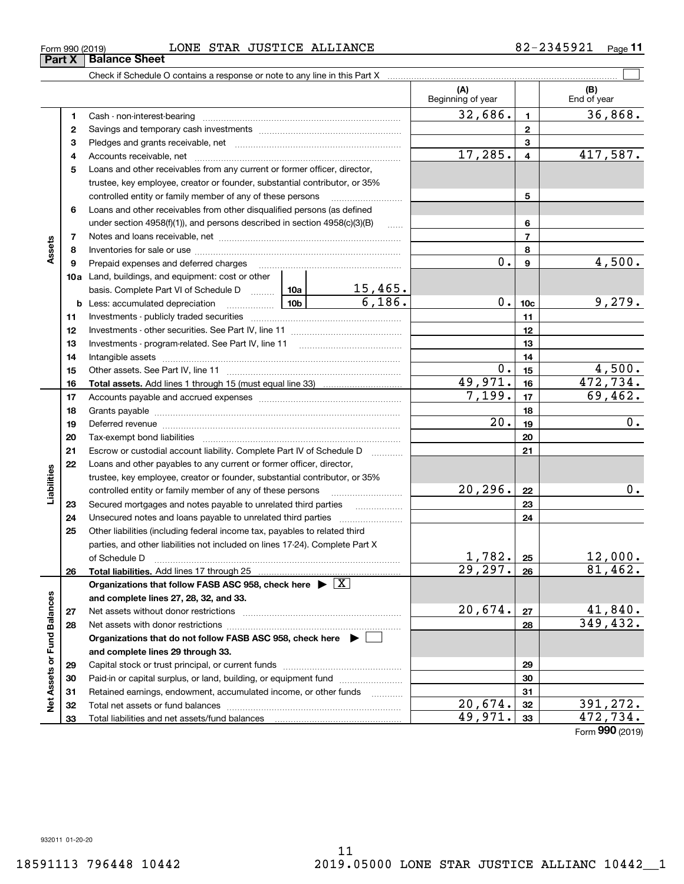|                             |    |                                                                                                                                                                                                                                |        |                          | (A)<br>Beginning of year |                         | (B)<br>End of year |
|-----------------------------|----|--------------------------------------------------------------------------------------------------------------------------------------------------------------------------------------------------------------------------------|--------|--------------------------|--------------------------|-------------------------|--------------------|
|                             | 1  |                                                                                                                                                                                                                                |        |                          | 32,686.                  | $\mathbf{1}$            | 36,868.            |
|                             | 2  |                                                                                                                                                                                                                                |        | $\mathbf{2}$             |                          |                         |                    |
|                             | 3  |                                                                                                                                                                                                                                |        |                          |                          | 3                       |                    |
|                             | 4  |                                                                                                                                                                                                                                |        |                          | 17,285.                  | $\overline{\mathbf{4}}$ | 417,587.           |
|                             | 5  | Loans and other receivables from any current or former officer, director,                                                                                                                                                      |        |                          |                          |                         |                    |
|                             |    | trustee, key employee, creator or founder, substantial contributor, or 35%                                                                                                                                                     |        |                          |                          |                         |                    |
|                             |    | controlled entity or family member of any of these persons                                                                                                                                                                     |        |                          |                          | 5                       |                    |
|                             | 6  | Loans and other receivables from other disqualified persons (as defined                                                                                                                                                        |        |                          |                          |                         |                    |
|                             |    | under section $4958(f)(1)$ , and persons described in section $4958(c)(3)(B)$                                                                                                                                                  |        |                          |                          | 6                       |                    |
|                             | 7  |                                                                                                                                                                                                                                |        |                          |                          | $\overline{7}$          |                    |
| Assets                      | 8  |                                                                                                                                                                                                                                |        |                          |                          | 8                       |                    |
|                             | 9  | Prepaid expenses and deferred charges                                                                                                                                                                                          |        |                          | 0.                       | $\mathbf{9}$            | 4,500.             |
|                             |    | 10a Land, buildings, and equipment: cost or other                                                                                                                                                                              |        |                          |                          |                         |                    |
|                             |    | basis. Complete Part VI of Schedule D  10a                                                                                                                                                                                     |        | $\frac{15,465}{6,186}$ . |                          |                         |                    |
|                             |    | <b>b</b> Less: accumulated depreciation<br>. 1                                                                                                                                                                                 | 10b l  |                          | 0.                       | 10 <sub>c</sub>         | 9,279.             |
|                             | 11 |                                                                                                                                                                                                                                |        |                          |                          | 11                      |                    |
|                             | 12 |                                                                                                                                                                                                                                |        |                          |                          | 12                      |                    |
|                             | 13 |                                                                                                                                                                                                                                |        |                          |                          | 13                      |                    |
|                             | 14 |                                                                                                                                                                                                                                |        |                          |                          | 14                      |                    |
|                             | 15 |                                                                                                                                                                                                                                |        | $0$ .                    | 15                       | 4,500.                  |                    |
|                             | 16 |                                                                                                                                                                                                                                |        |                          | 49,971.                  | 16                      | 472,734.           |
|                             | 17 |                                                                                                                                                                                                                                | 7,199. | 17                       | 69,462.                  |                         |                    |
|                             | 18 |                                                                                                                                                                                                                                |        |                          |                          | 18                      |                    |
|                             | 19 | Deferred revenue manual contracts and contracts are all the contracts and contracts are contracted and contracts are contracted and contract are contracted and contract are contracted and contract are contracted and contra |        |                          | $\overline{20}$ .        | 19                      | $\overline{0}$ .   |
|                             | 20 |                                                                                                                                                                                                                                |        |                          |                          | 20                      |                    |
|                             | 21 | Escrow or custodial account liability. Complete Part IV of Schedule D                                                                                                                                                          |        | 1.1.1.1.1.1.1.1.1        |                          | 21                      |                    |
|                             | 22 | Loans and other payables to any current or former officer, director,                                                                                                                                                           |        |                          |                          |                         |                    |
| Liabilities                 |    | trustee, key employee, creator or founder, substantial contributor, or 35%                                                                                                                                                     |        |                          |                          |                         |                    |
|                             |    | controlled entity or family member of any of these persons                                                                                                                                                                     |        |                          | 20, 296.                 | 22                      | $0$ .              |
|                             | 23 |                                                                                                                                                                                                                                |        |                          |                          | 23                      |                    |
|                             | 24 | Unsecured notes and loans payable to unrelated third parties                                                                                                                                                                   |        |                          |                          | 24                      |                    |
|                             | 25 | Other liabilities (including federal income tax, payables to related third                                                                                                                                                     |        |                          |                          |                         |                    |
|                             |    | parties, and other liabilities not included on lines 17-24). Complete Part X                                                                                                                                                   |        |                          |                          |                         |                    |
|                             |    | of Schedule D                                                                                                                                                                                                                  |        |                          | $1,782.$ 25              |                         | 12,000.            |
|                             | 26 |                                                                                                                                                                                                                                |        |                          | 29, 297.                 | 26                      | 81,462.            |
|                             |    | Organizations that follow FASB ASC 958, check here $\blacktriangleright \boxed{X}$                                                                                                                                             |        |                          |                          |                         |                    |
|                             |    | and complete lines 27, 28, 32, and 33.                                                                                                                                                                                         |        |                          |                          |                         |                    |
|                             | 27 | Net assets without donor restrictions                                                                                                                                                                                          |        |                          | 20,674.                  | 27                      | 41,840.            |
|                             | 28 |                                                                                                                                                                                                                                |        |                          |                          | 28                      | 349, 432.          |
|                             |    | Organizations that do not follow FASB ASC 958, check here ▶ [                                                                                                                                                                  |        |                          |                          |                         |                    |
|                             |    | and complete lines 29 through 33.                                                                                                                                                                                              |        |                          |                          |                         |                    |
|                             | 29 |                                                                                                                                                                                                                                |        |                          |                          | 29                      |                    |
|                             | 30 | Paid-in or capital surplus, or land, building, or equipment fund                                                                                                                                                               |        |                          |                          | 30                      |                    |
| Net Assets or Fund Balances | 31 | Retained earnings, endowment, accumulated income, or other funds                                                                                                                                                               |        |                          |                          | 31                      |                    |
|                             | 32 |                                                                                                                                                                                                                                |        |                          | 20,674.                  | 32                      | 391,272.           |
|                             | 33 |                                                                                                                                                                                                                                |        |                          | 49,971.                  | 33                      | 472,734.           |
|                             |    |                                                                                                                                                                                                                                |        |                          |                          |                         | Form 990 (2019)    |

 $_{\rm Form}$   $_{990}$  (2019)  $_{\rm H2}$   $_{\rm LONE}$   $_{\rm STAR}$   $_{\rm JUSTICE}$   $_{\rm ALLIANCE}$   $_{\rm H2}$   $_{\rm H2}$   $_{\rm H2}$   $_{\rm H2}$   $_{\rm H2}$   $_{\rm H2}$ 

**11**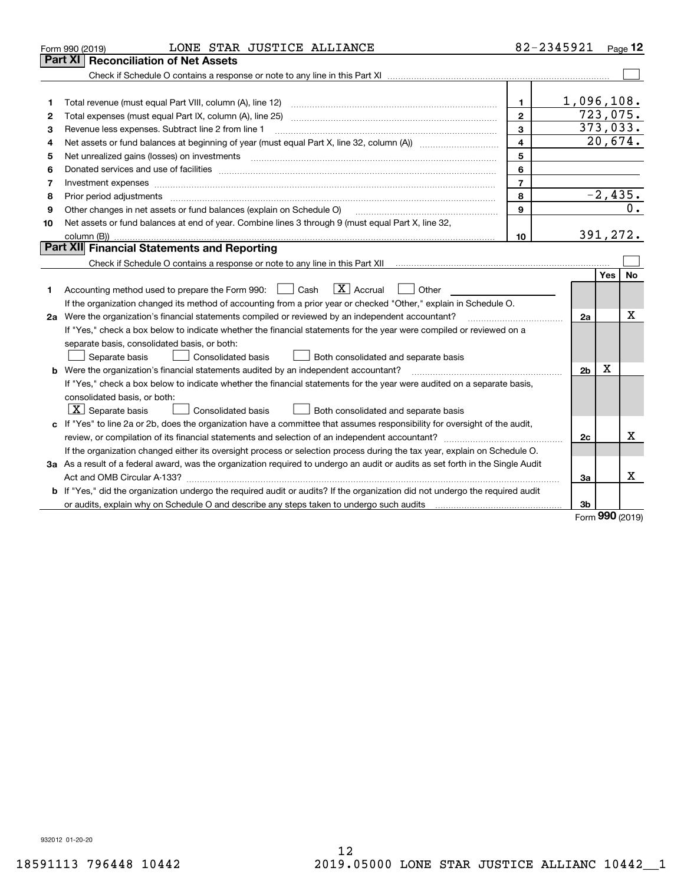|    | LONE STAR JUSTICE ALLIANCE<br>Form 990 (2019)                                                                                   |                         | 82-2345921     |            | Page 12   |
|----|---------------------------------------------------------------------------------------------------------------------------------|-------------------------|----------------|------------|-----------|
|    | <b>Reconciliation of Net Assets</b><br>Part XI                                                                                  |                         |                |            |           |
|    |                                                                                                                                 |                         |                |            |           |
|    |                                                                                                                                 |                         |                |            |           |
| 1  | Total revenue (must equal Part VIII, column (A), line 12)                                                                       | 1.                      | 1,096,108.     |            |           |
| 2  |                                                                                                                                 | $\mathbf{2}$            | 723,075.       |            |           |
| з  | Revenue less expenses. Subtract line 2 from line 1                                                                              | $\mathbf{3}$            | 373,033.       |            |           |
| 4  |                                                                                                                                 | $\overline{\mathbf{A}}$ |                |            | 20,674.   |
| 5  | Net unrealized gains (losses) on investments                                                                                    | 5                       |                |            |           |
| 6  |                                                                                                                                 | 6                       |                |            |           |
| 7  | Investment expenses www.communication.communication.com/www.communication.com/www.communication.com                             | $\overline{7}$          |                |            |           |
| 8  | Prior period adjustments                                                                                                        | 8                       |                |            | $-2,435.$ |
| 9  | Other changes in net assets or fund balances (explain on Schedule O)                                                            | $\mathbf{9}$            |                |            | 0.        |
| 10 | Net assets or fund balances at end of year. Combine lines 3 through 9 (must equal Part X, line 32,                              |                         |                |            |           |
|    | column (B))                                                                                                                     | 10                      | 391,272.       |            |           |
|    | Part XII Financial Statements and Reporting                                                                                     |                         |                |            |           |
|    |                                                                                                                                 |                         |                |            |           |
|    |                                                                                                                                 |                         |                | <b>Yes</b> | No        |
| 1. | $ X $ Accrual<br>Accounting method used to prepare the Form 990: <u>June</u> Cash<br>Other                                      |                         |                |            |           |
|    | If the organization changed its method of accounting from a prior year or checked "Other," explain in Schedule O.               |                         |                |            |           |
|    | 2a Were the organization's financial statements compiled or reviewed by an independent accountant?                              |                         | 2a             |            | х         |
|    | If "Yes," check a box below to indicate whether the financial statements for the year were compiled or reviewed on a            |                         |                |            |           |
|    | separate basis, consolidated basis, or both:                                                                                    |                         |                |            |           |
|    | Separate basis<br>Consolidated basis<br>Both consolidated and separate basis                                                    |                         |                |            |           |
|    | <b>b</b> Were the organization's financial statements audited by an independent accountant?                                     |                         | 2 <sub>b</sub> | х          |           |
|    | If "Yes," check a box below to indicate whether the financial statements for the year were audited on a separate basis,         |                         |                |            |           |
|    | consolidated basis, or both:                                                                                                    |                         |                |            |           |
|    | $\vert$ X $\vert$ Separate basis<br>Consolidated basis<br>Both consolidated and separate basis                                  |                         |                |            |           |
|    | c If "Yes" to line 2a or 2b, does the organization have a committee that assumes responsibility for oversight of the audit,     |                         |                |            |           |
|    |                                                                                                                                 |                         | 2c             |            | x         |
|    | If the organization changed either its oversight process or selection process during the tax year, explain on Schedule O.       |                         |                |            |           |
|    | 3a As a result of a federal award, was the organization required to undergo an audit or audits as set forth in the Single Audit |                         |                |            |           |
|    |                                                                                                                                 |                         | За             |            | x         |
|    | b If "Yes," did the organization undergo the required audit or audits? If the organization did not undergo the required audit   |                         |                |            |           |
|    |                                                                                                                                 |                         | 3b             |            |           |

Form (2019) **990**

932012 01-20-20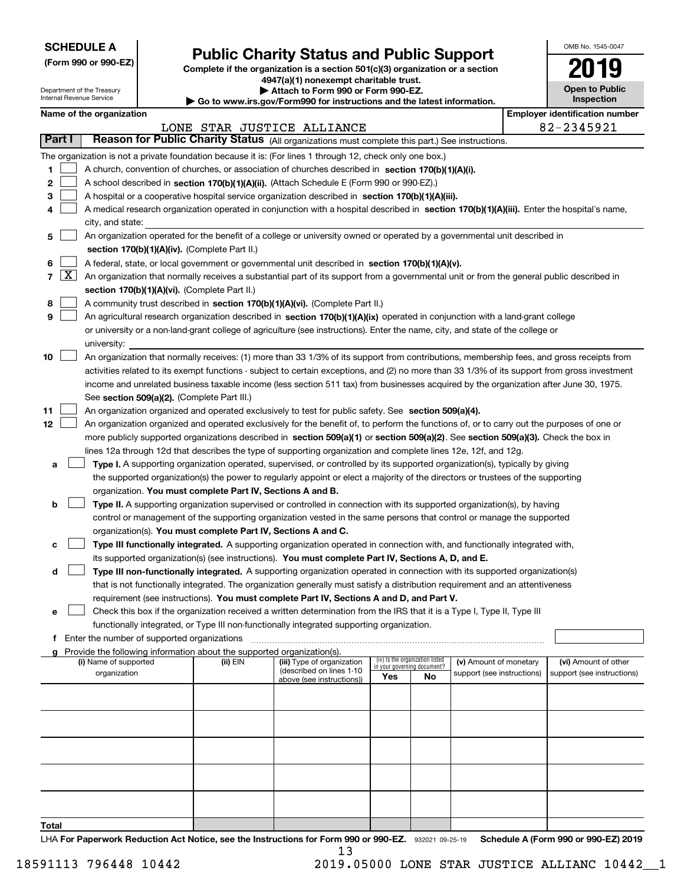| <b>SCHEDULE A</b> |
|-------------------|
|-------------------|

Department of the Treasury Internal Revenue Service

**(Form 990 or 990-EZ)**

# **Public Charity Status and Public Support**

**Complete if the organization is a section 501(c)(3) organization or a section 4947(a)(1) nonexempt charitable trust. | Attach to Form 990 or Form 990-EZ.** 

| ▶ Go to www.irs.gov/Form990 for instructions and the latest information. |
|--------------------------------------------------------------------------|

| OMB No 1545-0047                    |
|-------------------------------------|
| 2019                                |
| <b>Open to Public</b><br>Inspection |

п

| Name of the organization |  |
|--------------------------|--|
|--------------------------|--|

|    |            | Name of the organization                                                                                                                      |          |                                                        |                             |                                 |                            |  | <b>Employer identification number</b> |  |
|----|------------|-----------------------------------------------------------------------------------------------------------------------------------------------|----------|--------------------------------------------------------|-----------------------------|---------------------------------|----------------------------|--|---------------------------------------|--|
|    |            |                                                                                                                                               |          | LONE STAR JUSTICE ALLIANCE                             |                             |                                 |                            |  | 82-2345921                            |  |
|    | Part I     | Reason for Public Charity Status (All organizations must complete this part.) See instructions.                                               |          |                                                        |                             |                                 |                            |  |                                       |  |
|    |            | The organization is not a private foundation because it is: (For lines 1 through 12, check only one box.)                                     |          |                                                        |                             |                                 |                            |  |                                       |  |
| 1  |            | A church, convention of churches, or association of churches described in section 170(b)(1)(A)(i).                                            |          |                                                        |                             |                                 |                            |  |                                       |  |
| 2  |            | A school described in section 170(b)(1)(A)(ii). (Attach Schedule E (Form 990 or 990-EZ).)                                                     |          |                                                        |                             |                                 |                            |  |                                       |  |
| з  |            | A hospital or a cooperative hospital service organization described in section 170(b)(1)(A)(iii).                                             |          |                                                        |                             |                                 |                            |  |                                       |  |
|    |            | A medical research organization operated in conjunction with a hospital described in section 170(b)(1)(A)(iii). Enter the hospital's name,    |          |                                                        |                             |                                 |                            |  |                                       |  |
|    |            | city, and state:                                                                                                                              |          |                                                        |                             |                                 |                            |  |                                       |  |
| 5  |            | An organization operated for the benefit of a college or university owned or operated by a governmental unit described in                     |          |                                                        |                             |                                 |                            |  |                                       |  |
|    |            | section 170(b)(1)(A)(iv). (Complete Part II.)                                                                                                 |          |                                                        |                             |                                 |                            |  |                                       |  |
| 6  |            | A federal, state, or local government or governmental unit described in section 170(b)(1)(A)(v).                                              |          |                                                        |                             |                                 |                            |  |                                       |  |
|    | $7 \times$ | An organization that normally receives a substantial part of its support from a governmental unit or from the general public described in     |          |                                                        |                             |                                 |                            |  |                                       |  |
|    |            | section 170(b)(1)(A)(vi). (Complete Part II.)                                                                                                 |          |                                                        |                             |                                 |                            |  |                                       |  |
| 8  |            | A community trust described in section 170(b)(1)(A)(vi). (Complete Part II.)                                                                  |          |                                                        |                             |                                 |                            |  |                                       |  |
| 9  |            | An agricultural research organization described in section 170(b)(1)(A)(ix) operated in conjunction with a land-grant college                 |          |                                                        |                             |                                 |                            |  |                                       |  |
|    |            | or university or a non-land-grant college of agriculture (see instructions). Enter the name, city, and state of the college or                |          |                                                        |                             |                                 |                            |  |                                       |  |
|    |            | university:                                                                                                                                   |          |                                                        |                             |                                 |                            |  |                                       |  |
| 10 |            | An organization that normally receives: (1) more than 33 1/3% of its support from contributions, membership fees, and gross receipts from     |          |                                                        |                             |                                 |                            |  |                                       |  |
|    |            | activities related to its exempt functions - subject to certain exceptions, and (2) no more than 33 1/3% of its support from gross investment |          |                                                        |                             |                                 |                            |  |                                       |  |
|    |            | income and unrelated business taxable income (less section 511 tax) from businesses acquired by the organization after June 30, 1975.         |          |                                                        |                             |                                 |                            |  |                                       |  |
|    |            | See section 509(a)(2). (Complete Part III.)                                                                                                   |          |                                                        |                             |                                 |                            |  |                                       |  |
| 11 |            | An organization organized and operated exclusively to test for public safety. See section 509(a)(4).                                          |          |                                                        |                             |                                 |                            |  |                                       |  |
| 12 |            | An organization organized and operated exclusively for the benefit of, to perform the functions of, or to carry out the purposes of one or    |          |                                                        |                             |                                 |                            |  |                                       |  |
|    |            | more publicly supported organizations described in section 509(a)(1) or section 509(a)(2). See section 509(a)(3). Check the box in            |          |                                                        |                             |                                 |                            |  |                                       |  |
|    |            | lines 12a through 12d that describes the type of supporting organization and complete lines 12e, 12f, and 12g.                                |          |                                                        |                             |                                 |                            |  |                                       |  |
| а  |            | Type I. A supporting organization operated, supervised, or controlled by its supported organization(s), typically by giving                   |          |                                                        |                             |                                 |                            |  |                                       |  |
|    |            | the supported organization(s) the power to regularly appoint or elect a majority of the directors or trustees of the supporting               |          |                                                        |                             |                                 |                            |  |                                       |  |
|    |            | organization. You must complete Part IV, Sections A and B.                                                                                    |          |                                                        |                             |                                 |                            |  |                                       |  |
| b  |            | Type II. A supporting organization supervised or controlled in connection with its supported organization(s), by having                       |          |                                                        |                             |                                 |                            |  |                                       |  |
|    |            | control or management of the supporting organization vested in the same persons that control or manage the supported                          |          |                                                        |                             |                                 |                            |  |                                       |  |
|    |            | organization(s). You must complete Part IV, Sections A and C.                                                                                 |          |                                                        |                             |                                 |                            |  |                                       |  |
| с  |            | Type III functionally integrated. A supporting organization operated in connection with, and functionally integrated with,                    |          |                                                        |                             |                                 |                            |  |                                       |  |
|    |            | its supported organization(s) (see instructions). You must complete Part IV, Sections A, D, and E.                                            |          |                                                        |                             |                                 |                            |  |                                       |  |
| d  |            | Type III non-functionally integrated. A supporting organization operated in connection with its supported organization(s)                     |          |                                                        |                             |                                 |                            |  |                                       |  |
|    |            | that is not functionally integrated. The organization generally must satisfy a distribution requirement and an attentiveness                  |          |                                                        |                             |                                 |                            |  |                                       |  |
|    |            | requirement (see instructions). You must complete Part IV, Sections A and D, and Part V.                                                      |          |                                                        |                             |                                 |                            |  |                                       |  |
| е  |            | Check this box if the organization received a written determination from the IRS that it is a Type I, Type II, Type III                       |          |                                                        |                             |                                 |                            |  |                                       |  |
|    |            | functionally integrated, or Type III non-functionally integrated supporting organization.                                                     |          |                                                        |                             |                                 |                            |  |                                       |  |
|    |            | f Enter the number of supported organizations                                                                                                 |          |                                                        |                             |                                 |                            |  |                                       |  |
|    |            | g Provide the following information about the supported organization(s).                                                                      |          |                                                        |                             |                                 |                            |  |                                       |  |
|    |            | (i) Name of supported                                                                                                                         | (ii) EIN | (iii) Type of organization<br>(described on lines 1-10 | in your governing document? | (iv) Is the organization listed | (v) Amount of monetary     |  | (vi) Amount of other                  |  |
|    |            | organization                                                                                                                                  |          | above (see instructions))                              | Yes                         | No.                             | support (see instructions) |  | support (see instructions)            |  |
|    |            |                                                                                                                                               |          |                                                        |                             |                                 |                            |  |                                       |  |
|    |            |                                                                                                                                               |          |                                                        |                             |                                 |                            |  |                                       |  |
|    |            |                                                                                                                                               |          |                                                        |                             |                                 |                            |  |                                       |  |
|    |            |                                                                                                                                               |          |                                                        |                             |                                 |                            |  |                                       |  |
|    |            |                                                                                                                                               |          |                                                        |                             |                                 |                            |  |                                       |  |
|    |            |                                                                                                                                               |          |                                                        |                             |                                 |                            |  |                                       |  |
|    |            |                                                                                                                                               |          |                                                        |                             |                                 |                            |  |                                       |  |
|    |            |                                                                                                                                               |          |                                                        |                             |                                 |                            |  |                                       |  |
|    |            |                                                                                                                                               |          |                                                        |                             |                                 |                            |  |                                       |  |
|    |            |                                                                                                                                               |          |                                                        |                             |                                 |                            |  |                                       |  |
|    |            |                                                                                                                                               |          |                                                        |                             |                                 |                            |  |                                       |  |

**Total**

LHA For Paperwork Reduction Act Notice, see the Instructions for Form 990 or 990-EZ. 932021 09-25-19 Schedule A (Form 990 or 990-EZ) 2019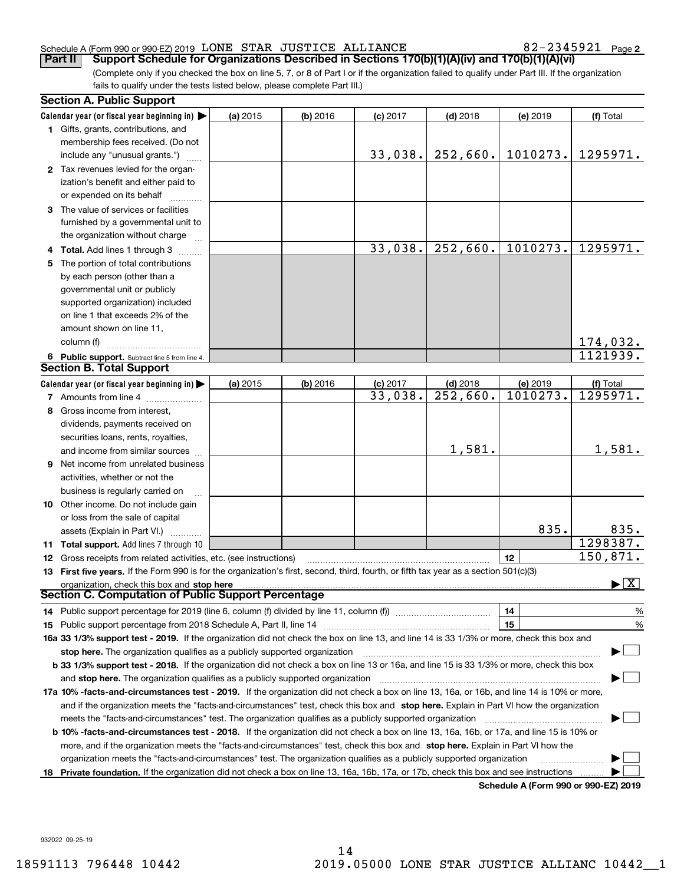#### Schedule A (Form 990 or 990-EZ) 2019 Page LONE STAR JUSTICE ALLIANCE 82-2345921

82-2345921 Page 2

(Complete only if you checked the box on line 5, 7, or 8 of Part I or if the organization failed to qualify under Part III. If the organization fails to qualify under the tests listed below, please complete Part III.) **Part II Support Schedule for Organizations Described in Sections 170(b)(1)(A)(iv) and 170(b)(1)(A)(vi)**

|    | <b>Section A. Public Support</b>                                                                                                               |          |            |            |                        |                                             |                                          |
|----|------------------------------------------------------------------------------------------------------------------------------------------------|----------|------------|------------|------------------------|---------------------------------------------|------------------------------------------|
|    | Calendar year (or fiscal year beginning in) $\blacktriangleright$                                                                              | (a) 2015 | $(b)$ 2016 | $(c)$ 2017 | $(d)$ 2018             | (e) 2019                                    | (f) Total                                |
|    | 1 Gifts, grants, contributions, and                                                                                                            |          |            |            |                        |                                             |                                          |
|    | membership fees received. (Do not                                                                                                              |          |            |            |                        |                                             |                                          |
|    | include any "unusual grants.")                                                                                                                 |          |            | 33,038.    | 252,660.               | 1010273.                                    | 1295971.                                 |
|    | 2 Tax revenues levied for the organ-                                                                                                           |          |            |            |                        |                                             |                                          |
|    | ization's benefit and either paid to                                                                                                           |          |            |            |                        |                                             |                                          |
|    | or expended on its behalf                                                                                                                      |          |            |            |                        |                                             |                                          |
|    | 3 The value of services or facilities                                                                                                          |          |            |            |                        |                                             |                                          |
|    | furnished by a governmental unit to                                                                                                            |          |            |            |                        |                                             |                                          |
|    | the organization without charge                                                                                                                |          |            |            |                        |                                             |                                          |
|    | 4 Total. Add lines 1 through 3                                                                                                                 |          |            | 33,038.    | 252,660.               | 1010273.                                    | 1295971.                                 |
| 5. | The portion of total contributions                                                                                                             |          |            |            |                        |                                             |                                          |
|    | by each person (other than a                                                                                                                   |          |            |            |                        |                                             |                                          |
|    | governmental unit or publicly                                                                                                                  |          |            |            |                        |                                             |                                          |
|    | supported organization) included                                                                                                               |          |            |            |                        |                                             |                                          |
|    | on line 1 that exceeds 2% of the                                                                                                               |          |            |            |                        |                                             |                                          |
|    | amount shown on line 11,                                                                                                                       |          |            |            |                        |                                             |                                          |
|    | column (f)                                                                                                                                     |          |            |            |                        |                                             | 174,032.                                 |
|    | 6 Public support. Subtract line 5 from line 4.                                                                                                 |          |            |            |                        |                                             | 1121939.                                 |
|    | <b>Section B. Total Support</b>                                                                                                                |          |            |            |                        |                                             |                                          |
|    | Calendar year (or fiscal year beginning in) $\blacktriangleright$                                                                              | (a) 2015 | $(b)$ 2016 | $(c)$ 2017 | $(d)$ 2018             | (e) 2019                                    | (f) Total                                |
|    | 7 Amounts from line 4                                                                                                                          |          |            | 33,038.    | $\overline{252,660}$ . | 1010273.                                    | 1295971.                                 |
|    | 8 Gross income from interest,                                                                                                                  |          |            |            |                        |                                             |                                          |
|    | dividends, payments received on                                                                                                                |          |            |            |                        |                                             |                                          |
|    | securities loans, rents, royalties,                                                                                                            |          |            |            |                        |                                             |                                          |
|    | and income from similar sources                                                                                                                |          |            |            | 1,581.                 |                                             | 1,581.                                   |
|    | 9 Net income from unrelated business                                                                                                           |          |            |            |                        |                                             |                                          |
|    | activities, whether or not the                                                                                                                 |          |            |            |                        |                                             |                                          |
|    | business is regularly carried on                                                                                                               |          |            |            |                        |                                             |                                          |
|    | 10 Other income. Do not include gain                                                                                                           |          |            |            |                        |                                             |                                          |
|    | or loss from the sale of capital                                                                                                               |          |            |            |                        |                                             |                                          |
|    | assets (Explain in Part VI.) <b>Constant</b>                                                                                                   |          |            |            |                        | 835.                                        | 835.                                     |
|    | 11 Total support. Add lines 7 through 10                                                                                                       |          |            |            |                        |                                             | 1298387.                                 |
|    | <b>12</b> Gross receipts from related activities, etc. (see instructions)                                                                      |          |            |            |                        | 12                                          | 150,871.                                 |
|    | 13 First five years. If the Form 990 is for the organization's first, second, third, fourth, or fifth tax year as a section 501(c)(3)          |          |            |            |                        |                                             |                                          |
|    | organization, check this box and stop here                                                                                                     |          |            |            |                        |                                             | $\blacktriangleright$ $\boxed{\text{X}}$ |
|    | Section C. Computation of Public Support Percentage                                                                                            |          |            |            |                        |                                             |                                          |
|    | 14 Public support percentage for 2019 (line 6, column (f) divided by line 11, column (f) <i>manumeronoming</i>                                 |          |            |            |                        | 14                                          | %                                        |
|    |                                                                                                                                                |          |            |            |                        | 15                                          | $\%$                                     |
|    | 16a 33 1/3% support test - 2019. If the organization did not check the box on line 13, and line 14 is 33 1/3% or more, check this box and      |          |            |            |                        |                                             |                                          |
|    | stop here. The organization qualifies as a publicly supported organization                                                                     |          |            |            |                        |                                             |                                          |
|    | b 33 1/3% support test - 2018. If the organization did not check a box on line 13 or 16a, and line 15 is 33 1/3% or more, check this box       |          |            |            |                        |                                             |                                          |
|    | and stop here. The organization qualifies as a publicly supported organization                                                                 |          |            |            |                        |                                             |                                          |
|    | 17a 10% -facts-and-circumstances test - 2019. If the organization did not check a box on line 13, 16a, or 16b, and line 14 is 10% or more,     |          |            |            |                        |                                             |                                          |
|    | and if the organization meets the "facts-and-circumstances" test, check this box and stop here. Explain in Part VI how the organization        |          |            |            |                        |                                             |                                          |
|    | meets the "facts-and-circumstances" test. The organization qualifies as a publicly supported organization <i>manumumumumumum</i>               |          |            |            |                        |                                             |                                          |
|    | <b>b 10% -facts-and-circumstances test - 2018.</b> If the organization did not check a box on line 13, 16a, 16b, or 17a, and line 15 is 10% or |          |            |            |                        |                                             |                                          |
|    | more, and if the organization meets the "facts-and-circumstances" test, check this box and stop here. Explain in Part VI how the               |          |            |            |                        |                                             |                                          |
|    | organization meets the "facts-and-circumstances" test. The organization qualifies as a publicly supported organization                         |          |            |            |                        |                                             |                                          |
|    | 18 Private foundation. If the organization did not check a box on line 13, 16a, 16b, 17a, or 17b, check this box and see instructions          |          |            |            |                        |                                             |                                          |
|    |                                                                                                                                                |          |            |            |                        | <b>Cohodulo A (Form 000 or 000 EZ) 2010</b> |                                          |

**Schedule A (Form 990 or 990-EZ) 2019**

932022 09-25-19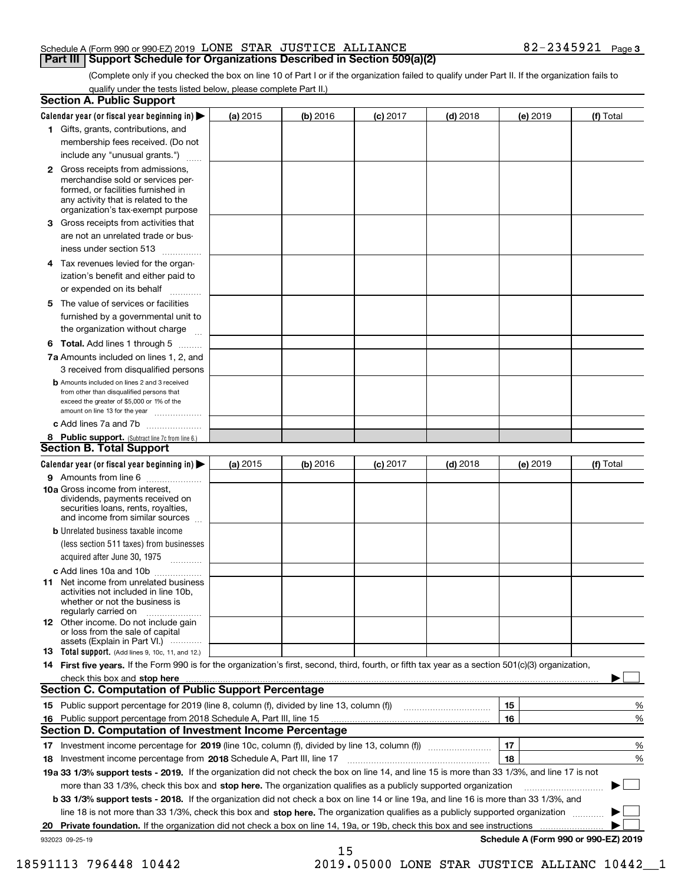#### Schedule A (Form 990 or 990-EZ) 2019 Page LONE STAR JUSTICE ALLIANCE 82-2345921 **Part III Support Schedule for Organizations Described in Section 509(a)(2)**

(Complete only if you checked the box on line 10 of Part I or if the organization failed to qualify under Part II. If the organization fails to qualify under the tests listed below, please complete Part II.)

|    | <b>Section A. Public Support</b>                                                                                                                                                                                                                                   |          |          |            |            |          |                                      |
|----|--------------------------------------------------------------------------------------------------------------------------------------------------------------------------------------------------------------------------------------------------------------------|----------|----------|------------|------------|----------|--------------------------------------|
|    | Calendar year (or fiscal year beginning in) $\blacktriangleright$                                                                                                                                                                                                  | (a) 2015 | (b) 2016 | $(c)$ 2017 | $(d)$ 2018 | (e) 2019 | (f) Total                            |
|    | 1 Gifts, grants, contributions, and                                                                                                                                                                                                                                |          |          |            |            |          |                                      |
|    | membership fees received. (Do not                                                                                                                                                                                                                                  |          |          |            |            |          |                                      |
|    | include any "unusual grants.")                                                                                                                                                                                                                                     |          |          |            |            |          |                                      |
|    | <b>2</b> Gross receipts from admissions,<br>merchandise sold or services per-<br>formed, or facilities furnished in<br>any activity that is related to the<br>organization's tax-exempt purpose                                                                    |          |          |            |            |          |                                      |
|    | 3 Gross receipts from activities that<br>are not an unrelated trade or bus-                                                                                                                                                                                        |          |          |            |            |          |                                      |
|    | iness under section 513                                                                                                                                                                                                                                            |          |          |            |            |          |                                      |
|    | 4 Tax revenues levied for the organ-<br>ization's benefit and either paid to                                                                                                                                                                                       |          |          |            |            |          |                                      |
|    | or expended on its behalf<br>.                                                                                                                                                                                                                                     |          |          |            |            |          |                                      |
|    | 5 The value of services or facilities<br>furnished by a governmental unit to                                                                                                                                                                                       |          |          |            |            |          |                                      |
|    | the organization without charge                                                                                                                                                                                                                                    |          |          |            |            |          |                                      |
|    | <b>6 Total.</b> Add lines 1 through 5                                                                                                                                                                                                                              |          |          |            |            |          |                                      |
|    | 7a Amounts included on lines 1, 2, and<br>3 received from disqualified persons                                                                                                                                                                                     |          |          |            |            |          |                                      |
|    | <b>b</b> Amounts included on lines 2 and 3 received<br>from other than disqualified persons that<br>exceed the greater of \$5,000 or 1% of the<br>amount on line 13 for the year                                                                                   |          |          |            |            |          |                                      |
|    | c Add lines 7a and 7b                                                                                                                                                                                                                                              |          |          |            |            |          |                                      |
|    | 8 Public support. (Subtract line 7c from line 6.)<br><b>Section B. Total Support</b>                                                                                                                                                                               |          |          |            |            |          |                                      |
|    | Calendar year (or fiscal year beginning in)                                                                                                                                                                                                                        | (a) 2015 | (b) 2016 | $(c)$ 2017 | $(d)$ 2018 | (e) 2019 | (f) Total                            |
|    | 9 Amounts from line 6                                                                                                                                                                                                                                              |          |          |            |            |          |                                      |
|    | 10a Gross income from interest,<br>dividends, payments received on<br>securities loans, rents, royalties,<br>and income from similar sources                                                                                                                       |          |          |            |            |          |                                      |
|    | <b>b</b> Unrelated business taxable income                                                                                                                                                                                                                         |          |          |            |            |          |                                      |
|    | (less section 511 taxes) from businesses                                                                                                                                                                                                                           |          |          |            |            |          |                                      |
|    | acquired after June 30, 1975                                                                                                                                                                                                                                       |          |          |            |            |          |                                      |
|    | c Add lines 10a and 10b                                                                                                                                                                                                                                            |          |          |            |            |          |                                      |
|    | 11 Net income from unrelated business<br>activities not included in line 10b,<br>whether or not the business is<br>regularly carried on                                                                                                                            |          |          |            |            |          |                                      |
|    | <b>12</b> Other income. Do not include gain<br>or loss from the sale of capital<br>assets (Explain in Part VI.)                                                                                                                                                    |          |          |            |            |          |                                      |
|    | <b>13</b> Total support. (Add lines 9, 10c, 11, and 12.)                                                                                                                                                                                                           |          |          |            |            |          |                                      |
|    | 14 First five years. If the Form 990 is for the organization's first, second, third, fourth, or fifth tax year as a section 501(c)(3) organization,                                                                                                                |          |          |            |            |          |                                      |
|    | check this box and stop here measurements are constructed as the state of the state of the state of the state o<br>Section C. Computation of Public Support Percentage                                                                                             |          |          |            |            |          |                                      |
|    | 15 Public support percentage for 2019 (line 8, column (f), divided by line 13, column (f))                                                                                                                                                                         |          |          |            |            | 15       | %                                    |
|    | 16 Public support percentage from 2018 Schedule A, Part III, line 15                                                                                                                                                                                               |          |          |            |            | 16       | %                                    |
|    | <b>Section D. Computation of Investment Income Percentage</b>                                                                                                                                                                                                      |          |          |            |            |          |                                      |
|    | 17 Investment income percentage for 2019 (line 10c, column (f), divided by line 13, column (f))                                                                                                                                                                    |          |          |            |            | 17       | %                                    |
|    | <b>18</b> Investment income percentage from <b>2018</b> Schedule A, Part III, line 17                                                                                                                                                                              |          |          |            |            | 18       | %                                    |
|    | 19a 33 1/3% support tests - 2019. If the organization did not check the box on line 14, and line 15 is more than 33 1/3%, and line 17 is not                                                                                                                       |          |          |            |            |          |                                      |
|    | more than 33 1/3%, check this box and stop here. The organization qualifies as a publicly supported organization                                                                                                                                                   |          |          |            |            |          | $\sim$ 1                             |
|    | <b>b 33 1/3% support tests - 2018.</b> If the organization did not check a box on line 14 or line 19a, and line 16 is more than 33 1/3%, and                                                                                                                       |          |          |            |            |          |                                      |
|    | line 18 is not more than 33 1/3%, check this box and stop here. The organization qualifies as a publicly supported organization<br><b>Private foundation.</b> If the organization did not check a box on line 14, 19a, or 19b, check this box and see instructions |          |          |            |            |          |                                      |
| 20 | 932023 09-25-19                                                                                                                                                                                                                                                    |          |          |            |            |          | Schedule A (Form 990 or 990-EZ) 2019 |
|    |                                                                                                                                                                                                                                                                    |          | 15       |            |            |          |                                      |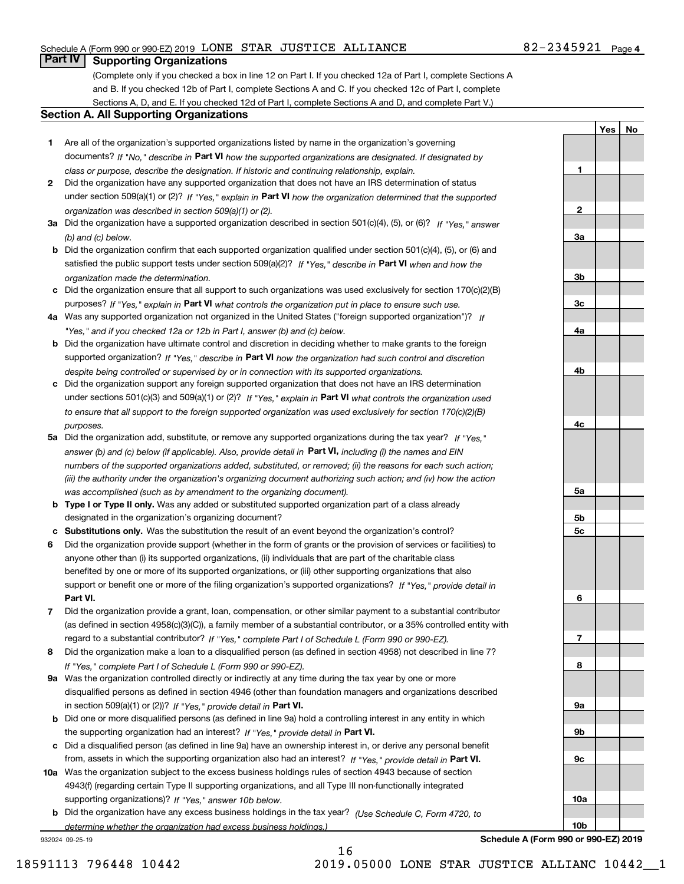## Schedule A (Form 990 or 990-EZ) 2019 Page LONE STAR JUSTICE ALLIANCE 82-2345921

# **Part IV Supporting Organizations**

(Complete only if you checked a box in line 12 on Part I. If you checked 12a of Part I, complete Sections A and B. If you checked 12b of Part I, complete Sections A and C. If you checked 12c of Part I, complete Sections A, D, and E. If you checked 12d of Part I, complete Sections A and D, and complete Part V.)

#### **Section A. All Supporting Organizations**

- **1** Are all of the organization's supported organizations listed by name in the organization's governing documents? If "No," describe in **Part VI** how the supported organizations are designated. If designated by *class or purpose, describe the designation. If historic and continuing relationship, explain.*
- **2** Did the organization have any supported organization that does not have an IRS determination of status under section 509(a)(1) or (2)? If "Yes," explain in Part VI how the organization determined that the supported *organization was described in section 509(a)(1) or (2).*
- **3a** Did the organization have a supported organization described in section 501(c)(4), (5), or (6)? If "Yes," answer *(b) and (c) below.*
- **b** Did the organization confirm that each supported organization qualified under section 501(c)(4), (5), or (6) and satisfied the public support tests under section 509(a)(2)? If "Yes," describe in **Part VI** when and how the *organization made the determination.*
- **c**Did the organization ensure that all support to such organizations was used exclusively for section 170(c)(2)(B) purposes? If "Yes," explain in **Part VI** what controls the organization put in place to ensure such use.
- **4a***If* Was any supported organization not organized in the United States ("foreign supported organization")? *"Yes," and if you checked 12a or 12b in Part I, answer (b) and (c) below.*
- **b** Did the organization have ultimate control and discretion in deciding whether to make grants to the foreign supported organization? If "Yes," describe in **Part VI** how the organization had such control and discretion *despite being controlled or supervised by or in connection with its supported organizations.*
- **c** Did the organization support any foreign supported organization that does not have an IRS determination under sections 501(c)(3) and 509(a)(1) or (2)? If "Yes," explain in **Part VI** what controls the organization used *to ensure that all support to the foreign supported organization was used exclusively for section 170(c)(2)(B) purposes.*
- **5a** Did the organization add, substitute, or remove any supported organizations during the tax year? If "Yes," answer (b) and (c) below (if applicable). Also, provide detail in **Part VI,** including (i) the names and EIN *numbers of the supported organizations added, substituted, or removed; (ii) the reasons for each such action; (iii) the authority under the organization's organizing document authorizing such action; and (iv) how the action was accomplished (such as by amendment to the organizing document).*
- **b** Type I or Type II only. Was any added or substituted supported organization part of a class already designated in the organization's organizing document?
- **cSubstitutions only.**  Was the substitution the result of an event beyond the organization's control?
- **6** Did the organization provide support (whether in the form of grants or the provision of services or facilities) to **Part VI.** *If "Yes," provide detail in* support or benefit one or more of the filing organization's supported organizations? anyone other than (i) its supported organizations, (ii) individuals that are part of the charitable class benefited by one or more of its supported organizations, or (iii) other supporting organizations that also
- **7**Did the organization provide a grant, loan, compensation, or other similar payment to a substantial contributor *If "Yes," complete Part I of Schedule L (Form 990 or 990-EZ).* regard to a substantial contributor? (as defined in section 4958(c)(3)(C)), a family member of a substantial contributor, or a 35% controlled entity with
- **8** Did the organization make a loan to a disqualified person (as defined in section 4958) not described in line 7? *If "Yes," complete Part I of Schedule L (Form 990 or 990-EZ).*
- **9a** Was the organization controlled directly or indirectly at any time during the tax year by one or more in section 509(a)(1) or (2))? If "Yes," *provide detail in* <code>Part VI.</code> disqualified persons as defined in section 4946 (other than foundation managers and organizations described
- **b** Did one or more disqualified persons (as defined in line 9a) hold a controlling interest in any entity in which the supporting organization had an interest? If "Yes," provide detail in P**art VI**.
- **c**Did a disqualified person (as defined in line 9a) have an ownership interest in, or derive any personal benefit from, assets in which the supporting organization also had an interest? If "Yes," provide detail in P**art VI.**
- **10a** Was the organization subject to the excess business holdings rules of section 4943 because of section supporting organizations)? If "Yes," answer 10b below. 4943(f) (regarding certain Type II supporting organizations, and all Type III non-functionally integrated
- **b** Did the organization have any excess business holdings in the tax year? (Use Schedule C, Form 4720, to *determine whether the organization had excess business holdings.)*

16

932024 09-25-19

**9a 9b9c10a10b**

**Schedule A (Form 990 or 990-EZ) 2019**

**1**

**2**

**3a**

**3b**

**3c**

**4a**

**4b**

**4c**

**5a**

**5b5c**

**6**

**7**

**8**

**YesNo**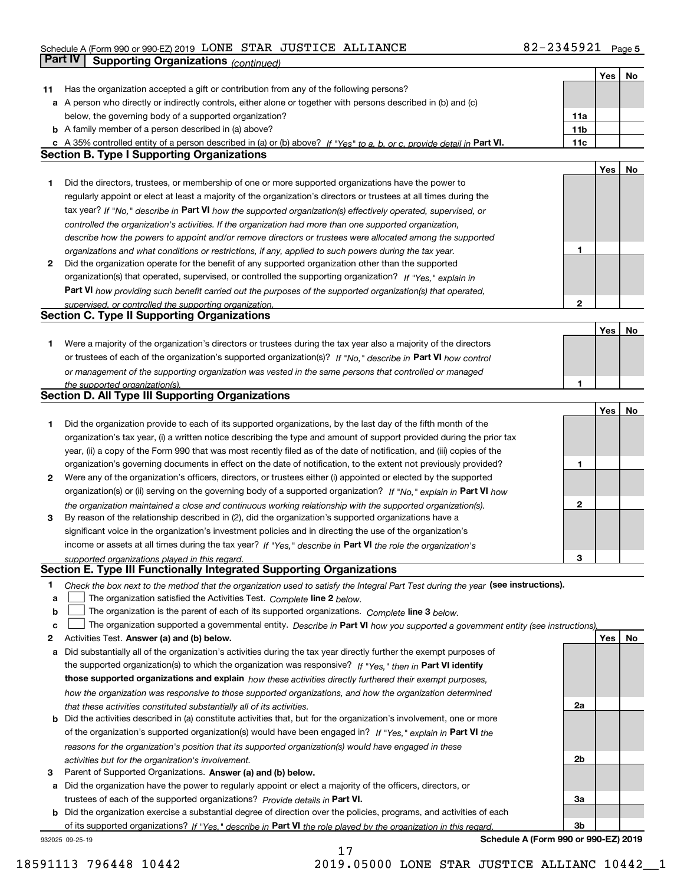# Schedule A (Form 990 or 990-EZ) 2019 Page LONE STAR JUSTICE ALLIANCE 82-2345921 **Part IV** Supporting Organizations (continued)

|    |                                                                                                                                                                                                                      |                 | Yes | No |
|----|----------------------------------------------------------------------------------------------------------------------------------------------------------------------------------------------------------------------|-----------------|-----|----|
| 11 | Has the organization accepted a gift or contribution from any of the following persons?                                                                                                                              |                 |     |    |
|    | a A person who directly or indirectly controls, either alone or together with persons described in (b) and (c)                                                                                                       |                 |     |    |
|    | below, the governing body of a supported organization?                                                                                                                                                               | 11a             |     |    |
|    | <b>b</b> A family member of a person described in (a) above?                                                                                                                                                         | 11 <sub>b</sub> |     |    |
|    | c A 35% controlled entity of a person described in (a) or (b) above? If "Yes" to a, b, or c, provide detail in Part VI.                                                                                              | 11c             |     |    |
|    | <b>Section B. Type I Supporting Organizations</b>                                                                                                                                                                    |                 |     |    |
|    |                                                                                                                                                                                                                      |                 | Yes | No |
| 1. | Did the directors, trustees, or membership of one or more supported organizations have the power to                                                                                                                  |                 |     |    |
|    | regularly appoint or elect at least a majority of the organization's directors or trustees at all times during the                                                                                                   |                 |     |    |
|    | tax year? If "No," describe in Part VI how the supported organization(s) effectively operated, supervised, or                                                                                                        |                 |     |    |
|    | controlled the organization's activities. If the organization had more than one supported organization,                                                                                                              |                 |     |    |
|    | describe how the powers to appoint and/or remove directors or trustees were allocated among the supported                                                                                                            |                 |     |    |
|    | organizations and what conditions or restrictions, if any, applied to such powers during the tax year.                                                                                                               | 1               |     |    |
| 2  | Did the organization operate for the benefit of any supported organization other than the supported                                                                                                                  |                 |     |    |
|    | organization(s) that operated, supervised, or controlled the supporting organization? If "Yes," explain in                                                                                                           |                 |     |    |
|    | Part VI how providing such benefit carried out the purposes of the supported organization(s) that operated,                                                                                                          |                 |     |    |
|    | supervised, or controlled the supporting organization.                                                                                                                                                               | 2               |     |    |
|    | <b>Section C. Type II Supporting Organizations</b>                                                                                                                                                                   |                 |     |    |
|    |                                                                                                                                                                                                                      |                 | Yes | No |
| 1. | Were a majority of the organization's directors or trustees during the tax year also a majority of the directors                                                                                                     |                 |     |    |
|    | or trustees of each of the organization's supported organization(s)? If "No," describe in Part VI how control                                                                                                        |                 |     |    |
|    | or management of the supporting organization was vested in the same persons that controlled or managed                                                                                                               |                 |     |    |
|    | the supported organization(s).                                                                                                                                                                                       | 1               |     |    |
|    | <b>Section D. All Type III Supporting Organizations</b>                                                                                                                                                              |                 |     |    |
|    |                                                                                                                                                                                                                      |                 | Yes | No |
| 1. | Did the organization provide to each of its supported organizations, by the last day of the fifth month of the                                                                                                       |                 |     |    |
|    | organization's tax year, (i) a written notice describing the type and amount of support provided during the prior tax                                                                                                |                 |     |    |
|    | year, (ii) a copy of the Form 990 that was most recently filed as of the date of notification, and (iii) copies of the                                                                                               | 1               |     |    |
|    | organization's governing documents in effect on the date of notification, to the extent not previously provided?                                                                                                     |                 |     |    |
| 2  | Were any of the organization's officers, directors, or trustees either (i) appointed or elected by the supported                                                                                                     |                 |     |    |
|    | organization(s) or (ii) serving on the governing body of a supported organization? If "No," explain in Part VI how                                                                                                   | 2               |     |    |
| 3  | the organization maintained a close and continuous working relationship with the supported organization(s).<br>By reason of the relationship described in (2), did the organization's supported organizations have a |                 |     |    |
|    | significant voice in the organization's investment policies and in directing the use of the organization's                                                                                                           |                 |     |    |
|    | income or assets at all times during the tax year? If "Yes," describe in Part VI the role the organization's                                                                                                         |                 |     |    |
|    | supported organizations played in this regard.                                                                                                                                                                       | 3               |     |    |
|    | Section E. Type III Functionally Integrated Supporting Organizations                                                                                                                                                 |                 |     |    |
| 1  | Check the box next to the method that the organization used to satisfy the Integral Part Test during the year (see instructions).                                                                                    |                 |     |    |
| a  | The organization satisfied the Activities Test. Complete line 2 below.                                                                                                                                               |                 |     |    |
| b  | The organization is the parent of each of its supported organizations. Complete line 3 below.                                                                                                                        |                 |     |    |
| c  | The organization supported a governmental entity. Describe in Part VI how you supported a government entity (see instructions),                                                                                      |                 |     |    |
| 2  | Activities Test. Answer (a) and (b) below.                                                                                                                                                                           |                 | Yes | No |
| а  | Did substantially all of the organization's activities during the tax year directly further the exempt purposes of                                                                                                   |                 |     |    |
|    | the supported organization(s) to which the organization was responsive? If "Yes," then in Part VI identify                                                                                                           |                 |     |    |
|    | those supported organizations and explain how these activities directly furthered their exempt purposes,                                                                                                             |                 |     |    |
|    | how the organization was responsive to those supported organizations, and how the organization determined                                                                                                            |                 |     |    |
|    | that these activities constituted substantially all of its activities.                                                                                                                                               | 2a              |     |    |
| b  | Did the activities described in (a) constitute activities that, but for the organization's involvement, one or more                                                                                                  |                 |     |    |
|    | of the organization's supported organization(s) would have been engaged in? If "Yes," explain in Part VI the                                                                                                         |                 |     |    |
|    | reasons for the organization's position that its supported organization(s) would have engaged in these                                                                                                               |                 |     |    |
|    | activities but for the organization's involvement.                                                                                                                                                                   | 2b              |     |    |
| з  | Parent of Supported Organizations. Answer (a) and (b) below.                                                                                                                                                         |                 |     |    |
| а  | Did the organization have the power to regularly appoint or elect a majority of the officers, directors, or                                                                                                          |                 |     |    |
|    | trustees of each of the supported organizations? Provide details in Part VI.                                                                                                                                         | За              |     |    |
| b  | Did the organization exercise a substantial degree of direction over the policies, programs, and activities of each                                                                                                  |                 |     |    |
|    | of its supported organizations? If "Yes," describe in Part VI the role played by the organization in this regard.                                                                                                    | 3b              |     |    |

17

932025 09-25-19

**Schedule A (Form 990 or 990-EZ) 2019**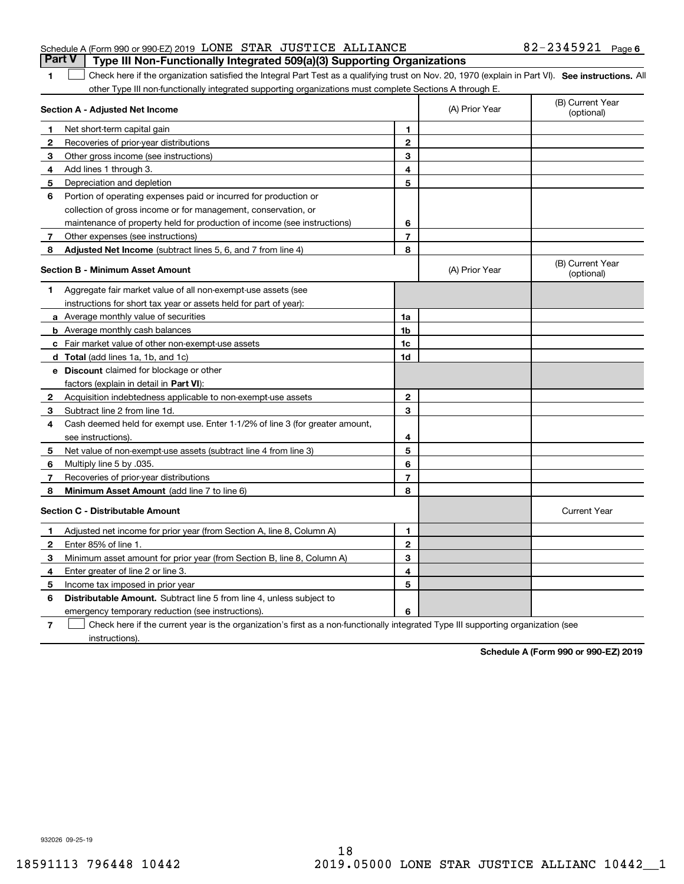|  | Schedule A (Form 990 or 990-EZ) 2019 $\,$ LONE $\,$ STAR $\,$ JUSTICE $\,$ ALLIANCE $\,$<br>Part V   Type III Non-Functionally Integrated 509(a)(3) Supporting Organizations | 82-2345921 Page 6 |  |
|--|------------------------------------------------------------------------------------------------------------------------------------------------------------------------------|-------------------|--|
|  |                                                                                                                                                                              |                   |  |

1 Check here if the organization satisfied the Integral Part Test as a qualifying trust on Nov. 20, 1970 (explain in Part VI). See instructions. All other Type III non-functionally integrated supporting organizations must complete Sections A through E.

|              | Section A - Adjusted Net Income                                                                                                   |                | (A) Prior Year | (B) Current Year<br>(optional) |
|--------------|-----------------------------------------------------------------------------------------------------------------------------------|----------------|----------------|--------------------------------|
| 1            | Net short-term capital gain                                                                                                       | 1              |                |                                |
| 2            | Recoveries of prior-year distributions                                                                                            | $\overline{2}$ |                |                                |
| 3            | Other gross income (see instructions)                                                                                             | 3              |                |                                |
| 4            | Add lines 1 through 3.                                                                                                            | 4              |                |                                |
| 5            | Depreciation and depletion                                                                                                        | 5              |                |                                |
| 6            | Portion of operating expenses paid or incurred for production or                                                                  |                |                |                                |
|              | collection of gross income or for management, conservation, or                                                                    |                |                |                                |
|              | maintenance of property held for production of income (see instructions)                                                          | 6              |                |                                |
| 7            | Other expenses (see instructions)                                                                                                 | $\overline{7}$ |                |                                |
| 8            | Adjusted Net Income (subtract lines 5, 6, and 7 from line 4)                                                                      | 8              |                |                                |
|              | <b>Section B - Minimum Asset Amount</b>                                                                                           |                | (A) Prior Year | (B) Current Year<br>(optional) |
| 1            | Aggregate fair market value of all non-exempt-use assets (see                                                                     |                |                |                                |
|              | instructions for short tax year or assets held for part of year):                                                                 |                |                |                                |
|              | <b>a</b> Average monthly value of securities                                                                                      | 1a             |                |                                |
|              | <b>b</b> Average monthly cash balances                                                                                            | 1b             |                |                                |
|              | c Fair market value of other non-exempt-use assets                                                                                | 1c             |                |                                |
|              | d Total (add lines 1a, 1b, and 1c)                                                                                                | 1d             |                |                                |
|              | e Discount claimed for blockage or other                                                                                          |                |                |                                |
|              | factors (explain in detail in Part VI):                                                                                           |                |                |                                |
| $\mathbf{2}$ | Acquisition indebtedness applicable to non-exempt-use assets                                                                      | $\mathbf 2$    |                |                                |
| 3            | Subtract line 2 from line 1d.                                                                                                     | 3              |                |                                |
| 4            | Cash deemed held for exempt use. Enter 1-1/2% of line 3 (for greater amount,                                                      |                |                |                                |
|              | see instructions)                                                                                                                 | 4              |                |                                |
| 5            | Net value of non-exempt-use assets (subtract line 4 from line 3)                                                                  | 5              |                |                                |
| 6            | Multiply line 5 by .035.                                                                                                          | 6              |                |                                |
| 7            | Recoveries of prior-year distributions                                                                                            | $\overline{7}$ |                |                                |
| 8            | Minimum Asset Amount (add line 7 to line 6)                                                                                       | 8              |                |                                |
|              | <b>Section C - Distributable Amount</b>                                                                                           |                |                | <b>Current Year</b>            |
| 1            | Adjusted net income for prior year (from Section A, line 8, Column A)                                                             | 1              |                |                                |
| 2            | Enter 85% of line 1.                                                                                                              | $\overline{2}$ |                |                                |
| 3            | Minimum asset amount for prior year (from Section B, line 8, Column A)                                                            | 3              |                |                                |
| 4            | Enter greater of line 2 or line 3.                                                                                                | 4              |                |                                |
| 5            | Income tax imposed in prior year                                                                                                  | 5              |                |                                |
| 6            | <b>Distributable Amount.</b> Subtract line 5 from line 4, unless subject to                                                       |                |                |                                |
|              | emergency temporary reduction (see instructions).                                                                                 | 6              |                |                                |
| 7            | Check here if the current year is the organization's first as a non-functionally integrated Type III supporting organization (see |                |                |                                |

instructions).

**1**

**Schedule A (Form 990 or 990-EZ) 2019**

932026 09-25-19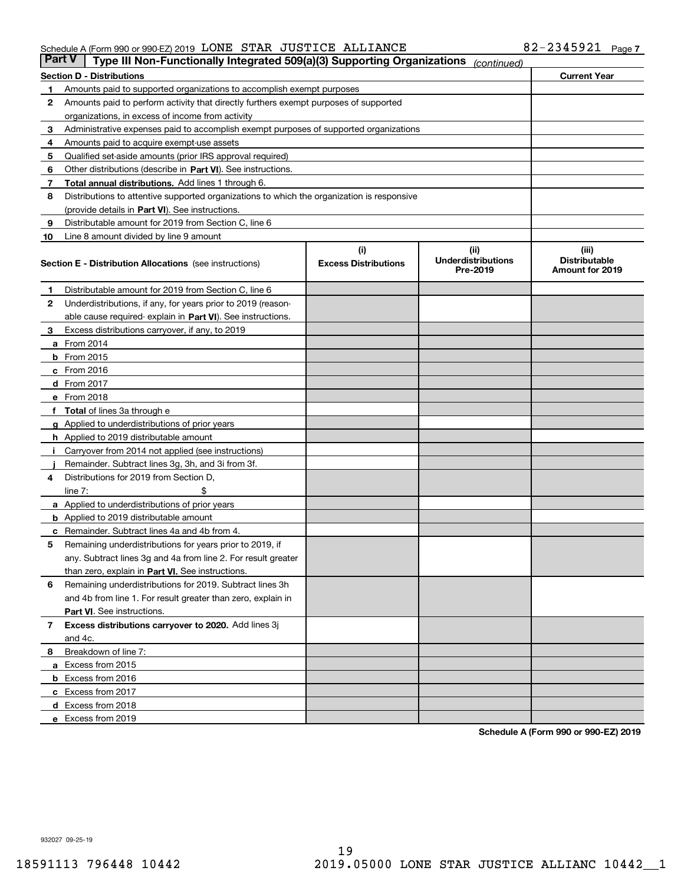#### Schedule A (Form 990 or 990-EZ) 2019 Page LONE STAR JUSTICE ALLIANCE 82-2345921

| <b>Part V</b> | Type III Non-Functionally Integrated 509(a)(3) Supporting Organizations                    |                             | (continued)                           |                                         |
|---------------|--------------------------------------------------------------------------------------------|-----------------------------|---------------------------------------|-----------------------------------------|
|               | <b>Section D - Distributions</b>                                                           |                             |                                       | <b>Current Year</b>                     |
| 1             | Amounts paid to supported organizations to accomplish exempt purposes                      |                             |                                       |                                         |
| 2             | Amounts paid to perform activity that directly furthers exempt purposes of supported       |                             |                                       |                                         |
|               | organizations, in excess of income from activity                                           |                             |                                       |                                         |
| з             | Administrative expenses paid to accomplish exempt purposes of supported organizations      |                             |                                       |                                         |
| 4             | Amounts paid to acquire exempt-use assets                                                  |                             |                                       |                                         |
| 5             | Qualified set-aside amounts (prior IRS approval required)                                  |                             |                                       |                                         |
| 6             | Other distributions (describe in Part VI). See instructions.                               |                             |                                       |                                         |
| 7             | Total annual distributions. Add lines 1 through 6.                                         |                             |                                       |                                         |
| 8             | Distributions to attentive supported organizations to which the organization is responsive |                             |                                       |                                         |
|               | (provide details in Part VI). See instructions.                                            |                             |                                       |                                         |
| 9             | Distributable amount for 2019 from Section C, line 6                                       |                             |                                       |                                         |
| 10            | Line 8 amount divided by line 9 amount                                                     |                             |                                       |                                         |
|               |                                                                                            | (i)                         | (iii)                                 | (iii)                                   |
|               | <b>Section E - Distribution Allocations</b> (see instructions)                             | <b>Excess Distributions</b> | <b>Underdistributions</b><br>Pre-2019 | <b>Distributable</b><br>Amount for 2019 |
| 1             | Distributable amount for 2019 from Section C, line 6                                       |                             |                                       |                                         |
| 2             | Underdistributions, if any, for years prior to 2019 (reason-                               |                             |                                       |                                         |
|               | able cause required- explain in Part VI). See instructions.                                |                             |                                       |                                         |
| з             | Excess distributions carryover, if any, to 2019                                            |                             |                                       |                                         |
|               | <b>a</b> From 2014                                                                         |                             |                                       |                                         |
|               | <b>b</b> From $2015$                                                                       |                             |                                       |                                         |
|               | $c$ From 2016                                                                              |                             |                                       |                                         |
|               | <b>d</b> From 2017                                                                         |                             |                                       |                                         |
|               | e From 2018                                                                                |                             |                                       |                                         |
|               | Total of lines 3a through e                                                                |                             |                                       |                                         |
|               | <b>g</b> Applied to underdistributions of prior years                                      |                             |                                       |                                         |
|               | <b>h</b> Applied to 2019 distributable amount                                              |                             |                                       |                                         |
|               | Carryover from 2014 not applied (see instructions)                                         |                             |                                       |                                         |
|               | Remainder. Subtract lines 3g, 3h, and 3i from 3f.                                          |                             |                                       |                                         |
| 4             | Distributions for 2019 from Section D,                                                     |                             |                                       |                                         |
|               | line $7:$                                                                                  |                             |                                       |                                         |
|               | <b>a</b> Applied to underdistributions of prior years                                      |                             |                                       |                                         |
|               | <b>b</b> Applied to 2019 distributable amount                                              |                             |                                       |                                         |
| c             | Remainder. Subtract lines 4a and 4b from 4.                                                |                             |                                       |                                         |
| 5             | Remaining underdistributions for years prior to 2019, if                                   |                             |                                       |                                         |
|               | any. Subtract lines 3g and 4a from line 2. For result greater                              |                             |                                       |                                         |
|               | than zero, explain in Part VI. See instructions.                                           |                             |                                       |                                         |
| 6             | Remaining underdistributions for 2019. Subtract lines 3h                                   |                             |                                       |                                         |
|               | and 4b from line 1. For result greater than zero, explain in                               |                             |                                       |                                         |
|               | Part VI. See instructions.                                                                 |                             |                                       |                                         |
| 7             | Excess distributions carryover to 2020. Add lines 3j                                       |                             |                                       |                                         |
|               | and 4c.                                                                                    |                             |                                       |                                         |
| 8             | Breakdown of line 7:                                                                       |                             |                                       |                                         |
|               | a Excess from 2015                                                                         |                             |                                       |                                         |
|               |                                                                                            |                             |                                       |                                         |
|               | <b>b</b> Excess from 2016<br>c Excess from 2017                                            |                             |                                       |                                         |
|               |                                                                                            |                             |                                       |                                         |
|               | d Excess from 2018<br>e Excess from 2019                                                   |                             |                                       |                                         |
|               |                                                                                            |                             |                                       |                                         |

**Schedule A (Form 990 or 990-EZ) 2019**

932027 09-25-19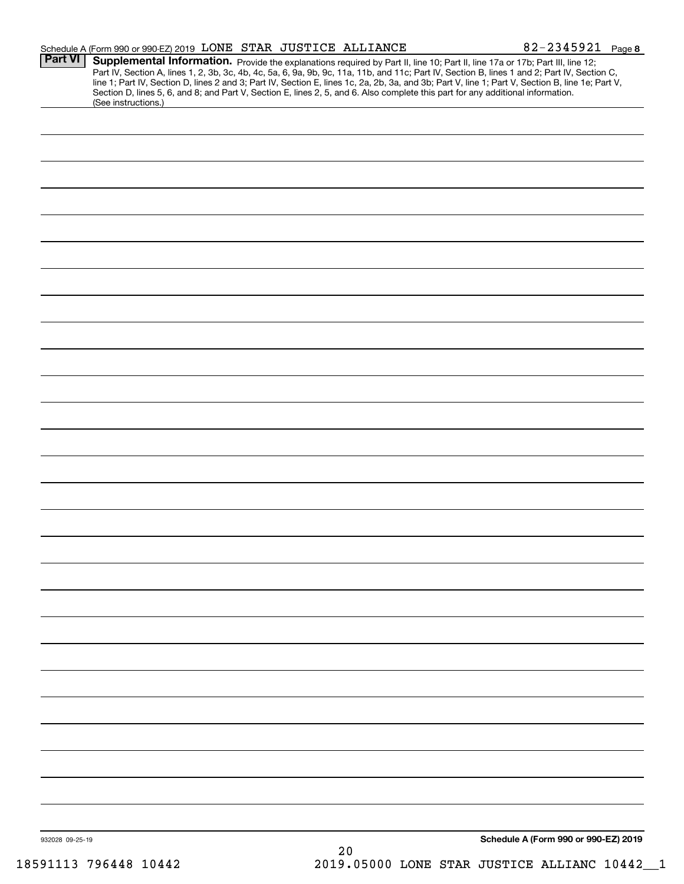|                 | Schedule A (Form 990 or 990-EZ) 2019 LONE STAR JUSTICE ALLIANCE                                                                                                                                                                                                  |          | 82-2345921 Page 8                                                                                                                                                                                                                                                                                |
|-----------------|------------------------------------------------------------------------------------------------------------------------------------------------------------------------------------------------------------------------------------------------------------------|----------|--------------------------------------------------------------------------------------------------------------------------------------------------------------------------------------------------------------------------------------------------------------------------------------------------|
| <b>Part VI</b>  | Supplemental Information. Provide the explanations required by Part II, line 10; Part II, line 17a or 17b; Part III, line 12;<br>Section D, lines 5, 6, and 8; and Part V, Section E, lines 2, 5, and 6. Also complete this part for any additional information. |          | Part IV, Section A, lines 1, 2, 3b, 3c, 4b, 4c, 5a, 6, 9a, 9b, 9c, 11a, 11b, and 11c; Part IV, Section B, lines 1 and 2; Part IV, Section C,<br>line 1; Part IV, Section D, lines 2 and 3; Part IV, Section E, lines 1c, 2a, 2b, 3a, and 3b; Part V, line 1; Part V, Section B, line 1e; Part V, |
|                 | (See instructions.)                                                                                                                                                                                                                                              |          |                                                                                                                                                                                                                                                                                                  |
|                 |                                                                                                                                                                                                                                                                  |          |                                                                                                                                                                                                                                                                                                  |
|                 |                                                                                                                                                                                                                                                                  |          |                                                                                                                                                                                                                                                                                                  |
|                 |                                                                                                                                                                                                                                                                  |          |                                                                                                                                                                                                                                                                                                  |
|                 |                                                                                                                                                                                                                                                                  |          |                                                                                                                                                                                                                                                                                                  |
|                 |                                                                                                                                                                                                                                                                  |          |                                                                                                                                                                                                                                                                                                  |
|                 |                                                                                                                                                                                                                                                                  |          |                                                                                                                                                                                                                                                                                                  |
|                 |                                                                                                                                                                                                                                                                  |          |                                                                                                                                                                                                                                                                                                  |
|                 |                                                                                                                                                                                                                                                                  |          |                                                                                                                                                                                                                                                                                                  |
|                 |                                                                                                                                                                                                                                                                  |          |                                                                                                                                                                                                                                                                                                  |
|                 |                                                                                                                                                                                                                                                                  |          |                                                                                                                                                                                                                                                                                                  |
|                 |                                                                                                                                                                                                                                                                  |          |                                                                                                                                                                                                                                                                                                  |
|                 |                                                                                                                                                                                                                                                                  |          |                                                                                                                                                                                                                                                                                                  |
|                 |                                                                                                                                                                                                                                                                  |          |                                                                                                                                                                                                                                                                                                  |
|                 |                                                                                                                                                                                                                                                                  |          |                                                                                                                                                                                                                                                                                                  |
|                 |                                                                                                                                                                                                                                                                  |          |                                                                                                                                                                                                                                                                                                  |
|                 |                                                                                                                                                                                                                                                                  |          |                                                                                                                                                                                                                                                                                                  |
|                 |                                                                                                                                                                                                                                                                  |          |                                                                                                                                                                                                                                                                                                  |
|                 |                                                                                                                                                                                                                                                                  |          |                                                                                                                                                                                                                                                                                                  |
|                 |                                                                                                                                                                                                                                                                  |          |                                                                                                                                                                                                                                                                                                  |
|                 |                                                                                                                                                                                                                                                                  |          |                                                                                                                                                                                                                                                                                                  |
|                 |                                                                                                                                                                                                                                                                  |          |                                                                                                                                                                                                                                                                                                  |
|                 |                                                                                                                                                                                                                                                                  |          |                                                                                                                                                                                                                                                                                                  |
|                 |                                                                                                                                                                                                                                                                  |          |                                                                                                                                                                                                                                                                                                  |
|                 |                                                                                                                                                                                                                                                                  |          |                                                                                                                                                                                                                                                                                                  |
|                 |                                                                                                                                                                                                                                                                  |          |                                                                                                                                                                                                                                                                                                  |
|                 |                                                                                                                                                                                                                                                                  |          |                                                                                                                                                                                                                                                                                                  |
|                 |                                                                                                                                                                                                                                                                  |          |                                                                                                                                                                                                                                                                                                  |
|                 |                                                                                                                                                                                                                                                                  |          |                                                                                                                                                                                                                                                                                                  |
|                 |                                                                                                                                                                                                                                                                  |          |                                                                                                                                                                                                                                                                                                  |
|                 |                                                                                                                                                                                                                                                                  |          |                                                                                                                                                                                                                                                                                                  |
|                 |                                                                                                                                                                                                                                                                  |          |                                                                                                                                                                                                                                                                                                  |
|                 |                                                                                                                                                                                                                                                                  |          |                                                                                                                                                                                                                                                                                                  |
|                 |                                                                                                                                                                                                                                                                  |          |                                                                                                                                                                                                                                                                                                  |
|                 |                                                                                                                                                                                                                                                                  |          |                                                                                                                                                                                                                                                                                                  |
|                 |                                                                                                                                                                                                                                                                  |          |                                                                                                                                                                                                                                                                                                  |
| 932028 09-25-19 |                                                                                                                                                                                                                                                                  |          | Schedule A (Form 990 or 990-EZ) 2019                                                                                                                                                                                                                                                             |
|                 |                                                                                                                                                                                                                                                                  | $\Omega$ |                                                                                                                                                                                                                                                                                                  |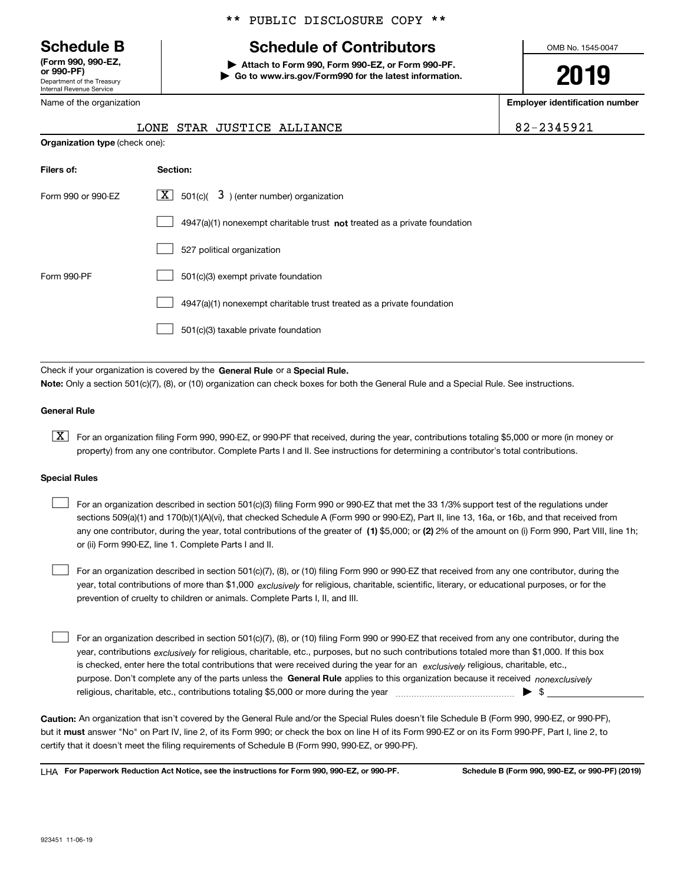Department of the Treasury Internal Revenue Service **(Form 990, 990-EZ, or 990-PF)**

Name of the organization

## \*\* PUBLIC DISCLOSURE COPY \*\*

# **Schedule B Schedule of Contributors**

**| Attach to Form 990, Form 990-EZ, or Form 990-PF. | Go to www.irs.gov/Form990 for the latest information.** OMB No. 1545-0047

**2019**

**Employer identification number**

|  | 83459 |  |  |
|--|-------|--|--|
|  |       |  |  |

|                                       | LONE STAR JUSTICE ALLIANCE                                                         | 82-2345921 |
|---------------------------------------|------------------------------------------------------------------------------------|------------|
| <b>Organization type</b> (check one): |                                                                                    |            |
| Filers of:                            | Section:                                                                           |            |
| Form 990 or 990-EZ                    | X  <br>501(c)( $\overline{3}$ ) (enter number) organization                        |            |
|                                       | $4947(a)(1)$ nonexempt charitable trust <b>not</b> treated as a private foundation |            |
|                                       | 527 political organization                                                         |            |

Form 990-PF 501(c)(3) exempt private foundation 4947(a)(1) nonexempt charitable trust treated as a private foundation 501(c)(3) taxable private foundation  $\mathcal{L}^{\text{max}}$  $\mathcal{L}^{\text{max}}$  $\mathcal{L}^{\text{max}}$ 

Check if your organization is covered by the **General Rule** or a **Special Rule. Note:**  Only a section 501(c)(7), (8), or (10) organization can check boxes for both the General Rule and a Special Rule. See instructions.

#### **General Rule**

 $\boxed{\textbf{X}}$  For an organization filing Form 990, 990-EZ, or 990-PF that received, during the year, contributions totaling \$5,000 or more (in money or property) from any one contributor. Complete Parts I and II. See instructions for determining a contributor's total contributions.

#### **Special Rules**

any one contributor, during the year, total contributions of the greater of  $\,$  (1) \$5,000; or **(2)** 2% of the amount on (i) Form 990, Part VIII, line 1h; For an organization described in section 501(c)(3) filing Form 990 or 990-EZ that met the 33 1/3% support test of the regulations under sections 509(a)(1) and 170(b)(1)(A)(vi), that checked Schedule A (Form 990 or 990-EZ), Part II, line 13, 16a, or 16b, and that received from or (ii) Form 990-EZ, line 1. Complete Parts I and II.  $\mathcal{L}^{\text{max}}$ 

year, total contributions of more than \$1,000 *exclusively* for religious, charitable, scientific, literary, or educational purposes, or for the For an organization described in section 501(c)(7), (8), or (10) filing Form 990 or 990-EZ that received from any one contributor, during the prevention of cruelty to children or animals. Complete Parts I, II, and III.  $\mathcal{L}^{\text{max}}$ 

purpose. Don't complete any of the parts unless the **General Rule** applies to this organization because it received *nonexclusively* year, contributions <sub>exclusively</sub> for religious, charitable, etc., purposes, but no such contributions totaled more than \$1,000. If this box is checked, enter here the total contributions that were received during the year for an  $\;$ exclusively religious, charitable, etc., For an organization described in section 501(c)(7), (8), or (10) filing Form 990 or 990-EZ that received from any one contributor, during the religious, charitable, etc., contributions totaling \$5,000 or more during the year  $\Box$ — $\Box$  =  $\Box$  $\mathcal{L}^{\text{max}}$ 

**Caution:**  An organization that isn't covered by the General Rule and/or the Special Rules doesn't file Schedule B (Form 990, 990-EZ, or 990-PF),  **must** but it answer "No" on Part IV, line 2, of its Form 990; or check the box on line H of its Form 990-EZ or on its Form 990-PF, Part I, line 2, to certify that it doesn't meet the filing requirements of Schedule B (Form 990, 990-EZ, or 990-PF).

**For Paperwork Reduction Act Notice, see the instructions for Form 990, 990-EZ, or 990-PF. Schedule B (Form 990, 990-EZ, or 990-PF) (2019)** LHA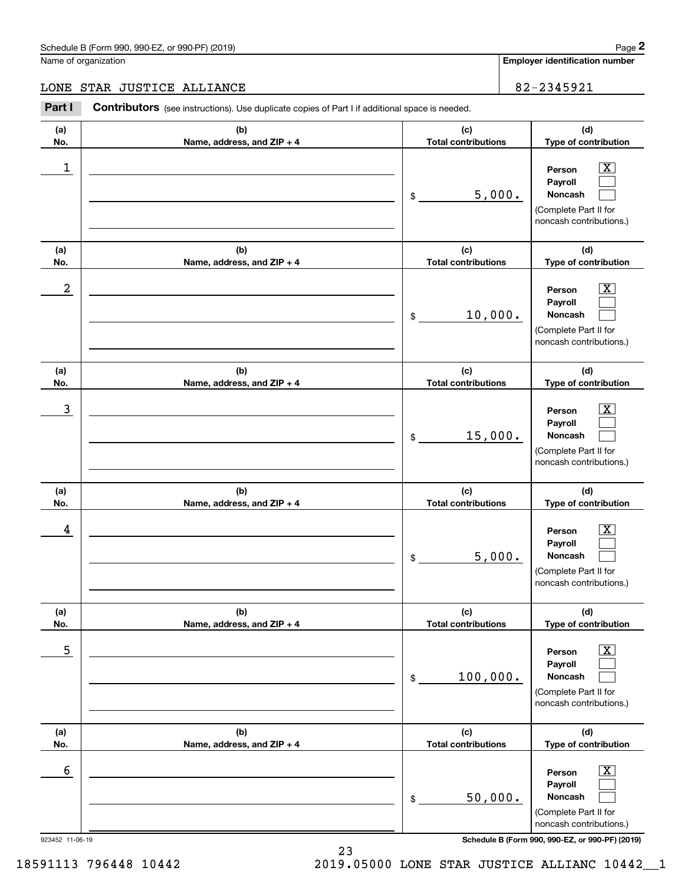#### Schedule B (Form 990, 990-EZ, or 990-PF) (2019) **Page 2** Page 1 and 2011 **Page 2** Page 2 **Page 2** Page 1 and 2011 **Page 2**

Name of organization

**Employer identification number**

#### LONE STAR JUSTICE ALLIANCE **82-2345921**

**(a)No.(b)Name, address, and ZIP + 4 (c)Total contributions (d)Type of contribution PersonPayrollNoncash (a)No.(b)Name, address, and ZIP + 4 (c)Total contributions (d)Type of contribution PersonPayrollNoncash (a)No.(b)Name, address, and ZIP + 4 (c)Total contributions (d)Type of contribution PersonPayrollNoncash (a) No.(b) Name, address, and ZIP + 4 (c) Total contributions (d) Type of contribution PersonPayrollNoncash (a) No.(b)Name, address, and ZIP + 4 (c) Total contributions (d) Type of contribution PersonPayrollNoncash (a) No.(b)Name, address, and ZIP + 4 (c) Total contributions (d)Type of contribution PersonPayrollNoncash Contributors** (see instructions). Use duplicate copies of Part I if additional space is needed. \$(Complete Part II for noncash contributions.) \$(Complete Part II for noncash contributions.) \$(Complete Part II for noncash contributions.) \$(Complete Part II for noncash contributions.) \$(Complete Part II for noncash contributions.) \$(Complete Part II for noncash contributions.) Chedule B (Form 990, 990-EZ, or 990-PF) (2019)<br> **2Part I 2Part I Contributors** (see instructions). Use duplicate copies of Part I if additional space is needed.<br> **2Part I Contributors** (see instructions). Use duplica  $|X|$  $\mathcal{L}^{\text{max}}$  $\mathcal{L}^{\text{max}}$  $\boxed{\text{X}}$  $\mathcal{L}^{\text{max}}$  $\mathcal{L}^{\text{max}}$  $|X|$  $\mathcal{L}^{\text{max}}$  $\mathcal{L}^{\text{max}}$  $\boxed{\text{X}}$  $\mathcal{L}^{\text{max}}$  $\mathcal{L}^{\text{max}}$  $\boxed{\text{X}}$  $\mathcal{L}^{\text{max}}$  $\mathcal{L}^{\text{max}}$  $\boxed{\text{X}}$  $\mathcal{L}^{\text{max}}$  $\mathcal{L}^{\text{max}}$  $\begin{array}{c|c|c|c|c|c} 1 & \hspace{1.5cm} & \hspace{1.5cm} & \hspace{1.5cm} & \hspace{1.5cm} & \hspace{1.5cm} & \hspace{1.5cm} & \hspace{1.5cm} & \hspace{1.5cm} & \hspace{1.5cm} & \hspace{1.5cm} & \hspace{1.5cm} & \hspace{1.5cm} & \hspace{1.5cm} & \hspace{1.5cm} & \hspace{1.5cm} & \hspace{1.5cm} & \hspace{1.5cm} & \hspace{1.5cm} & \hspace{1.5cm} & \hspace{1.5cm} &$ 5,000.  $2$  | Person  $\overline{\text{X}}$ 10,000.  $\overline{3}$  | Person  $\overline{X}$ 15,000.  $4$  | Person  $\overline{\text{X}}$ 5,000.  $\sim$  5 | Person X 100,000.  $\sim$  6 | Person X 50,000.

923452 11-06-19 **Schedule B (Form 990, 990-EZ, or 990-PF) (2019)**

18591113 796448 10442 2019.05000 LONE STAR JUSTICE ALLIANC 10442\_\_1

23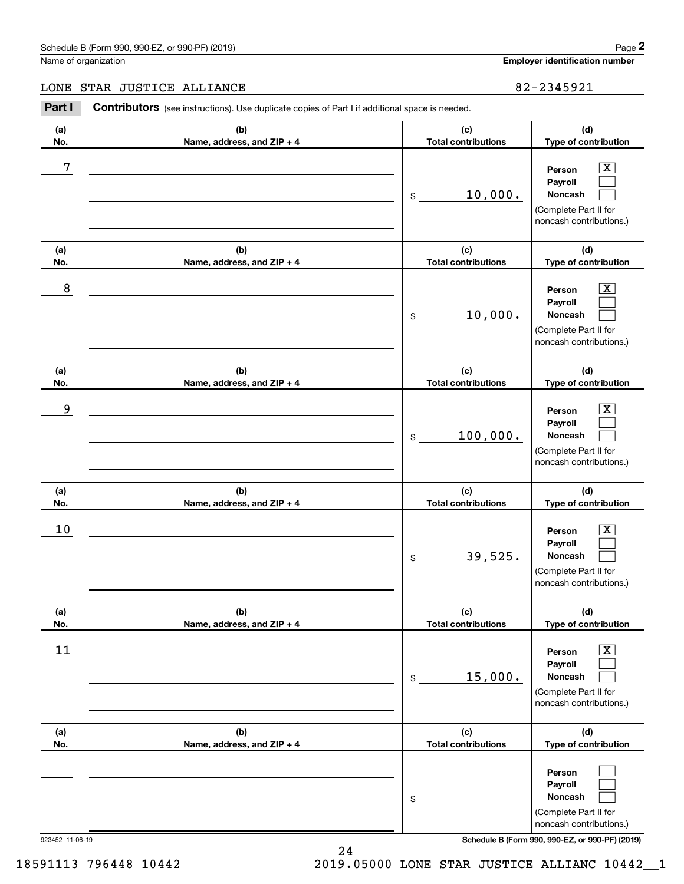# Schedule B (Form 990, 990-EZ, or 990-PF) (2019) Page 2

# LONE STAR JUSTICE ALLIANCE 82-2345921

|                 | Schedule B (Form 990, 990-EZ, or 990-PF) (2019)                                                |                                   | Page 2                                                                                                                              |
|-----------------|------------------------------------------------------------------------------------------------|-----------------------------------|-------------------------------------------------------------------------------------------------------------------------------------|
|                 | Name of organization                                                                           |                                   | <b>Employer identification number</b>                                                                                               |
| LONE            | STAR JUSTICE ALLIANCE                                                                          |                                   | 82-2345921                                                                                                                          |
| Part I          | Contributors (see instructions). Use duplicate copies of Part I if additional space is needed. |                                   |                                                                                                                                     |
| (a)<br>No.      | (b)<br>Name, address, and ZIP + 4                                                              | (c)<br><b>Total contributions</b> | (d)<br>Type of contribution                                                                                                         |
| 7               |                                                                                                | 10,000.<br>\$                     | $\overline{\mathbf{X}}$<br>Person<br>Payroll<br>Noncash<br>(Complete Part II for<br>noncash contributions.)                         |
| (a)<br>No.      | (b)<br>Name, address, and ZIP + 4                                                              | (c)<br><b>Total contributions</b> | (d)<br>Type of contribution                                                                                                         |
| 8               |                                                                                                | 10,000.<br>\$                     | $\overline{\text{X}}$<br>Person<br>Payroll<br>Noncash<br>(Complete Part II for<br>noncash contributions.)                           |
| (a)<br>No.      | (b)<br>Name, address, and ZIP + 4                                                              | (c)<br><b>Total contributions</b> | (d)<br>Type of contribution                                                                                                         |
| 9               |                                                                                                | 100,000.<br>\$                    | $\overline{\text{X}}$<br>Person<br>Payroll<br>Noncash<br>(Complete Part II for<br>noncash contributions.)                           |
| (a)<br>No.      | (b)<br>Name, address, and ZIP + 4                                                              | (c)<br><b>Total contributions</b> | (d)<br>Type of contribution                                                                                                         |
| 10              |                                                                                                | 39,525.<br>\$                     | $\overline{\mathbf{X}}$<br>Person<br>Payroll<br>Noncash<br>(Complete Part II for<br>noncash contributions.)                         |
| (a)<br>No.      | (b)<br>Name, address, and ZIP + 4                                                              | (c)<br><b>Total contributions</b> | (d)<br>Type of contribution                                                                                                         |
| 11              |                                                                                                | 15,000.<br>\$                     | $\overline{\mathbf{X}}$<br>Person<br>Payroll<br>Noncash<br>(Complete Part II for<br>noncash contributions.)                         |
| (a)<br>No.      | (b)<br>Name, address, and ZIP + 4                                                              | (c)<br><b>Total contributions</b> | (d)<br>Type of contribution                                                                                                         |
| 923452 11-06-19 |                                                                                                | \$                                | Person<br>Payroll<br>Noncash<br>(Complete Part II for<br>noncash contributions.)<br>Schedule B (Form 990, 990-EZ, or 990-PF) (2019) |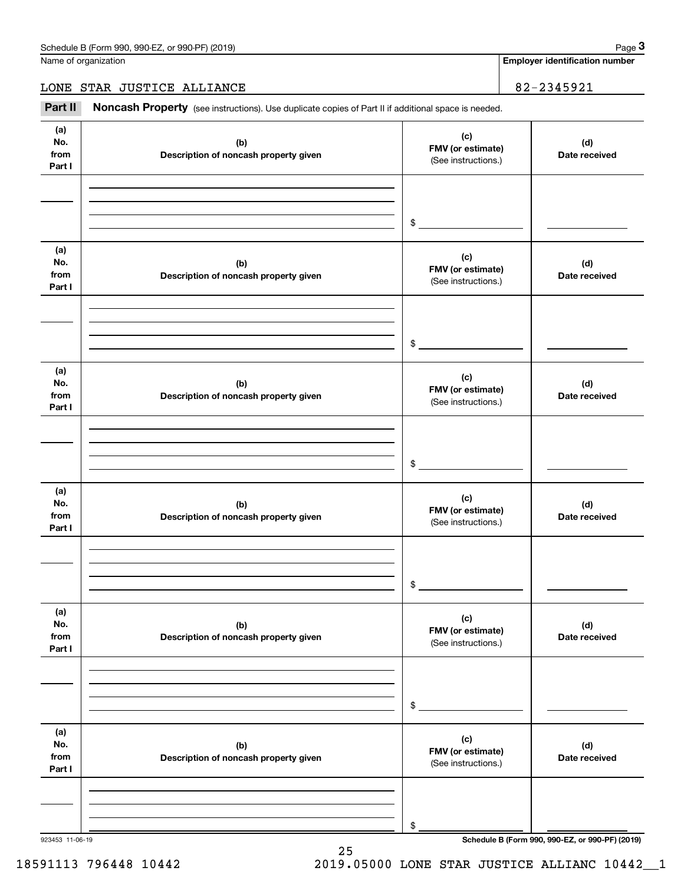Name of organization

**Employer identification number**

LONE STAR JUSTICE ALLIANCE 82-2345921

Chedule B (Form 990, 990-EZ, or 990-PF) (2019)<br>
lame of organization<br> **3Part II if additional space is needed.**<br> **Part II if additional space is needed.**<br> **Part II if additional space is needed.** 

| (a)<br>No.<br>from<br>Part I | (b)<br>Description of noncash property given | (c)<br>FMV (or estimate)<br>(See instructions.) | (d)<br>Date received                            |
|------------------------------|----------------------------------------------|-------------------------------------------------|-------------------------------------------------|
|                              |                                              | \$                                              |                                                 |
| (a)<br>No.<br>from<br>Part I | (b)<br>Description of noncash property given | (c)<br>FMV (or estimate)<br>(See instructions.) | (d)<br>Date received                            |
|                              |                                              | \$                                              |                                                 |
| (a)<br>No.<br>from<br>Part I | (b)<br>Description of noncash property given | (c)<br>FMV (or estimate)<br>(See instructions.) | (d)<br>Date received                            |
|                              |                                              | \$                                              |                                                 |
| (a)<br>No.<br>from<br>Part I | (b)<br>Description of noncash property given | (c)<br>FMV (or estimate)<br>(See instructions.) | (d)<br>Date received                            |
|                              |                                              | \$                                              |                                                 |
| (a)<br>No.<br>from<br>Part I | (b)<br>Description of noncash property given | (c)<br>FMV (or estimate)<br>(See instructions.) | (d)<br>Date received                            |
|                              |                                              | \$                                              |                                                 |
| (a)<br>No.<br>from<br>Part I | (b)<br>Description of noncash property given | (c)<br>FMV (or estimate)<br>(See instructions.) | (d)<br>Date received                            |
|                              |                                              | \$                                              |                                                 |
| 923453 11-06-19              |                                              |                                                 | Schedule B (Form 990, 990-EZ, or 990-PF) (2019) |

25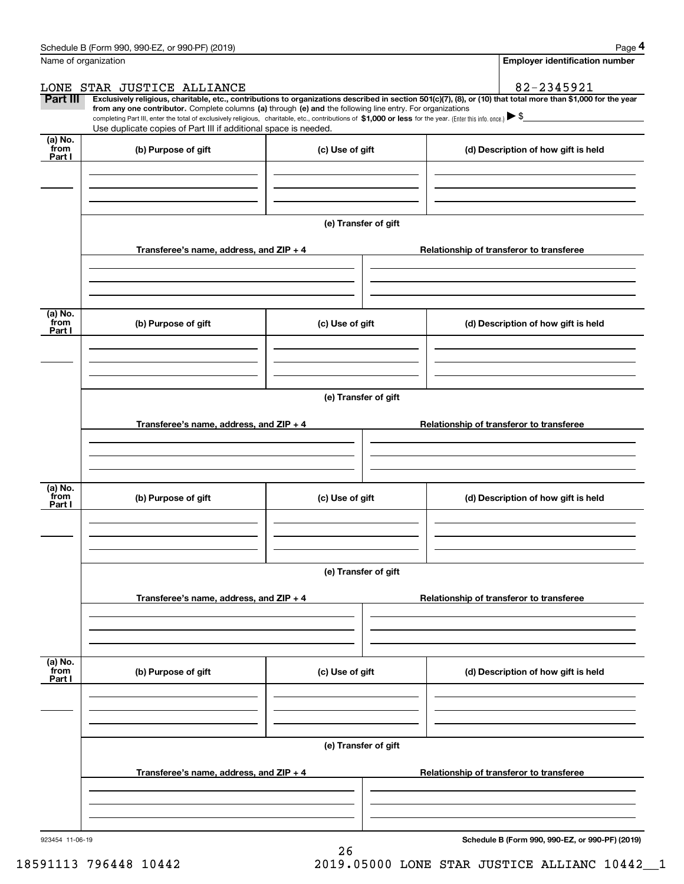|                 | Schedule B (Form 990, 990-EZ, or 990-PF) (2019)                                                                                                                                                                                                                              |                      | Page 4                                   |
|-----------------|------------------------------------------------------------------------------------------------------------------------------------------------------------------------------------------------------------------------------------------------------------------------------|----------------------|------------------------------------------|
|                 | Name of organization                                                                                                                                                                                                                                                         |                      | <b>Employer identification number</b>    |
|                 | LONE STAR JUSTICE ALLIANCE                                                                                                                                                                                                                                                   |                      | 82-2345921                               |
| <b>Part III</b> | Exclusively religious, charitable, etc., contributions to organizations described in section 501(c)(7), (8), or (10) that total more than \$1,000 for the year<br>from any one contributor. Complete columns (a) through (e) and the following line entry. For organizations |                      |                                          |
|                 | completing Part III, enter the total of exclusively religious, charitable, etc., contributions of \$1,000 or less for the year. (Enter this info. once.) $\blacktriangleright$ \$                                                                                            |                      |                                          |
| (a) No.         | Use duplicate copies of Part III if additional space is needed.                                                                                                                                                                                                              |                      |                                          |
| from<br>Part I  | (b) Purpose of gift                                                                                                                                                                                                                                                          | (c) Use of gift      | (d) Description of how gift is held      |
|                 |                                                                                                                                                                                                                                                                              |                      |                                          |
|                 |                                                                                                                                                                                                                                                                              |                      |                                          |
|                 |                                                                                                                                                                                                                                                                              |                      |                                          |
|                 |                                                                                                                                                                                                                                                                              |                      |                                          |
|                 |                                                                                                                                                                                                                                                                              | (e) Transfer of gift |                                          |
|                 | Transferee's name, address, and ZIP + 4                                                                                                                                                                                                                                      |                      | Relationship of transferor to transferee |
|                 |                                                                                                                                                                                                                                                                              |                      |                                          |
|                 |                                                                                                                                                                                                                                                                              |                      |                                          |
|                 |                                                                                                                                                                                                                                                                              |                      |                                          |
| (a) No.         |                                                                                                                                                                                                                                                                              |                      |                                          |
| from<br>Part I  | (b) Purpose of gift                                                                                                                                                                                                                                                          | (c) Use of gift      | (d) Description of how gift is held      |
|                 |                                                                                                                                                                                                                                                                              |                      |                                          |
|                 |                                                                                                                                                                                                                                                                              |                      |                                          |
|                 |                                                                                                                                                                                                                                                                              |                      |                                          |
|                 |                                                                                                                                                                                                                                                                              | (e) Transfer of gift |                                          |
|                 |                                                                                                                                                                                                                                                                              |                      |                                          |
|                 | Transferee's name, address, and ZIP + 4                                                                                                                                                                                                                                      |                      | Relationship of transferor to transferee |
|                 |                                                                                                                                                                                                                                                                              |                      |                                          |
|                 |                                                                                                                                                                                                                                                                              |                      |                                          |
|                 |                                                                                                                                                                                                                                                                              |                      |                                          |
| (a) No.<br>from | (b) Purpose of gift                                                                                                                                                                                                                                                          | (c) Use of gift      | (d) Description of how gift is held      |
| Part I          |                                                                                                                                                                                                                                                                              |                      |                                          |
|                 |                                                                                                                                                                                                                                                                              |                      |                                          |
|                 |                                                                                                                                                                                                                                                                              |                      |                                          |
|                 |                                                                                                                                                                                                                                                                              |                      |                                          |
|                 |                                                                                                                                                                                                                                                                              | (e) Transfer of gift |                                          |
|                 | Transferee's name, address, and ZIP + 4                                                                                                                                                                                                                                      |                      | Relationship of transferor to transferee |
|                 |                                                                                                                                                                                                                                                                              |                      |                                          |
|                 |                                                                                                                                                                                                                                                                              |                      |                                          |
|                 |                                                                                                                                                                                                                                                                              |                      |                                          |
| (a) No.<br>from |                                                                                                                                                                                                                                                                              |                      |                                          |
| Part I          | (b) Purpose of gift                                                                                                                                                                                                                                                          | (c) Use of gift      | (d) Description of how gift is held      |
|                 |                                                                                                                                                                                                                                                                              |                      |                                          |
|                 |                                                                                                                                                                                                                                                                              |                      |                                          |
|                 |                                                                                                                                                                                                                                                                              |                      |                                          |
|                 |                                                                                                                                                                                                                                                                              | (e) Transfer of gift |                                          |
|                 |                                                                                                                                                                                                                                                                              |                      |                                          |
|                 | Transferee's name, address, and $ZIP + 4$                                                                                                                                                                                                                                    |                      | Relationship of transferor to transferee |
|                 |                                                                                                                                                                                                                                                                              |                      |                                          |
|                 |                                                                                                                                                                                                                                                                              |                      |                                          |
|                 |                                                                                                                                                                                                                                                                              |                      |                                          |
|                 |                                                                                                                                                                                                                                                                              |                      |                                          |

26

923454 11-06-19

**Schedule B (Form 990, 990-EZ, or 990-PF) (2019)**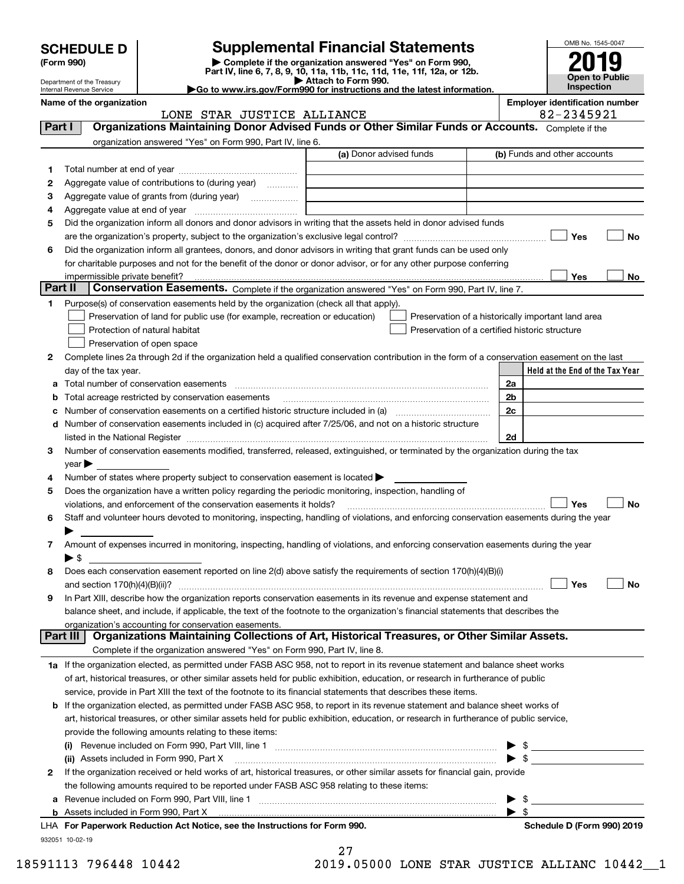| <b>SCHEDULE D</b> |  |
|-------------------|--|
|-------------------|--|

Department of the Treasury

# **SCHEDULE D Supplemental Financial Statements**

**(Form 990)** (**Form 990,**<br>Part IV, line 6, 7, 8, 9, 10, 11a, 11b, 11c, 11d, 11e, 11f, 12a, or 12b.<br>Department of the Treasury **and Exercise Connect Connect Connect Connect Connect Connect Connect Connect Connect** 

| P Allach to Form 990.                                                  |
|------------------------------------------------------------------------|
| Go to www.irs.gov/Form990 for instructions and the latest information. |



Internal Revenue Service

#### **Name of the organization**<br> **R** 2145921 - 82 - 2345921 - **Employer identification number**<br> **R** 2145921 - 82 - 2345921 LONE STAR JUSTICE ALLIANCE

| Part I          | nam niuk nantran unniukn<br>Organizations Maintaining Donor Advised Funds or Other Similar Funds or Accounts. Complete if the                                                                                                 |                         | va ajijal                                          |
|-----------------|-------------------------------------------------------------------------------------------------------------------------------------------------------------------------------------------------------------------------------|-------------------------|----------------------------------------------------|
|                 | organization answered "Yes" on Form 990, Part IV, line 6.                                                                                                                                                                     |                         |                                                    |
|                 |                                                                                                                                                                                                                               | (a) Donor advised funds | (b) Funds and other accounts                       |
| 1               |                                                                                                                                                                                                                               |                         |                                                    |
| 2               | Aggregate value of contributions to (during year)                                                                                                                                                                             |                         |                                                    |
| з               | Aggregate value of grants from (during year)                                                                                                                                                                                  |                         |                                                    |
| 4               |                                                                                                                                                                                                                               |                         |                                                    |
| 5               | Did the organization inform all donors and donor advisors in writing that the assets held in donor advised funds                                                                                                              |                         |                                                    |
|                 | are the organization's property, subject to the organization's exclusive legal control?                                                                                                                                       |                         | Yes<br>No                                          |
| 6               | Did the organization inform all grantees, donors, and donor advisors in writing that grant funds can be used only                                                                                                             |                         |                                                    |
|                 | for charitable purposes and not for the benefit of the donor or donor advisor, or for any other purpose conferring                                                                                                            |                         |                                                    |
|                 | impermissible private benefit?                                                                                                                                                                                                |                         | Yes<br>No                                          |
| Part II         | Conservation Easements. Complete if the organization answered "Yes" on Form 990, Part IV, line 7.                                                                                                                             |                         |                                                    |
| 1               | Purpose(s) of conservation easements held by the organization (check all that apply).                                                                                                                                         |                         |                                                    |
|                 | Preservation of land for public use (for example, recreation or education)                                                                                                                                                    |                         | Preservation of a historically important land area |
|                 | Protection of natural habitat                                                                                                                                                                                                 |                         | Preservation of a certified historic structure     |
|                 | Preservation of open space                                                                                                                                                                                                    |                         |                                                    |
| 2               | Complete lines 2a through 2d if the organization held a qualified conservation contribution in the form of a conservation easement on the last                                                                                |                         |                                                    |
|                 | day of the tax year.                                                                                                                                                                                                          |                         | Held at the End of the Tax Year                    |
| a               | Total number of conservation easements                                                                                                                                                                                        |                         | 2a                                                 |
| b               | Total acreage restricted by conservation easements                                                                                                                                                                            |                         | 2 <sub>b</sub>                                     |
| с               | Number of conservation easements on a certified historic structure included in (a)                                                                                                                                            |                         | 2c                                                 |
|                 | d Number of conservation easements included in (c) acquired after 7/25/06, and not on a historic structure                                                                                                                    |                         |                                                    |
|                 | listed in the National Register [111] Marshall Register [11] Marshall Register [11] Marshall Register [11] Marshall Register [11] Marshall Register [11] Marshall Register [11] Marshall Register [11] Marshall Register [11] |                         | 2d                                                 |
| 3               | Number of conservation easements modified, transferred, released, extinguished, or terminated by the organization during the tax                                                                                              |                         |                                                    |
|                 | year                                                                                                                                                                                                                          |                         |                                                    |
| 4               | Number of states where property subject to conservation easement is located >                                                                                                                                                 |                         |                                                    |
| 5               | Does the organization have a written policy regarding the periodic monitoring, inspection, handling of                                                                                                                        |                         |                                                    |
|                 | violations, and enforcement of the conservation easements it holds?                                                                                                                                                           |                         | Yes<br><b>No</b>                                   |
| 6               | Staff and volunteer hours devoted to monitoring, inspecting, handling of violations, and enforcing conservation easements during the year                                                                                     |                         |                                                    |
|                 |                                                                                                                                                                                                                               |                         |                                                    |
|                 | Amount of expenses incurred in monitoring, inspecting, handling of violations, and enforcing conservation easements during the year                                                                                           |                         |                                                    |
|                 | $\blacktriangleright$ \$                                                                                                                                                                                                      |                         |                                                    |
| 8               | Does each conservation easement reported on line 2(d) above satisfy the requirements of section 170(h)(4)(B)(i)                                                                                                               |                         |                                                    |
|                 |                                                                                                                                                                                                                               |                         | Yes<br>No                                          |
| 9               | In Part XIII, describe how the organization reports conservation easements in its revenue and expense statement and                                                                                                           |                         |                                                    |
|                 | balance sheet, and include, if applicable, the text of the footnote to the organization's financial statements that describes the                                                                                             |                         |                                                    |
| <b>Part III</b> | organization's accounting for conservation easements.<br>Organizations Maintaining Collections of Art, Historical Treasures, or Other Similar Assets.                                                                         |                         |                                                    |
|                 |                                                                                                                                                                                                                               |                         |                                                    |
|                 | Complete if the organization answered "Yes" on Form 990, Part IV, line 8.                                                                                                                                                     |                         |                                                    |
|                 | 1a If the organization elected, as permitted under FASB ASC 958, not to report in its revenue statement and balance sheet works                                                                                               |                         |                                                    |
|                 | of art, historical treasures, or other similar assets held for public exhibition, education, or research in furtherance of public                                                                                             |                         |                                                    |
|                 | service, provide in Part XIII the text of the footnote to its financial statements that describes these items.                                                                                                                |                         |                                                    |
| b               | If the organization elected, as permitted under FASB ASC 958, to report in its revenue statement and balance sheet works of                                                                                                   |                         |                                                    |
|                 | art, historical treasures, or other similar assets held for public exhibition, education, or research in furtherance of public service,                                                                                       |                         |                                                    |
|                 | provide the following amounts relating to these items:                                                                                                                                                                        |                         |                                                    |
|                 |                                                                                                                                                                                                                               |                         | $\blacktriangleright$ \$                           |
|                 | (ii) Assets included in Form 990, Part X [11] [2000] [2010] Assets included in Form 990, Part X [11] [11] [200                                                                                                                |                         | $\triangleright$ \$                                |
| 2               | If the organization received or held works of art, historical treasures, or other similar assets for financial gain, provide                                                                                                  |                         |                                                    |
|                 | the following amounts required to be reported under FASB ASC 958 relating to these items:                                                                                                                                     |                         |                                                    |
| а               |                                                                                                                                                                                                                               |                         | $\blacktriangleright$ \$                           |
|                 |                                                                                                                                                                                                                               |                         | $\blacktriangleright$ \$                           |
|                 | LHA For Paperwork Reduction Act Notice, see the Instructions for Form 990.                                                                                                                                                    |                         | Schedule D (Form 990) 2019                         |
|                 | 932051 10-02-19                                                                                                                                                                                                               |                         |                                                    |

27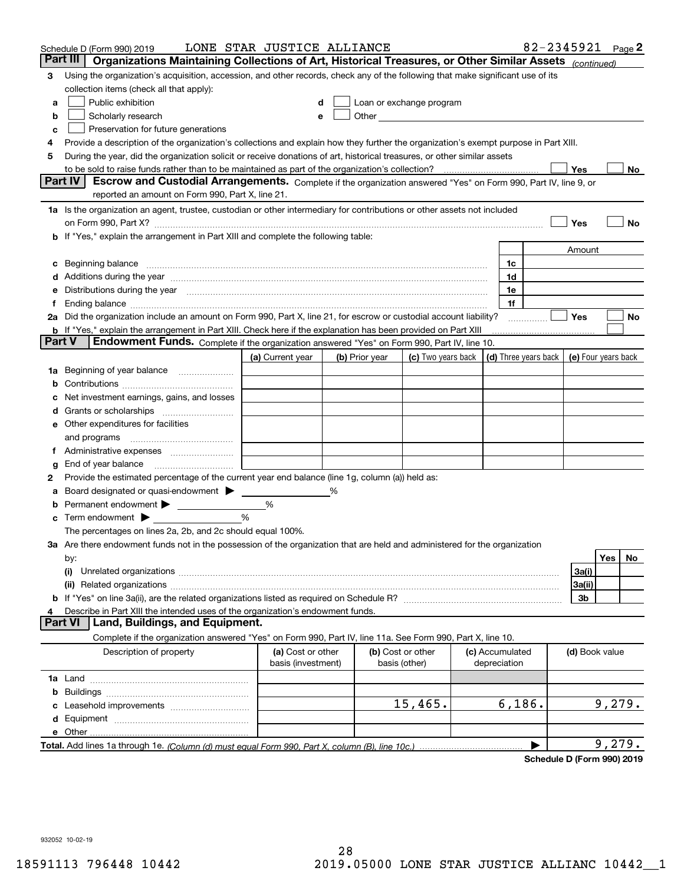|          | Schedule D (Form 990) 2019                                                                                                                                                                                                    | LONE STAR JUSTICE ALLIANCE              |                |                                                                                                                                                                                                                               |                                 | 82-2345921                           |                     |        | Page $2$ |
|----------|-------------------------------------------------------------------------------------------------------------------------------------------------------------------------------------------------------------------------------|-----------------------------------------|----------------|-------------------------------------------------------------------------------------------------------------------------------------------------------------------------------------------------------------------------------|---------------------------------|--------------------------------------|---------------------|--------|----------|
| Part III | Organizations Maintaining Collections of Art, Historical Treasures, or Other Similar Assets (continued)                                                                                                                       |                                         |                |                                                                                                                                                                                                                               |                                 |                                      |                     |        |          |
| 3        | Using the organization's acquisition, accession, and other records, check any of the following that make significant use of its                                                                                               |                                         |                |                                                                                                                                                                                                                               |                                 |                                      |                     |        |          |
|          | collection items (check all that apply):                                                                                                                                                                                      |                                         |                |                                                                                                                                                                                                                               |                                 |                                      |                     |        |          |
| a        | Public exhibition                                                                                                                                                                                                             |                                         |                | Loan or exchange program                                                                                                                                                                                                      |                                 |                                      |                     |        |          |
| b        | Scholarly research                                                                                                                                                                                                            |                                         |                | Other and the contract of the contract of the contract of the contract of the contract of the contract of the contract of the contract of the contract of the contract of the contract of the contract of the contract of the |                                 |                                      |                     |        |          |
| c        | Preservation for future generations                                                                                                                                                                                           |                                         |                |                                                                                                                                                                                                                               |                                 |                                      |                     |        |          |
| 4        | Provide a description of the organization's collections and explain how they further the organization's exempt purpose in Part XIII.                                                                                          |                                         |                |                                                                                                                                                                                                                               |                                 |                                      |                     |        |          |
| 5        | During the year, did the organization solicit or receive donations of art, historical treasures, or other similar assets                                                                                                      |                                         |                |                                                                                                                                                                                                                               |                                 |                                      |                     |        |          |
|          | to be sold to raise funds rather than to be maintained as part of the organization's collection?                                                                                                                              |                                         |                |                                                                                                                                                                                                                               |                                 |                                      | Yes                 |        | No.      |
|          | <b>Part IV</b><br>Escrow and Custodial Arrangements. Complete if the organization answered "Yes" on Form 990, Part IV, line 9, or                                                                                             |                                         |                |                                                                                                                                                                                                                               |                                 |                                      |                     |        |          |
|          | reported an amount on Form 990, Part X, line 21.                                                                                                                                                                              |                                         |                |                                                                                                                                                                                                                               |                                 |                                      |                     |        |          |
|          | 1a Is the organization an agent, trustee, custodian or other intermediary for contributions or other assets not included                                                                                                      |                                         |                |                                                                                                                                                                                                                               |                                 |                                      |                     |        |          |
|          | on Form 990, Part X? [11] matter contracts and contracts and contracts are contracted as a form 990, Part X?                                                                                                                  |                                         |                |                                                                                                                                                                                                                               |                                 |                                      | Yes                 |        | No       |
|          | <b>b</b> If "Yes," explain the arrangement in Part XIII and complete the following table:                                                                                                                                     |                                         |                |                                                                                                                                                                                                                               |                                 |                                      |                     |        |          |
|          |                                                                                                                                                                                                                               |                                         |                |                                                                                                                                                                                                                               |                                 |                                      | Amount              |        |          |
|          |                                                                                                                                                                                                                               |                                         |                |                                                                                                                                                                                                                               | 1c                              |                                      |                     |        |          |
|          | Additions during the year manufactured and an anti-manufactured and the year manufactured and all the year manufactured and all the year manufactured and all the year manufactured and all the year manufactured and all the |                                         |                |                                                                                                                                                                                                                               | 1d                              |                                      |                     |        |          |
|          | Distributions during the year measurement contains and the year of the set of the set of the set of the set of                                                                                                                |                                         |                |                                                                                                                                                                                                                               | 1e                              |                                      |                     |        |          |
|          |                                                                                                                                                                                                                               |                                         |                |                                                                                                                                                                                                                               | 1f                              |                                      |                     |        |          |
|          | 2a Did the organization include an amount on Form 990, Part X, line 21, for escrow or custodial account liability?                                                                                                            |                                         |                |                                                                                                                                                                                                                               |                                 |                                      | Yes                 |        | No       |
| Part V   | <b>b</b> If "Yes," explain the arrangement in Part XIII. Check here if the explanation has been provided on Part XIII<br><b>Endowment Funds.</b> Complete if the organization answered "Yes" on Form 990, Part IV, line 10.   |                                         |                |                                                                                                                                                                                                                               |                                 |                                      |                     |        |          |
|          |                                                                                                                                                                                                                               |                                         |                |                                                                                                                                                                                                                               |                                 |                                      |                     |        |          |
|          |                                                                                                                                                                                                                               | (a) Current year                        | (b) Prior year | (c) Two years back                                                                                                                                                                                                            |                                 | $\vert$ (d) Three years back $\vert$ | (e) Four years back |        |          |
| 1a       | Beginning of year balance                                                                                                                                                                                                     |                                         |                |                                                                                                                                                                                                                               |                                 |                                      |                     |        |          |
|          |                                                                                                                                                                                                                               |                                         |                |                                                                                                                                                                                                                               |                                 |                                      |                     |        |          |
|          | Net investment earnings, gains, and losses                                                                                                                                                                                    |                                         |                |                                                                                                                                                                                                                               |                                 |                                      |                     |        |          |
|          |                                                                                                                                                                                                                               |                                         |                |                                                                                                                                                                                                                               |                                 |                                      |                     |        |          |
| е        | Other expenditures for facilities                                                                                                                                                                                             |                                         |                |                                                                                                                                                                                                                               |                                 |                                      |                     |        |          |
|          | and programs                                                                                                                                                                                                                  |                                         |                |                                                                                                                                                                                                                               |                                 |                                      |                     |        |          |
|          |                                                                                                                                                                                                                               |                                         |                |                                                                                                                                                                                                                               |                                 |                                      |                     |        |          |
| g        | End of year balance<br>Provide the estimated percentage of the current year end balance (line 1g, column (a)) held as:                                                                                                        |                                         |                |                                                                                                                                                                                                                               |                                 |                                      |                     |        |          |
| 2        | Board designated or quasi-endowment                                                                                                                                                                                           |                                         | %              |                                                                                                                                                                                                                               |                                 |                                      |                     |        |          |
|          | Permanent endowment >                                                                                                                                                                                                         | %                                       |                |                                                                                                                                                                                                                               |                                 |                                      |                     |        |          |
| с        | Term endowment $\blacktriangleright$                                                                                                                                                                                          | %                                       |                |                                                                                                                                                                                                                               |                                 |                                      |                     |        |          |
|          | The percentages on lines 2a, 2b, and 2c should equal 100%.                                                                                                                                                                    |                                         |                |                                                                                                                                                                                                                               |                                 |                                      |                     |        |          |
|          | 3a Are there endowment funds not in the possession of the organization that are held and administered for the organization                                                                                                    |                                         |                |                                                                                                                                                                                                                               |                                 |                                      |                     |        |          |
|          | by:                                                                                                                                                                                                                           |                                         |                |                                                                                                                                                                                                                               |                                 |                                      |                     | Yes    | No       |
|          | (i)                                                                                                                                                                                                                           |                                         |                |                                                                                                                                                                                                                               |                                 |                                      | 3a(i)               |        |          |
|          |                                                                                                                                                                                                                               |                                         |                |                                                                                                                                                                                                                               |                                 |                                      | 3a(ii)              |        |          |
|          |                                                                                                                                                                                                                               |                                         |                |                                                                                                                                                                                                                               |                                 |                                      | 3b                  |        |          |
|          | Describe in Part XIII the intended uses of the organization's endowment funds.                                                                                                                                                |                                         |                |                                                                                                                                                                                                                               |                                 |                                      |                     |        |          |
|          | Land, Buildings, and Equipment.<br>Part VI                                                                                                                                                                                    |                                         |                |                                                                                                                                                                                                                               |                                 |                                      |                     |        |          |
|          | Complete if the organization answered "Yes" on Form 990, Part IV, line 11a. See Form 990, Part X, line 10.                                                                                                                    |                                         |                |                                                                                                                                                                                                                               |                                 |                                      |                     |        |          |
|          | Description of property                                                                                                                                                                                                       | (a) Cost or other<br>basis (investment) |                | (b) Cost or other<br>basis (other)                                                                                                                                                                                            | (c) Accumulated<br>depreciation |                                      | (d) Book value      |        |          |
|          |                                                                                                                                                                                                                               |                                         |                |                                                                                                                                                                                                                               |                                 |                                      |                     |        |          |
| b        |                                                                                                                                                                                                                               |                                         |                |                                                                                                                                                                                                                               |                                 |                                      |                     |        |          |
|          |                                                                                                                                                                                                                               |                                         |                | $15,465$ .                                                                                                                                                                                                                    |                                 | 6,186.                               |                     | 9,279. |          |
| d        |                                                                                                                                                                                                                               |                                         |                |                                                                                                                                                                                                                               |                                 |                                      |                     |        |          |
|          | <b>e</b> Other                                                                                                                                                                                                                |                                         |                |                                                                                                                                                                                                                               |                                 |                                      |                     |        |          |
|          |                                                                                                                                                                                                                               |                                         |                |                                                                                                                                                                                                                               |                                 |                                      |                     | 9,279. |          |
|          |                                                                                                                                                                                                                               |                                         |                |                                                                                                                                                                                                                               |                                 |                                      |                     |        |          |

**Schedule D (Form 990) 2019**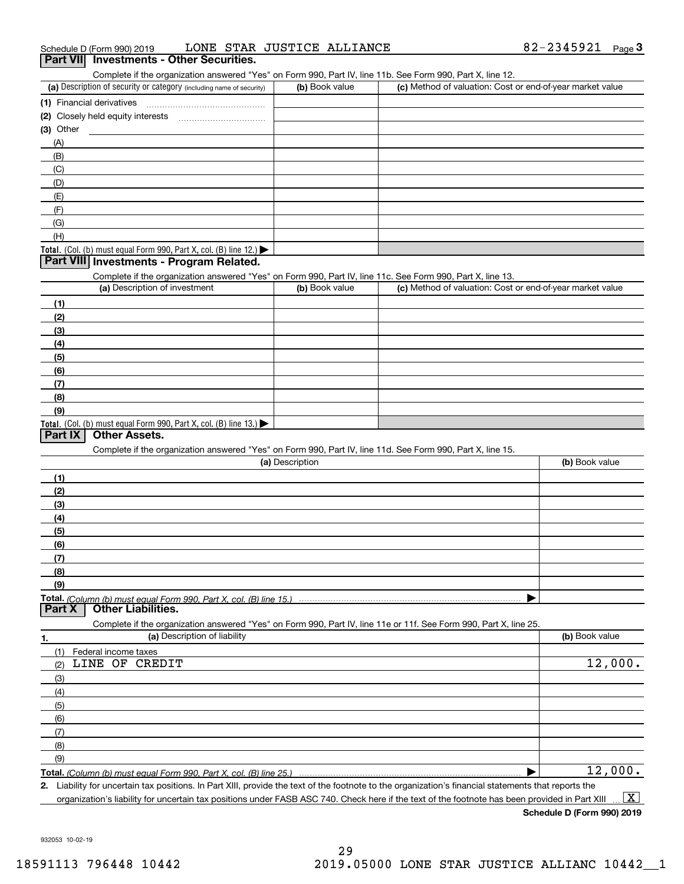## Complete if the organization answered "Yes" on Form 990, Part IV, line 11b. See Form 990, Part X, line 12.

| Complete in the enganization anowered free form only children, internsity, into the cool form over, if an ext, into the |                |                                                           |  |  |  |  |  |  |
|-------------------------------------------------------------------------------------------------------------------------|----------------|-----------------------------------------------------------|--|--|--|--|--|--|
| (a) Description of security or category (including name of security)                                                    | (b) Book value | (c) Method of valuation: Cost or end-of-year market value |  |  |  |  |  |  |
| (1) Financial derivatives                                                                                               |                |                                                           |  |  |  |  |  |  |
| (2) Closely held equity interests                                                                                       |                |                                                           |  |  |  |  |  |  |
| (3) Other                                                                                                               |                |                                                           |  |  |  |  |  |  |
| (A)                                                                                                                     |                |                                                           |  |  |  |  |  |  |
| (B)                                                                                                                     |                |                                                           |  |  |  |  |  |  |
| (C)                                                                                                                     |                |                                                           |  |  |  |  |  |  |
| (D)                                                                                                                     |                |                                                           |  |  |  |  |  |  |
| (E)                                                                                                                     |                |                                                           |  |  |  |  |  |  |
| (F)                                                                                                                     |                |                                                           |  |  |  |  |  |  |
| (G)                                                                                                                     |                |                                                           |  |  |  |  |  |  |
| (H)                                                                                                                     |                |                                                           |  |  |  |  |  |  |
| Total. (Col. (b) must equal Form 990, Part X, col. (B) line $12$ .)                                                     |                |                                                           |  |  |  |  |  |  |

### **Part VIII Investments - Program Related.**

Complete if the organization answered "Yes" on Form 990, Part IV, line 11c. See Form 990, Part X, line 13.

| (a) Description of investment                                    | (b) Book value | (c) Method of valuation: Cost or end-of-year market value |
|------------------------------------------------------------------|----------------|-----------------------------------------------------------|
| (1)                                                              |                |                                                           |
| (2)                                                              |                |                                                           |
| (3)                                                              |                |                                                           |
| (4)                                                              |                |                                                           |
| $\left(5\right)$                                                 |                |                                                           |
| (6)                                                              |                |                                                           |
| (7)                                                              |                |                                                           |
| (8)                                                              |                |                                                           |
| (9)                                                              |                |                                                           |
| Total. (Col. (b) must equal Form 990, Part X, col. (B) line 13.) |                |                                                           |

### **Part IX Other Assets.**

Complete if the organization answered "Yes" on Form 990, Part IV, line 11d. See Form 990, Part X, line 15.

| (a) Description                                                                                                                       | (b) Book value |
|---------------------------------------------------------------------------------------------------------------------------------------|----------------|
|                                                                                                                                       |                |
| (2)                                                                                                                                   |                |
| (3)                                                                                                                                   |                |
| (4)                                                                                                                                   |                |
| (5)                                                                                                                                   |                |
| (6)                                                                                                                                   |                |
|                                                                                                                                       |                |
| (8)                                                                                                                                   |                |
| (9)                                                                                                                                   |                |
|                                                                                                                                       |                |
| Total. (Column (b) must equal Form 990, Part X, col. (B) line 15.) ………………………………………………………………………………………<br>  Part X   Other Liabilities. |                |

**1.(a)** Description of liability **Book value** Book value Book value Book value Book value Complete if the organization answered "Yes" on Form 990, Part IV, line 11e or 11f. See Form 990, Part X, line 25. (1)(2)(3)(4)(5) (6)(7)(8)(9)Federal income taxes  $\blacktriangleright$ LINE OF CREDIT 12,000. 12,000.

**Total.**  *(Column (b) must equal Form 990, Part X, col. (B) line 25.)* 

**2.**Liability for uncertain tax positions. In Part XIII, provide the text of the footnote to the organization's financial statements that reports the organization's liability for uncertain tax positions under FASB ASC 740. Check here if the text of the footnote has been provided in Part XIII  $\boxed{\text{X}}$ 

**Schedule D (Form 990) 2019**

932053 10-02-19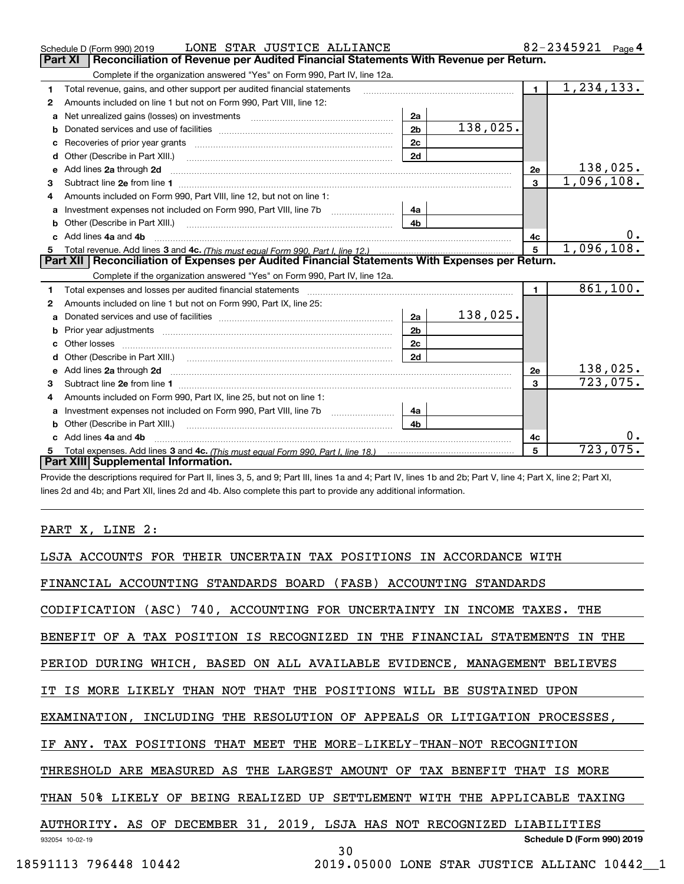|    | LONE STAR JUSTICE ALLIANCE<br>Schedule D (Form 990) 2019                                                                                                                                                                            |                |          |                | 82-2345921<br>Page 4    |
|----|-------------------------------------------------------------------------------------------------------------------------------------------------------------------------------------------------------------------------------------|----------------|----------|----------------|-------------------------|
|    | <b>Part XI</b><br>Reconciliation of Revenue per Audited Financial Statements With Revenue per Return.                                                                                                                               |                |          |                |                         |
|    | Complete if the organization answered "Yes" on Form 990, Part IV, line 12a.                                                                                                                                                         |                |          |                |                         |
| 1  | Total revenue, gains, and other support per audited financial statements                                                                                                                                                            |                |          | $\blacksquare$ | $\overline{1,234},133.$ |
| 2  | Amounts included on line 1 but not on Form 990, Part VIII, line 12:                                                                                                                                                                 |                |          |                |                         |
| a  | Net unrealized gains (losses) on investments [11] matter contracts and the unrealized gains (losses) on investments                                                                                                                 | 2a             |          |                |                         |
| b  |                                                                                                                                                                                                                                     | 2 <sub>b</sub> | 138,025. |                |                         |
|    |                                                                                                                                                                                                                                     | 2c             |          |                |                         |
| d  | Other (Describe in Part XIII.) <b>Construction Contract Construction</b> Chemistry Chemistry Chemistry Chemistry Chemistry                                                                                                          | 2d             |          |                |                         |
| е  | Add lines 2a through 2d                                                                                                                                                                                                             |                |          | <b>2e</b>      | 138,025.                |
| 3  |                                                                                                                                                                                                                                     |                |          | $\mathbf{3}$   | 1,096,108.              |
| 4  | Amounts included on Form 990, Part VIII, line 12, but not on line 1:                                                                                                                                                                |                |          |                |                         |
|    |                                                                                                                                                                                                                                     | 4a             |          |                |                         |
|    |                                                                                                                                                                                                                                     | 4 <sub>b</sub> |          |                |                         |
| c. | Add lines 4a and 4b                                                                                                                                                                                                                 |                |          | 4c             | 0.                      |
|    |                                                                                                                                                                                                                                     |                |          | 5              | 1,096,108.              |
|    |                                                                                                                                                                                                                                     |                |          |                |                         |
|    | Part XII   Reconciliation of Expenses per Audited Financial Statements With Expenses per Return.                                                                                                                                    |                |          |                |                         |
|    | Complete if the organization answered "Yes" on Form 990, Part IV, line 12a.                                                                                                                                                         |                |          |                |                         |
| 1  | Total expenses and losses per audited financial statements                                                                                                                                                                          |                |          | $\mathbf{1}$   | 861, 100.               |
| 2  | Amounts included on line 1 but not on Form 990, Part IX, line 25:                                                                                                                                                                   |                |          |                |                         |
| a  |                                                                                                                                                                                                                                     | 2a             | 138,025. |                |                         |
|    |                                                                                                                                                                                                                                     | 2 <sub>b</sub> |          |                |                         |
|    |                                                                                                                                                                                                                                     | 2c             |          |                |                         |
|    |                                                                                                                                                                                                                                     | 2d             |          |                |                         |
|    | Add lines 2a through 2d <b>contained a contained a contained a contained a</b> contained a contact the state of the state of the state of the state of the state of the state of the state of the state of the state of the state o |                |          | 2e             | 138,025.                |
| 3  |                                                                                                                                                                                                                                     |                |          | 3              | 723,075.                |
| 4  | Amounts included on Form 990, Part IX, line 25, but not on line 1:                                                                                                                                                                  |                |          |                |                         |
| a  |                                                                                                                                                                                                                                     | 4a             |          |                |                         |
|    | <b>b</b> Other (Describe in Part XIII.)                                                                                                                                                                                             | 4 <sub>b</sub> |          |                |                         |
| c  | Add lines 4a and 4b                                                                                                                                                                                                                 |                |          | 4c             |                         |
|    | Part XIII Supplemental Information.                                                                                                                                                                                                 |                |          | 5              | 723,075.                |

Provide the descriptions required for Part II, lines 3, 5, and 9; Part III, lines 1a and 4; Part IV, lines 1b and 2b; Part V, line 4; Part X, line 2; Part XI, lines 2d and 4b; and Part XII, lines 2d and 4b. Also complete this part to provide any additional information.

# PART X, LINE 2:

|                       | LSJA ACCOUNTS FOR THEIR UNCERTAIN TAX POSITIONS IN ACCORDANCE WITH         |
|-----------------------|----------------------------------------------------------------------------|
|                       | FINANCIAL ACCOUNTING STANDARDS BOARD (FASB) ACCOUNTING STANDARDS           |
|                       | CODIFICATION (ASC) 740, ACCOUNTING FOR UNCERTAINTY IN INCOME TAXES. THE    |
|                       | BENEFIT OF A TAX POSITION IS RECOGNIZED IN THE FINANCIAL STATEMENTS IN THE |
|                       | PERIOD DURING WHICH, BASED ON ALL AVAILABLE EVIDENCE, MANAGEMENT BELIEVES  |
|                       | IT IS MORE LIKELY THAN NOT THAT THE POSITIONS WILL BE SUSTAINED UPON       |
|                       | EXAMINATION, INCLUDING THE RESOLUTION OF APPEALS OR LITIGATION PROCESSES,  |
|                       | IF ANY. TAX POSITIONS THAT MEET THE MORE-LIKELY-THAN-NOT RECOGNITION       |
|                       | THRESHOLD ARE MEASURED AS THE LARGEST AMOUNT OF TAX BENEFIT THAT IS MORE   |
|                       | THAN 50% LIKELY OF BEING REALIZED UP SETTLEMENT WITH THE APPLICABLE TAXING |
|                       | AUTHORITY. AS OF DECEMBER 31, 2019, LSJA HAS NOT RECOGNIZED LIABILITIES    |
| 932054 10-02-19       | Schedule D (Form 990) 2019<br>30                                           |
| 18591113 796448 10442 | 2019.05000 LONE STAR JUSTICE ALLIANC 10442_1                               |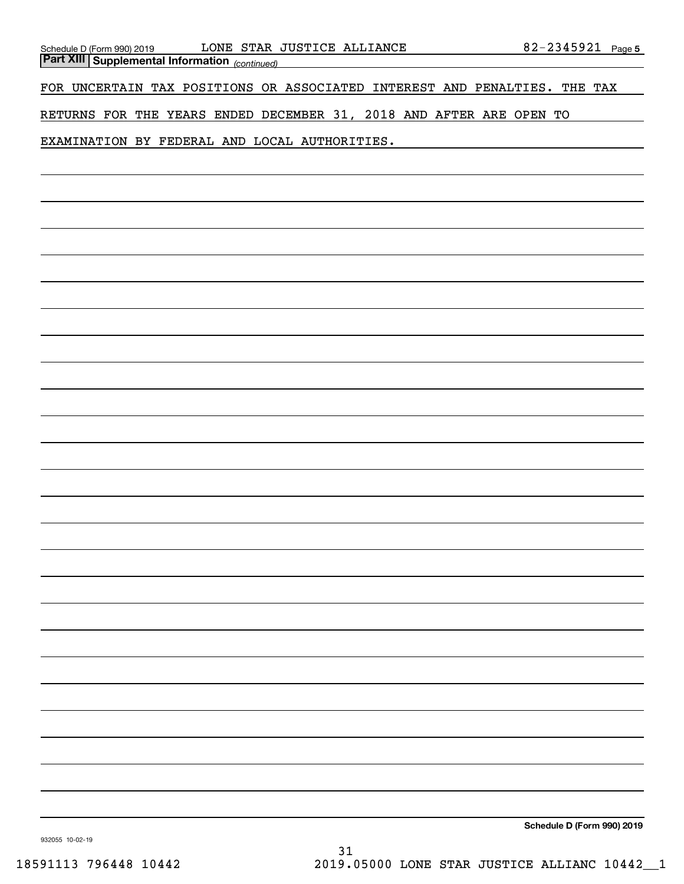*(continued)* **Part XIII Supplemental Information** 

FOR UNCERTAIN TAX POSITIONS OR ASSOCIATED INTEREST AND PENALTIES. THE TAX

RETURNS FOR THE YEARS ENDED DECEMBER 31, 2018 AND AFTER ARE OPEN TO

EXAMINATION BY FEDERAL AND LOCAL AUTHORITIES.

**Schedule D (Form 990) 2019**

932055 10-02-19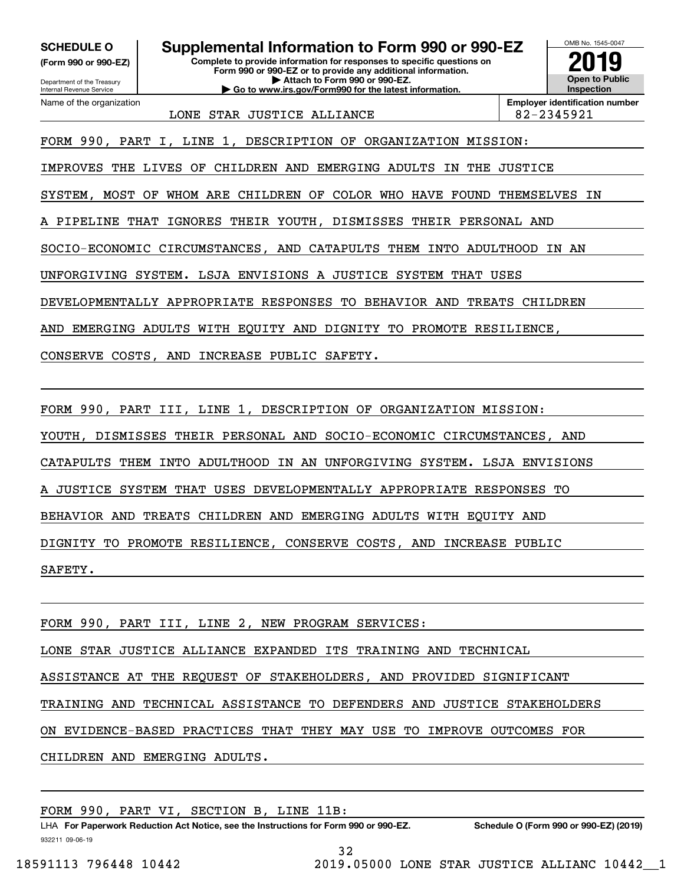Department of the Treasury **(Form 990 or 990-EZ)**

Name of the organization

Internal Revenue Service

**Complete to provide information for responses to specific questions on SCHEDULE O Supplemental Information to Form 990 or 990-EZ**

**Form 990 or 990-EZ or to provide any additional information. | Attach to Form 990 or 990-EZ. | Go to www.irs.gov/Form990 for the latest information.**



LONE STAR JUSTICE ALLIANCE  $\vert$  82-2345921

**Employer identification number**

FORM 990, PART I, LINE 1, DESCRIPTION OF ORGANIZATION MISSION:

IMPROVES THE LIVES OF CHILDREN AND EMERGING ADULTS IN THE JUSTICE

SYSTEM, MOST OF WHOM ARE CHILDREN OF COLOR WHO HAVE FOUND THEMSELVES IN

A PIPELINE THAT IGNORES THEIR YOUTH, DISMISSES THEIR PERSONAL AND

SOCIO-ECONOMIC CIRCUMSTANCES, AND CATAPULTS THEM INTO ADULTHOOD IN AN

UNFORGIVING SYSTEM. LSJA ENVISIONS A JUSTICE SYSTEM THAT USES

DEVELOPMENTALLY APPROPRIATE RESPONSES TO BEHAVIOR AND TREATS CHILDREN

AND EMERGING ADULTS WITH EQUITY AND DIGNITY TO PROMOTE RESILIENCE,

CONSERVE COSTS, AND INCREASE PUBLIC SAFETY.

FORM 990, PART III, LINE 1, DESCRIPTION OF ORGANIZATION MISSION:

YOUTH, DISMISSES THEIR PERSONAL AND SOCIO-ECONOMIC CIRCUMSTANCES, AND

CATAPULTS THEM INTO ADULTHOOD IN AN UNFORGIVING SYSTEM. LSJA ENVISIONS

A JUSTICE SYSTEM THAT USES DEVELOPMENTALLY APPROPRIATE RESPONSES TO

BEHAVIOR AND TREATS CHILDREN AND EMERGING ADULTS WITH EQUITY AND

DIGNITY TO PROMOTE RESILIENCE, CONSERVE COSTS, AND INCREASE PUBLIC

SAFETY.

FORM 990, PART III, LINE 2, NEW PROGRAM SERVICES:

LONE STAR JUSTICE ALLIANCE EXPANDED ITS TRAINING AND TECHNICAL

ASSISTANCE AT THE REQUEST OF STAKEHOLDERS, AND PROVIDED SIGNIFICANT

TRAINING AND TECHNICAL ASSISTANCE TO DEFENDERS AND JUSTICE STAKEHOLDERS

ON EVIDENCE-BASED PRACTICES THAT THEY MAY USE TO IMPROVE OUTCOMES FOR

CHILDREN AND EMERGING ADULTS.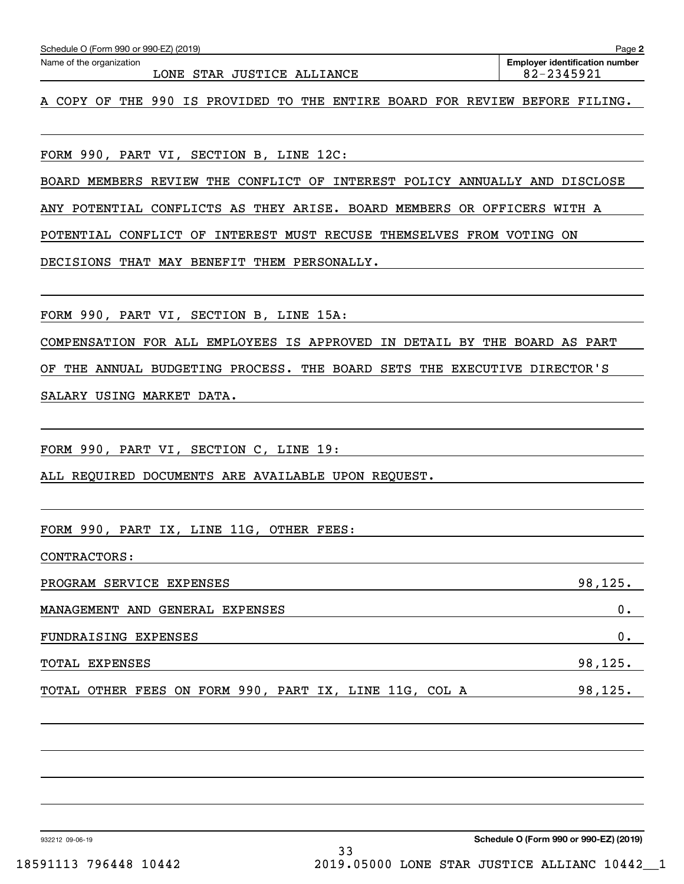| Schedule O (Form 990 or 990-EZ) (2019)<br>Name of the organization                                                                                       | Page 2<br><b>Employer identification number</b> |
|----------------------------------------------------------------------------------------------------------------------------------------------------------|-------------------------------------------------|
| LONE STAR JUSTICE ALLIANCE                                                                                                                               | 82-2345921                                      |
| A COPY OF THE 990 IS PROVIDED TO THE ENTIRE BOARD FOR REVIEW BEFORE FILING.                                                                              |                                                 |
|                                                                                                                                                          |                                                 |
| FORM 990, PART VI, SECTION B, LINE 12C:                                                                                                                  |                                                 |
| BOARD MEMBERS REVIEW THE CONFLICT OF INTEREST POLICY ANNUALLY AND DISCLOSE                                                                               |                                                 |
| ANY POTENTIAL CONFLICTS AS THEY ARISE. BOARD MEMBERS OR OFFICERS WITH A                                                                                  |                                                 |
| POTENTIAL CONFLICT OF INTEREST MUST RECUSE THEMSELVES FROM VOTING ON                                                                                     |                                                 |
| DECISIONS THAT MAY BENEFIT THEM PERSONALLY.                                                                                                              |                                                 |
|                                                                                                                                                          |                                                 |
| FORM 990, PART VI, SECTION B, LINE 15A:                                                                                                                  |                                                 |
| COMPENSATION FOR ALL EMPLOYEES IS APPROVED IN DETAIL BY THE BOARD AS PART                                                                                |                                                 |
| THE ANNUAL BUDGETING PROCESS. THE BOARD SETS THE EXECUTIVE DIRECTOR'S<br>ΟF                                                                              |                                                 |
| SALARY USING MARKET DATA.                                                                                                                                |                                                 |
|                                                                                                                                                          |                                                 |
| FORM 990, PART VI, SECTION C, LINE 19:                                                                                                                   |                                                 |
| ALL REQUIRED DOCUMENTS ARE AVAILABLE UPON REQUEST.                                                                                                       |                                                 |
|                                                                                                                                                          |                                                 |
| FORM 990,<br>PART IX, LINE 11G, OTHER FEES:                                                                                                              |                                                 |
| CONTRACTORS:                                                                                                                                             |                                                 |
| PROGRAM SERVICE EXPENSES<br><u> 1989 - Johann Barn, fransk politik amerikansk politik (</u>                                                              | 98, 125.                                        |
| MANAGEMENT AND GENERAL EXPENSES<br><u> 1989 - Johann Harry Harry Harry Harry Harry Harry Harry Harry Harry Harry Harry Harry Harry Harry Harry Harry</u> | 0.                                              |
| FUNDRAISING EXPENSES                                                                                                                                     | 0.                                              |
| TOTAL EXPENSES<br><u> 1989 - Johann Stoff, deutscher Stoff, der Stoff, der Stoff, der Stoff, der Stoff, der Stoff, der Stoff, der S</u>                  | 98,125.                                         |
| TOTAL OTHER FEES ON FORM 990, PART IX, LINE 11G, COL A 38,125.                                                                                           |                                                 |
|                                                                                                                                                          |                                                 |
|                                                                                                                                                          |                                                 |
|                                                                                                                                                          |                                                 |
|                                                                                                                                                          |                                                 |
|                                                                                                                                                          |                                                 |

33

932212 09-06-19